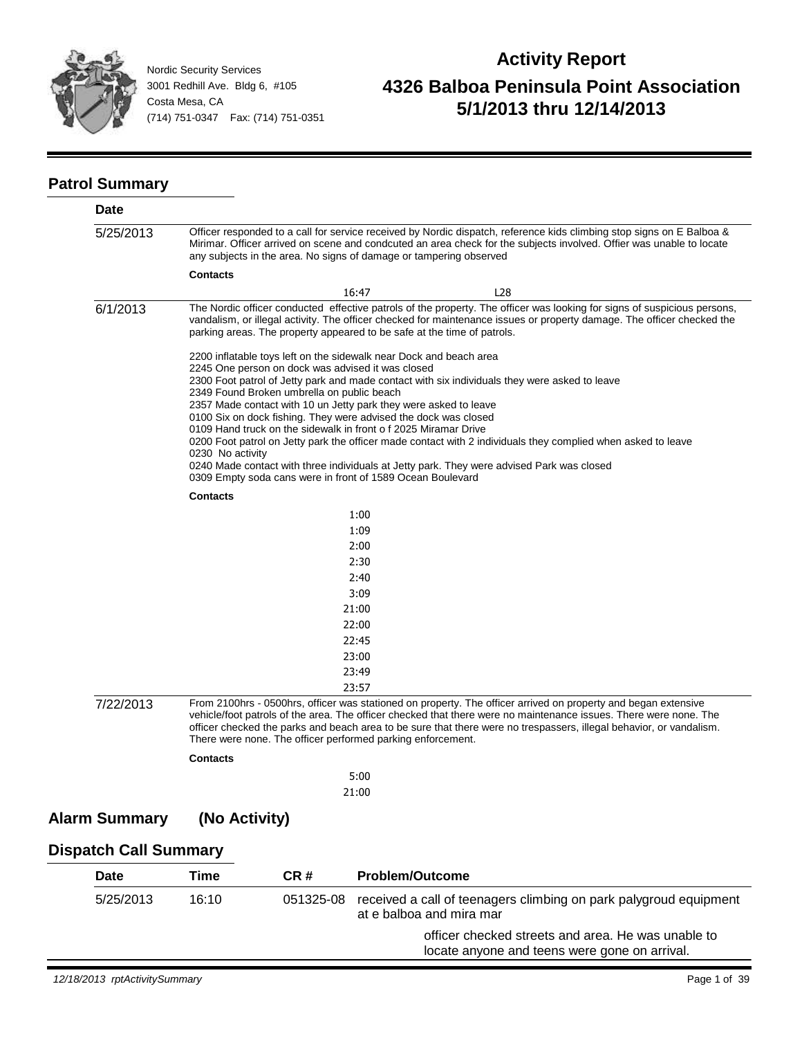

# **Activity Report 4326 Balboa Peninsula Point Association 5/1/2013 thru 12/14/2013**

#### **Patrol Summary**

| Date                         |                  |                                            |                                                                                                                                                                                             |                                                                                                                                                                                                                                                                                                                                                            |
|------------------------------|------------------|--------------------------------------------|---------------------------------------------------------------------------------------------------------------------------------------------------------------------------------------------|------------------------------------------------------------------------------------------------------------------------------------------------------------------------------------------------------------------------------------------------------------------------------------------------------------------------------------------------------------|
| 5/25/2013                    |                  |                                            | any subjects in the area. No signs of damage or tampering observed                                                                                                                          | Officer responded to a call for service received by Nordic dispatch, reference kids climbing stop signs on E Balboa &<br>Mirimar. Officer arrived on scene and condcuted an area check for the subjects involved. Offier was unable to locate                                                                                                              |
|                              | <b>Contacts</b>  |                                            |                                                                                                                                                                                             |                                                                                                                                                                                                                                                                                                                                                            |
|                              |                  |                                            | 16:47                                                                                                                                                                                       | L <sub>28</sub>                                                                                                                                                                                                                                                                                                                                            |
| 6/1/2013                     |                  |                                            | parking areas. The property appeared to be safe at the time of patrols.                                                                                                                     | The Nordic officer conducted effective patrols of the property. The officer was looking for signs of suspicious persons,<br>vandalism, or illegal activity. The officer checked for maintenance issues or property damage. The officer checked the                                                                                                         |
|                              |                  | 2349 Found Broken umbrella on public beach | 2200 inflatable toys left on the sidewalk near Dock and beach area<br>2245 One person on dock was advised it was closed<br>2357 Made contact with 10 un Jetty park they were asked to leave | 2300 Foot patrol of Jetty park and made contact with six individuals they were asked to leave                                                                                                                                                                                                                                                              |
|                              |                  |                                            | 0100 Six on dock fishing. They were advised the dock was closed                                                                                                                             |                                                                                                                                                                                                                                                                                                                                                            |
|                              |                  |                                            | 0109 Hand truck on the sidewalk in front of 2025 Miramar Drive                                                                                                                              | 0200 Foot patrol on Jetty park the officer made contact with 2 individuals they complied when asked to leave                                                                                                                                                                                                                                               |
|                              | 0230 No activity |                                            |                                                                                                                                                                                             |                                                                                                                                                                                                                                                                                                                                                            |
|                              |                  |                                            | 0309 Empty soda cans were in front of 1589 Ocean Boulevard                                                                                                                                  | 0240 Made contact with three individuals at Jetty park. They were advised Park was closed                                                                                                                                                                                                                                                                  |
|                              | <b>Contacts</b>  |                                            |                                                                                                                                                                                             |                                                                                                                                                                                                                                                                                                                                                            |
|                              |                  |                                            | 1:00                                                                                                                                                                                        |                                                                                                                                                                                                                                                                                                                                                            |
|                              |                  |                                            | 1:09                                                                                                                                                                                        |                                                                                                                                                                                                                                                                                                                                                            |
|                              |                  |                                            | 2:00                                                                                                                                                                                        |                                                                                                                                                                                                                                                                                                                                                            |
|                              |                  |                                            | 2:30                                                                                                                                                                                        |                                                                                                                                                                                                                                                                                                                                                            |
|                              |                  |                                            | 2:40                                                                                                                                                                                        |                                                                                                                                                                                                                                                                                                                                                            |
|                              |                  |                                            | 3:09                                                                                                                                                                                        |                                                                                                                                                                                                                                                                                                                                                            |
|                              |                  |                                            | 21:00                                                                                                                                                                                       |                                                                                                                                                                                                                                                                                                                                                            |
|                              |                  |                                            | 22:00                                                                                                                                                                                       |                                                                                                                                                                                                                                                                                                                                                            |
|                              |                  |                                            | 22:45                                                                                                                                                                                       |                                                                                                                                                                                                                                                                                                                                                            |
|                              |                  |                                            | 23:00                                                                                                                                                                                       |                                                                                                                                                                                                                                                                                                                                                            |
|                              |                  |                                            | 23:49                                                                                                                                                                                       |                                                                                                                                                                                                                                                                                                                                                            |
|                              |                  |                                            | 23:57                                                                                                                                                                                       |                                                                                                                                                                                                                                                                                                                                                            |
| 7/22/2013                    |                  |                                            | There were none. The officer performed parking enforcement.                                                                                                                                 | From 2100hrs - 0500hrs, officer was stationed on property. The officer arrived on property and began extensive<br>vehicle/foot patrols of the area. The officer checked that there were no maintenance issues. There were none. The<br>officer checked the parks and beach area to be sure that there were no trespassers, illegal behavior, or vandalism. |
|                              | <b>Contacts</b>  |                                            |                                                                                                                                                                                             |                                                                                                                                                                                                                                                                                                                                                            |
|                              |                  |                                            | 5:00                                                                                                                                                                                        |                                                                                                                                                                                                                                                                                                                                                            |
|                              |                  |                                            | 21:00                                                                                                                                                                                       |                                                                                                                                                                                                                                                                                                                                                            |
| <b>Alarm Summary</b>         | (No Activity)    |                                            |                                                                                                                                                                                             |                                                                                                                                                                                                                                                                                                                                                            |
| <b>Dispatch Call Summary</b> |                  |                                            |                                                                                                                                                                                             |                                                                                                                                                                                                                                                                                                                                                            |
| <b>Date</b>                  | <b>Time</b>      | CR#                                        | <b>Problem/Outcome</b>                                                                                                                                                                      |                                                                                                                                                                                                                                                                                                                                                            |
|                              |                  |                                            |                                                                                                                                                                                             |                                                                                                                                                                                                                                                                                                                                                            |

| 5/25/2013 | $16:10^{-7}$ | 051325-08 | received a call of teenagers climbing on park palygroud equipment<br>at e balboa and mira mar       |
|-----------|--------------|-----------|-----------------------------------------------------------------------------------------------------|
|           |              |           | officer checked streets and area. He was unable to<br>locate anyone and teens were gone on arrival. |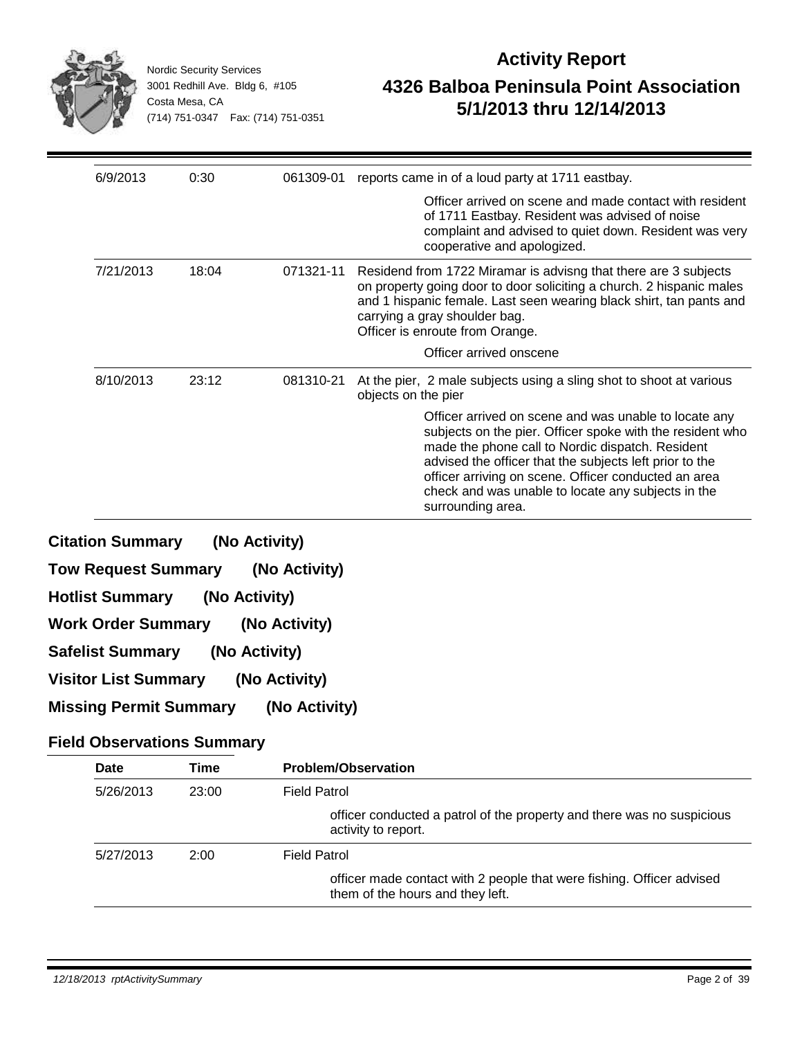|                            |           | <b>Nordic Security Services</b><br>3001 Redhill Ave. Bldg 6, #105<br>Costa Mesa, CA<br>(714) 751-0347  Fax: (714) 751-0351 |               | <b>Activity Report</b><br>4326 Balboa Peninsula Point Association<br>5/1/2013 thru 12/14/2013                                                                                                                                                                                                                                                                        |
|----------------------------|-----------|----------------------------------------------------------------------------------------------------------------------------|---------------|----------------------------------------------------------------------------------------------------------------------------------------------------------------------------------------------------------------------------------------------------------------------------------------------------------------------------------------------------------------------|
|                            | 6/9/2013  | 0:30                                                                                                                       | 061309-01     | reports came in of a loud party at 1711 eastbay.                                                                                                                                                                                                                                                                                                                     |
|                            |           |                                                                                                                            |               | Officer arrived on scene and made contact with resident<br>of 1711 Eastbay. Resident was advised of noise<br>complaint and advised to quiet down. Resident was very<br>cooperative and apologized.                                                                                                                                                                   |
|                            | 7/21/2013 | 18:04                                                                                                                      | 071321-11     | Residend from 1722 Miramar is advisng that there are 3 subjects<br>on property going door to door soliciting a church. 2 hispanic males<br>and 1 hispanic female. Last seen wearing black shirt, tan pants and<br>carrying a gray shoulder bag.<br>Officer is enroute from Orange.                                                                                   |
|                            |           |                                                                                                                            |               | Officer arrived onscene                                                                                                                                                                                                                                                                                                                                              |
|                            | 8/10/2013 | 23:12                                                                                                                      | 081310-21     | At the pier, 2 male subjects using a sling shot to shoot at various<br>objects on the pier                                                                                                                                                                                                                                                                           |
|                            |           |                                                                                                                            |               | Officer arrived on scene and was unable to locate any<br>subjects on the pier. Officer spoke with the resident who<br>made the phone call to Nordic dispatch. Resident<br>advised the officer that the subjects left prior to the<br>officer arriving on scene. Officer conducted an area<br>check and was unable to locate any subjects in the<br>surrounding area. |
| <b>Citation Summary</b>    |           |                                                                                                                            | (No Activity) |                                                                                                                                                                                                                                                                                                                                                                      |
| <b>Tow Request Summary</b> |           |                                                                                                                            | (No Activity) |                                                                                                                                                                                                                                                                                                                                                                      |
| <b>Hotlist Summary</b>     |           | (No Activity)                                                                                                              |               |                                                                                                                                                                                                                                                                                                                                                                      |
| <b>Work Order Summary</b>  |           |                                                                                                                            | (No Activity) |                                                                                                                                                                                                                                                                                                                                                                      |

- **Safelist Summary (No Activity)**
- **Visitor List Summary (No Activity)**
- **Missing Permit Summary (No Activity)**

#### **Field Observations Summary**

| Date      | Time  | <b>Problem/Observation</b>                                                                                |
|-----------|-------|-----------------------------------------------------------------------------------------------------------|
| 5/26/2013 | 23:00 | <b>Field Patrol</b>                                                                                       |
|           |       | officer conducted a patrol of the property and there was no suspicious<br>activity to report.             |
| 5/27/2013 | 2:00  | <b>Field Patrol</b>                                                                                       |
|           |       | officer made contact with 2 people that were fishing. Officer advised<br>them of the hours and they left. |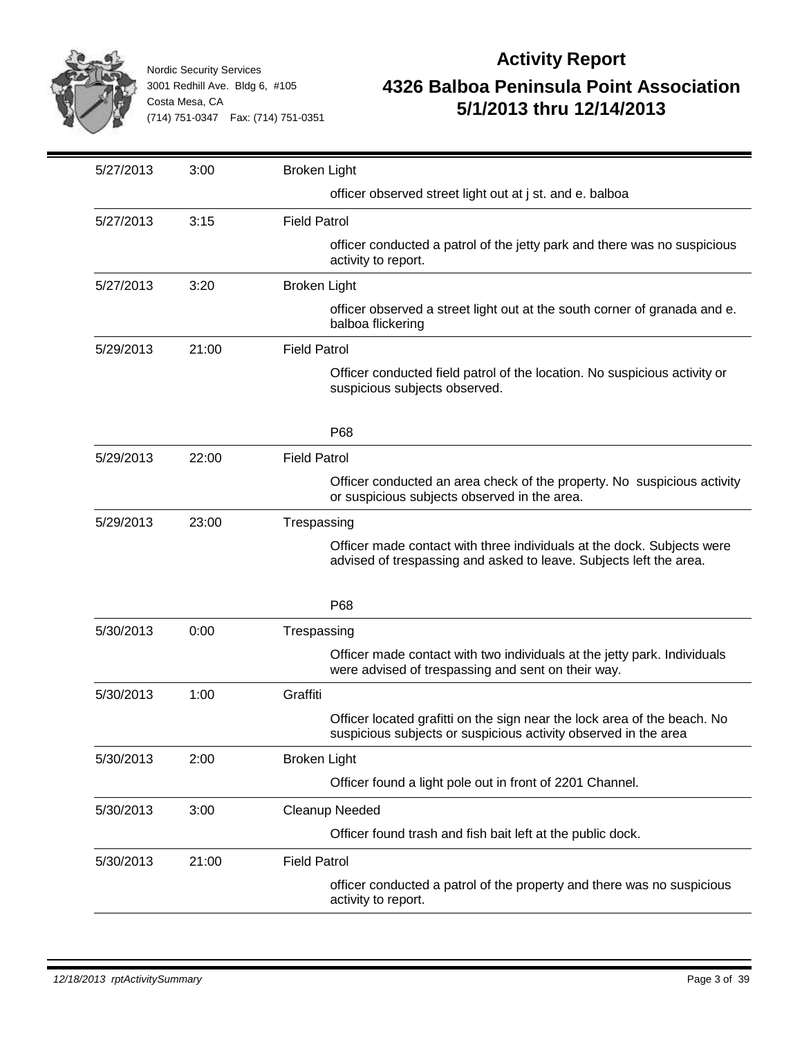

| 5/27/2013 | 3:00  | <b>Broken Light</b>                                                                                                                          |
|-----------|-------|----------------------------------------------------------------------------------------------------------------------------------------------|
|           |       | officer observed street light out at j st. and e. balboa                                                                                     |
| 5/27/2013 | 3:15  | <b>Field Patrol</b>                                                                                                                          |
|           |       | officer conducted a patrol of the jetty park and there was no suspicious<br>activity to report.                                              |
| 5/27/2013 | 3:20  | <b>Broken Light</b>                                                                                                                          |
|           |       | officer observed a street light out at the south corner of granada and e.<br>balboa flickering                                               |
| 5/29/2013 | 21:00 | <b>Field Patrol</b>                                                                                                                          |
|           |       | Officer conducted field patrol of the location. No suspicious activity or<br>suspicious subjects observed.                                   |
|           |       | P68                                                                                                                                          |
| 5/29/2013 | 22:00 | <b>Field Patrol</b>                                                                                                                          |
|           |       | Officer conducted an area check of the property. No suspicious activity<br>or suspicious subjects observed in the area.                      |
| 5/29/2013 | 23:00 | Trespassing                                                                                                                                  |
|           |       | Officer made contact with three individuals at the dock. Subjects were<br>advised of trespassing and asked to leave. Subjects left the area. |
|           |       | P68                                                                                                                                          |
| 5/30/2013 | 0:00  | Trespassing                                                                                                                                  |
|           |       | Officer made contact with two individuals at the jetty park. Individuals<br>were advised of trespassing and sent on their way.               |
| 5/30/2013 | 1:00  | Graffiti                                                                                                                                     |
|           |       | Officer located grafitti on the sign near the lock area of the beach. No<br>suspicious subjects or suspicious activity observed in the area  |
| 5/30/2013 | 2:00  | <b>Broken Light</b>                                                                                                                          |
|           |       | Officer found a light pole out in front of 2201 Channel.                                                                                     |
| 5/30/2013 | 3:00  | Cleanup Needed                                                                                                                               |
|           |       | Officer found trash and fish bait left at the public dock.                                                                                   |
| 5/30/2013 | 21:00 | <b>Field Patrol</b>                                                                                                                          |
|           |       | officer conducted a patrol of the property and there was no suspicious<br>activity to report.                                                |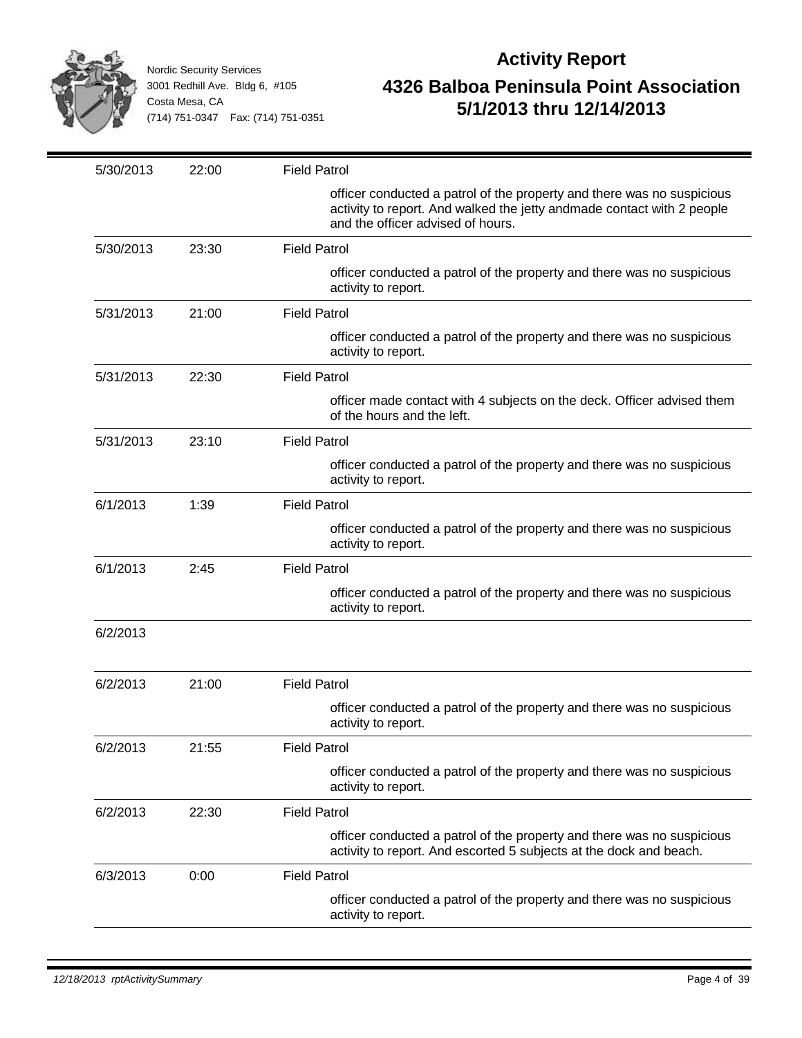

| 5/30/2013 | 22:00 | <b>Field Patrol</b>                                                                                                                                                                   |
|-----------|-------|---------------------------------------------------------------------------------------------------------------------------------------------------------------------------------------|
|           |       | officer conducted a patrol of the property and there was no suspicious<br>activity to report. And walked the jetty andmade contact with 2 people<br>and the officer advised of hours. |
| 5/30/2013 | 23:30 | <b>Field Patrol</b>                                                                                                                                                                   |
|           |       | officer conducted a patrol of the property and there was no suspicious<br>activity to report.                                                                                         |
| 5/31/2013 | 21:00 | <b>Field Patrol</b>                                                                                                                                                                   |
|           |       | officer conducted a patrol of the property and there was no suspicious<br>activity to report.                                                                                         |
| 5/31/2013 | 22:30 | <b>Field Patrol</b>                                                                                                                                                                   |
|           |       | officer made contact with 4 subjects on the deck. Officer advised them<br>of the hours and the left.                                                                                  |
| 5/31/2013 | 23:10 | <b>Field Patrol</b>                                                                                                                                                                   |
|           |       | officer conducted a patrol of the property and there was no suspicious<br>activity to report.                                                                                         |
| 6/1/2013  | 1:39  | <b>Field Patrol</b>                                                                                                                                                                   |
|           |       | officer conducted a patrol of the property and there was no suspicious<br>activity to report.                                                                                         |
| 6/1/2013  | 2:45  | <b>Field Patrol</b>                                                                                                                                                                   |
|           |       | officer conducted a patrol of the property and there was no suspicious<br>activity to report.                                                                                         |
| 6/2/2013  |       |                                                                                                                                                                                       |
| 6/2/2013  | 21:00 | <b>Field Patrol</b>                                                                                                                                                                   |
|           |       | officer conducted a patrol of the property and there was no suspicious<br>activity to report.                                                                                         |
| 6/2/2013  | 21:55 | <b>Field Patrol</b>                                                                                                                                                                   |
|           |       | officer conducted a patrol of the property and there was no suspicious<br>activity to report.                                                                                         |
| 6/2/2013  | 22:30 | <b>Field Patrol</b>                                                                                                                                                                   |
|           |       | officer conducted a patrol of the property and there was no suspicious<br>activity to report. And escorted 5 subjects at the dock and beach.                                          |
| 6/3/2013  | 0:00  | <b>Field Patrol</b>                                                                                                                                                                   |
|           |       | officer conducted a patrol of the property and there was no suspicious<br>activity to report.                                                                                         |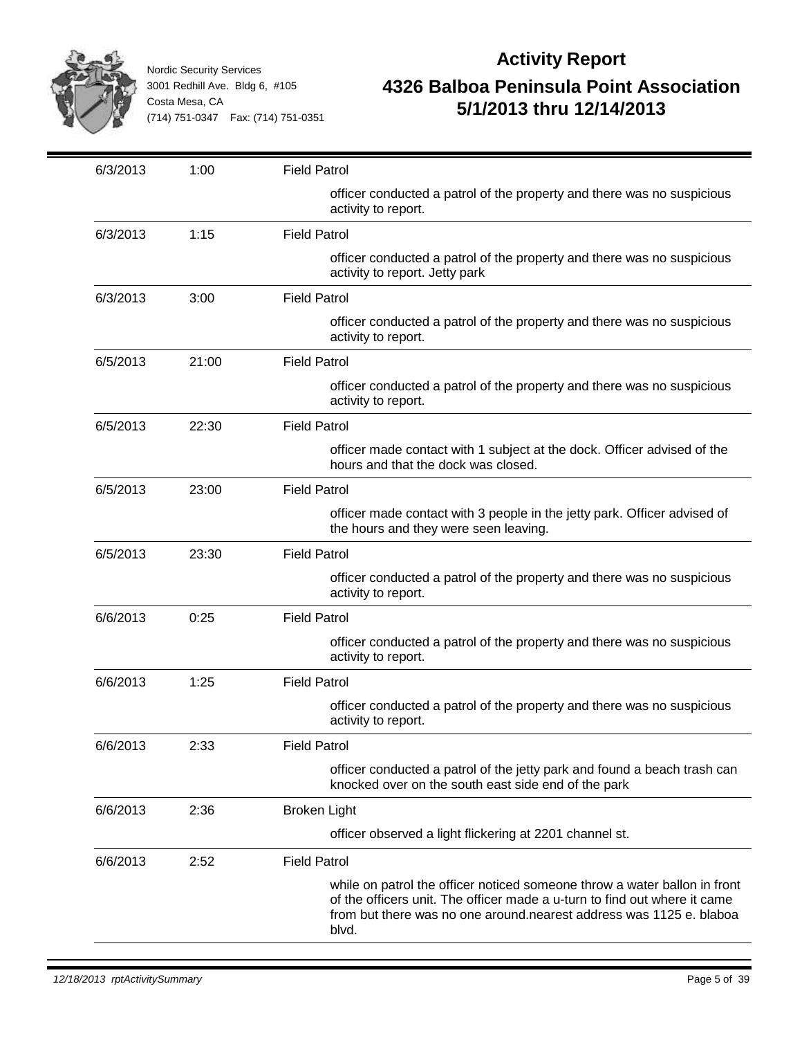

| 6/3/2013 | 1:00  | <b>Field Patrol</b>                                                                                                                                                                                                                    |
|----------|-------|----------------------------------------------------------------------------------------------------------------------------------------------------------------------------------------------------------------------------------------|
|          |       | officer conducted a patrol of the property and there was no suspicious<br>activity to report.                                                                                                                                          |
| 6/3/2013 | 1:15  | <b>Field Patrol</b>                                                                                                                                                                                                                    |
|          |       | officer conducted a patrol of the property and there was no suspicious<br>activity to report. Jetty park                                                                                                                               |
| 6/3/2013 | 3:00  | <b>Field Patrol</b>                                                                                                                                                                                                                    |
|          |       | officer conducted a patrol of the property and there was no suspicious<br>activity to report.                                                                                                                                          |
| 6/5/2013 | 21:00 | <b>Field Patrol</b>                                                                                                                                                                                                                    |
|          |       | officer conducted a patrol of the property and there was no suspicious<br>activity to report.                                                                                                                                          |
| 6/5/2013 | 22:30 | <b>Field Patrol</b>                                                                                                                                                                                                                    |
|          |       | officer made contact with 1 subject at the dock. Officer advised of the<br>hours and that the dock was closed.                                                                                                                         |
| 6/5/2013 | 23:00 | <b>Field Patrol</b>                                                                                                                                                                                                                    |
|          |       | officer made contact with 3 people in the jetty park. Officer advised of<br>the hours and they were seen leaving.                                                                                                                      |
| 6/5/2013 | 23:30 | <b>Field Patrol</b>                                                                                                                                                                                                                    |
|          |       | officer conducted a patrol of the property and there was no suspicious<br>activity to report.                                                                                                                                          |
| 6/6/2013 | 0:25  | <b>Field Patrol</b>                                                                                                                                                                                                                    |
|          |       | officer conducted a patrol of the property and there was no suspicious<br>activity to report.                                                                                                                                          |
| 6/6/2013 | 1:25  | <b>Field Patrol</b>                                                                                                                                                                                                                    |
|          |       | officer conducted a patrol of the property and there was no suspicious<br>activity to report.                                                                                                                                          |
| 6/6/2013 | 2:33  | <b>Field Patrol</b>                                                                                                                                                                                                                    |
|          |       | officer conducted a patrol of the jetty park and found a beach trash can<br>knocked over on the south east side end of the park                                                                                                        |
| 6/6/2013 | 2:36  | <b>Broken Light</b>                                                                                                                                                                                                                    |
|          |       | officer observed a light flickering at 2201 channel st.                                                                                                                                                                                |
| 6/6/2013 | 2:52  | <b>Field Patrol</b>                                                                                                                                                                                                                    |
|          |       | while on patrol the officer noticed someone throw a water ballon in front<br>of the officers unit. The officer made a u-turn to find out where it came<br>from but there was no one around nearest address was 1125 e. blaboa<br>blvd. |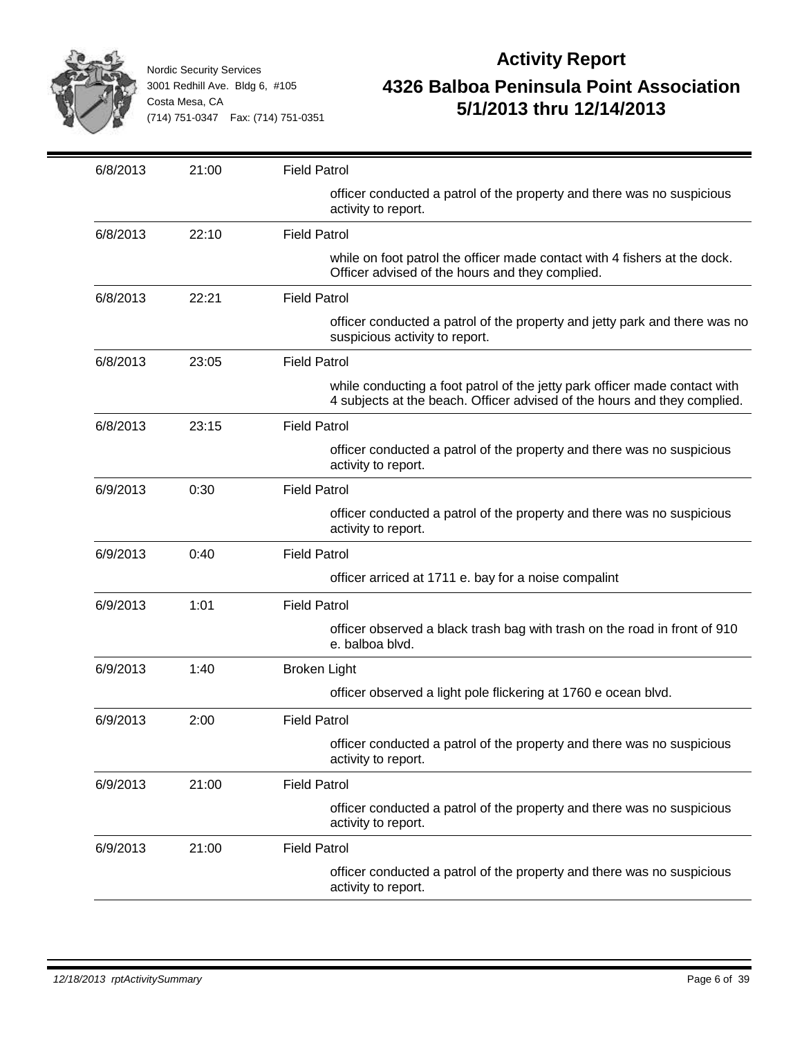

| 6/8/2013 | 21:00 | <b>Field Patrol</b>                                                                                                                                    |
|----------|-------|--------------------------------------------------------------------------------------------------------------------------------------------------------|
|          |       | officer conducted a patrol of the property and there was no suspicious<br>activity to report.                                                          |
| 6/8/2013 | 22:10 | <b>Field Patrol</b>                                                                                                                                    |
|          |       | while on foot patrol the officer made contact with 4 fishers at the dock.<br>Officer advised of the hours and they complied.                           |
| 6/8/2013 | 22:21 | <b>Field Patrol</b>                                                                                                                                    |
|          |       | officer conducted a patrol of the property and jetty park and there was no<br>suspicious activity to report.                                           |
| 6/8/2013 | 23:05 | <b>Field Patrol</b>                                                                                                                                    |
|          |       | while conducting a foot patrol of the jetty park officer made contact with<br>4 subjects at the beach. Officer advised of the hours and they complied. |
| 6/8/2013 | 23:15 | <b>Field Patrol</b>                                                                                                                                    |
|          |       | officer conducted a patrol of the property and there was no suspicious<br>activity to report.                                                          |
| 6/9/2013 | 0:30  | <b>Field Patrol</b>                                                                                                                                    |
|          |       | officer conducted a patrol of the property and there was no suspicious<br>activity to report.                                                          |
| 6/9/2013 | 0:40  | <b>Field Patrol</b>                                                                                                                                    |
|          |       | officer arriced at 1711 e. bay for a noise compalint                                                                                                   |
| 6/9/2013 | 1:01  | <b>Field Patrol</b>                                                                                                                                    |
|          |       | officer observed a black trash bag with trash on the road in front of 910<br>e. balboa blvd.                                                           |
| 6/9/2013 | 1:40  | <b>Broken Light</b>                                                                                                                                    |
|          |       | officer observed a light pole flickering at 1760 e ocean blvd.                                                                                         |
| 6/9/2013 | 2:00  | <b>Field Patrol</b>                                                                                                                                    |
|          |       | officer conducted a patrol of the property and there was no suspicious<br>activity to report.                                                          |
| 6/9/2013 | 21:00 | <b>Field Patrol</b>                                                                                                                                    |
|          |       | officer conducted a patrol of the property and there was no suspicious<br>activity to report.                                                          |
| 6/9/2013 | 21:00 | <b>Field Patrol</b>                                                                                                                                    |
|          |       | officer conducted a patrol of the property and there was no suspicious<br>activity to report.                                                          |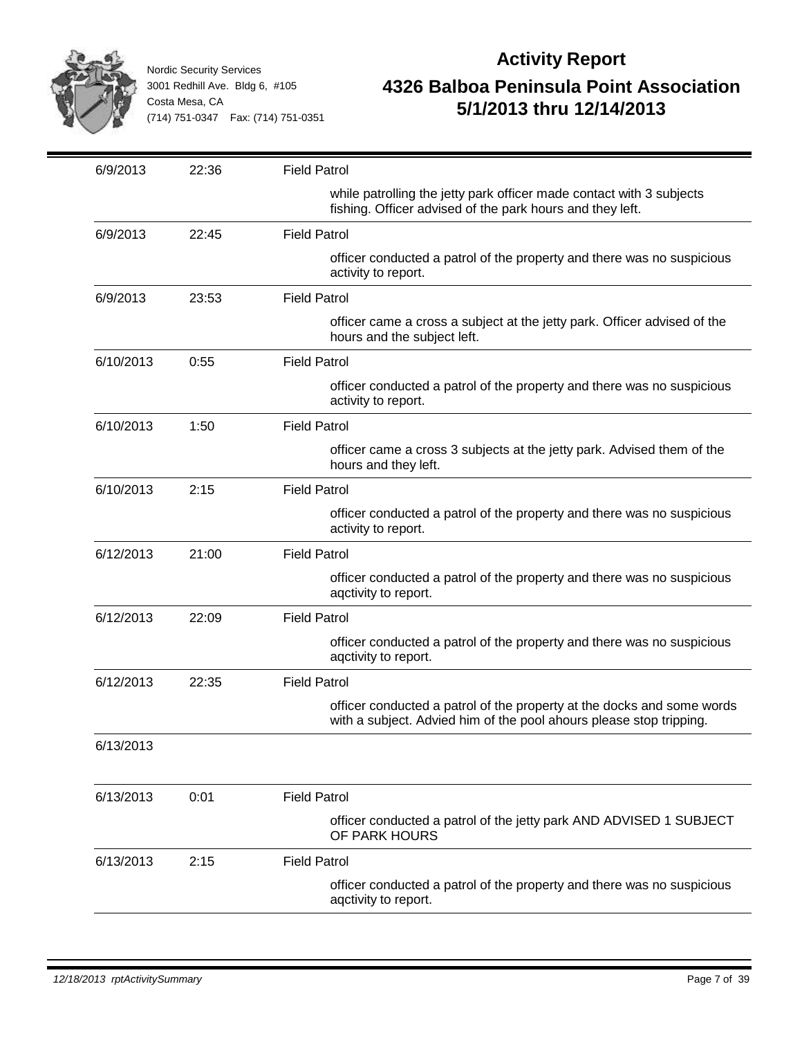

| 6/9/2013  | 22:36 | <b>Field Patrol</b>                                                                                                                           |
|-----------|-------|-----------------------------------------------------------------------------------------------------------------------------------------------|
|           |       | while patrolling the jetty park officer made contact with 3 subjects<br>fishing. Officer advised of the park hours and they left.             |
| 6/9/2013  | 22:45 | <b>Field Patrol</b>                                                                                                                           |
|           |       | officer conducted a patrol of the property and there was no suspicious<br>activity to report.                                                 |
| 6/9/2013  | 23:53 | <b>Field Patrol</b>                                                                                                                           |
|           |       | officer came a cross a subject at the jetty park. Officer advised of the<br>hours and the subject left.                                       |
| 6/10/2013 | 0:55  | <b>Field Patrol</b>                                                                                                                           |
|           |       | officer conducted a patrol of the property and there was no suspicious<br>activity to report.                                                 |
| 6/10/2013 | 1:50  | <b>Field Patrol</b>                                                                                                                           |
|           |       | officer came a cross 3 subjects at the jetty park. Advised them of the<br>hours and they left.                                                |
| 6/10/2013 | 2:15  | <b>Field Patrol</b>                                                                                                                           |
|           |       | officer conducted a patrol of the property and there was no suspicious<br>activity to report.                                                 |
| 6/12/2013 | 21:00 | <b>Field Patrol</b>                                                                                                                           |
|           |       | officer conducted a patrol of the property and there was no suspicious<br>agctivity to report.                                                |
| 6/12/2013 | 22:09 | <b>Field Patrol</b>                                                                                                                           |
|           |       | officer conducted a patrol of the property and there was no suspicious<br>aqctivity to report.                                                |
| 6/12/2013 | 22:35 | <b>Field Patrol</b>                                                                                                                           |
|           |       | officer conducted a patrol of the property at the docks and some words<br>with a subject. Advied him of the pool ahours please stop tripping. |
| 6/13/2013 |       |                                                                                                                                               |
| 6/13/2013 | 0:01  | <b>Field Patrol</b>                                                                                                                           |
|           |       | officer conducted a patrol of the jetty park AND ADVISED 1 SUBJECT<br>OF PARK HOURS                                                           |
| 6/13/2013 | 2:15  | <b>Field Patrol</b>                                                                                                                           |
|           |       | officer conducted a patrol of the property and there was no suspicious<br>agctivity to report.                                                |
|           |       |                                                                                                                                               |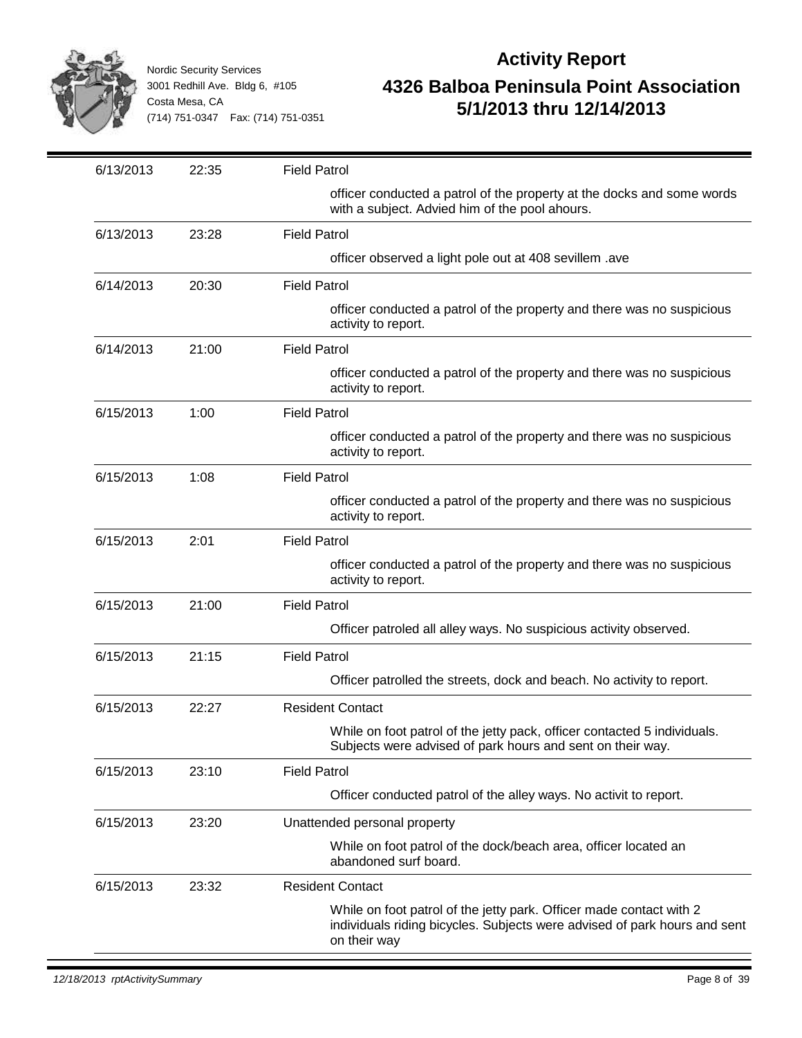

| 6/13/2013 | 22:35 | <b>Field Patrol</b>                                                                                                                                              |
|-----------|-------|------------------------------------------------------------------------------------------------------------------------------------------------------------------|
|           |       | officer conducted a patrol of the property at the docks and some words<br>with a subject. Advied him of the pool ahours.                                         |
| 6/13/2013 | 23:28 | <b>Field Patrol</b>                                                                                                                                              |
|           |       | officer observed a light pole out at 408 sevillem .ave                                                                                                           |
| 6/14/2013 | 20:30 | <b>Field Patrol</b>                                                                                                                                              |
|           |       | officer conducted a patrol of the property and there was no suspicious<br>activity to report.                                                                    |
| 6/14/2013 | 21:00 | <b>Field Patrol</b>                                                                                                                                              |
|           |       | officer conducted a patrol of the property and there was no suspicious<br>activity to report.                                                                    |
| 6/15/2013 | 1:00  | <b>Field Patrol</b>                                                                                                                                              |
|           |       | officer conducted a patrol of the property and there was no suspicious<br>activity to report.                                                                    |
| 6/15/2013 | 1:08  | <b>Field Patrol</b>                                                                                                                                              |
|           |       | officer conducted a patrol of the property and there was no suspicious<br>activity to report.                                                                    |
| 6/15/2013 | 2:01  | <b>Field Patrol</b>                                                                                                                                              |
|           |       | officer conducted a patrol of the property and there was no suspicious<br>activity to report.                                                                    |
| 6/15/2013 | 21:00 | <b>Field Patrol</b>                                                                                                                                              |
|           |       | Officer patroled all alley ways. No suspicious activity observed.                                                                                                |
| 6/15/2013 | 21:15 | <b>Field Patrol</b>                                                                                                                                              |
|           |       | Officer patrolled the streets, dock and beach. No activity to report.                                                                                            |
| 6/15/2013 | 22:27 | <b>Resident Contact</b>                                                                                                                                          |
|           |       | While on foot patrol of the jetty pack, officer contacted 5 individuals.<br>Subjects were advised of park hours and sent on their way.                           |
| 6/15/2013 | 23:10 | <b>Field Patrol</b>                                                                                                                                              |
|           |       | Officer conducted patrol of the alley ways. No activit to report.                                                                                                |
| 6/15/2013 | 23:20 | Unattended personal property                                                                                                                                     |
|           |       | While on foot patrol of the dock/beach area, officer located an<br>abandoned surf board.                                                                         |
| 6/15/2013 | 23:32 | <b>Resident Contact</b>                                                                                                                                          |
|           |       | While on foot patrol of the jetty park. Officer made contact with 2<br>individuals riding bicycles. Subjects were advised of park hours and sent<br>on their way |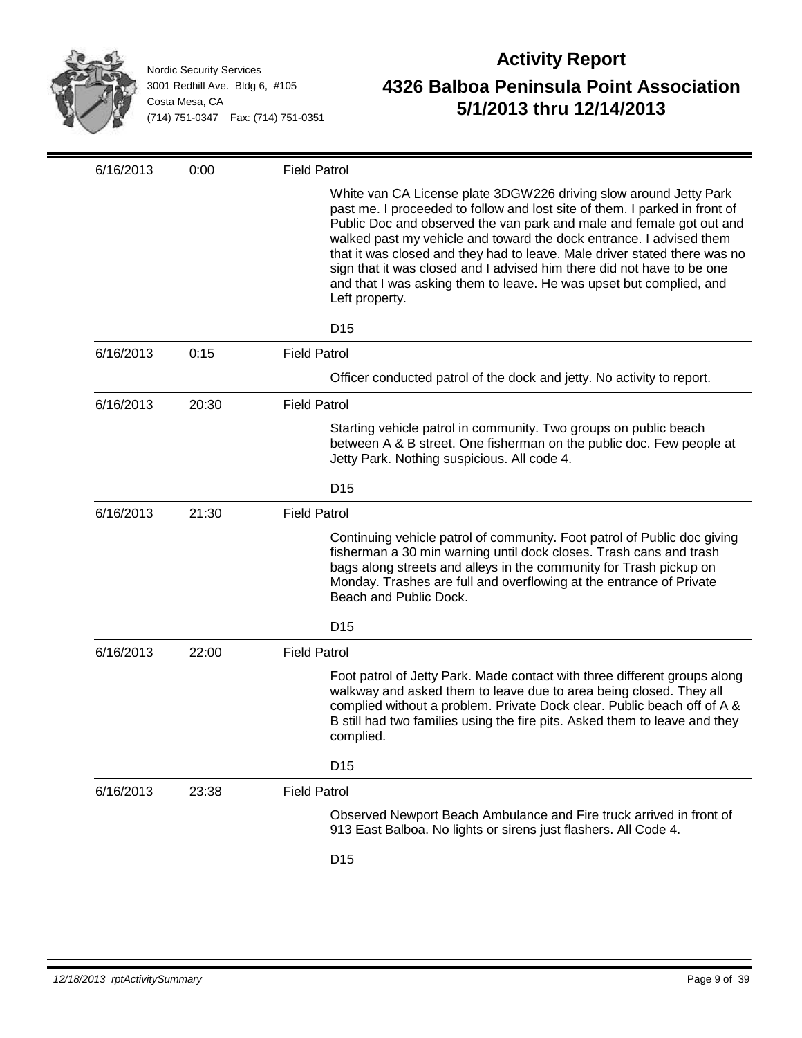

| White van CA License plate 3DGW226 driving slow around Jetty Park<br>past me. I proceeded to follow and lost site of them. I parked in front of<br>Public Doc and observed the van park and male and female got out and<br>walked past my vehicle and toward the dock entrance. I advised them<br>that it was closed and they had to leave. Male driver stated there was no<br>sign that it was closed and I advised him there did not have to be one<br>and that I was asking them to leave. He was upset but complied, and<br>Left property.<br>D <sub>15</sub><br>6/16/2013<br><b>Field Patrol</b><br>0:15<br>Officer conducted patrol of the dock and jetty. No activity to report.<br>6/16/2013<br>20:30<br><b>Field Patrol</b><br>Starting vehicle patrol in community. Two groups on public beach<br>between A & B street. One fisherman on the public doc. Few people at<br>Jetty Park. Nothing suspicious. All code 4.<br>D <sub>15</sub><br>6/16/2013<br>21:30<br><b>Field Patrol</b><br>Continuing vehicle patrol of community. Foot patrol of Public doc giving<br>fisherman a 30 min warning until dock closes. Trash cans and trash<br>bags along streets and alleys in the community for Trash pickup on<br>Monday. Trashes are full and overflowing at the entrance of Private<br>Beach and Public Dock.<br>D <sub>15</sub><br>6/16/2013<br><b>Field Patrol</b><br>22:00<br>Foot patrol of Jetty Park. Made contact with three different groups along<br>walkway and asked them to leave due to area being closed. They all<br>complied without a problem. Private Dock clear. Public beach off of A &<br>B still had two families using the fire pits. Asked them to leave and they<br>complied.<br>D <sub>15</sub> | 6/16/2013 | 0:00  | <b>Field Patrol</b> |
|--------------------------------------------------------------------------------------------------------------------------------------------------------------------------------------------------------------------------------------------------------------------------------------------------------------------------------------------------------------------------------------------------------------------------------------------------------------------------------------------------------------------------------------------------------------------------------------------------------------------------------------------------------------------------------------------------------------------------------------------------------------------------------------------------------------------------------------------------------------------------------------------------------------------------------------------------------------------------------------------------------------------------------------------------------------------------------------------------------------------------------------------------------------------------------------------------------------------------------------------------------------------------------------------------------------------------------------------------------------------------------------------------------------------------------------------------------------------------------------------------------------------------------------------------------------------------------------------------------------------------------------------------------------------------------------------------------------------------------------|-----------|-------|---------------------|
|                                                                                                                                                                                                                                                                                                                                                                                                                                                                                                                                                                                                                                                                                                                                                                                                                                                                                                                                                                                                                                                                                                                                                                                                                                                                                                                                                                                                                                                                                                                                                                                                                                                                                                                                      |           |       |                     |
|                                                                                                                                                                                                                                                                                                                                                                                                                                                                                                                                                                                                                                                                                                                                                                                                                                                                                                                                                                                                                                                                                                                                                                                                                                                                                                                                                                                                                                                                                                                                                                                                                                                                                                                                      |           |       |                     |
|                                                                                                                                                                                                                                                                                                                                                                                                                                                                                                                                                                                                                                                                                                                                                                                                                                                                                                                                                                                                                                                                                                                                                                                                                                                                                                                                                                                                                                                                                                                                                                                                                                                                                                                                      |           |       |                     |
|                                                                                                                                                                                                                                                                                                                                                                                                                                                                                                                                                                                                                                                                                                                                                                                                                                                                                                                                                                                                                                                                                                                                                                                                                                                                                                                                                                                                                                                                                                                                                                                                                                                                                                                                      |           |       |                     |
|                                                                                                                                                                                                                                                                                                                                                                                                                                                                                                                                                                                                                                                                                                                                                                                                                                                                                                                                                                                                                                                                                                                                                                                                                                                                                                                                                                                                                                                                                                                                                                                                                                                                                                                                      |           |       |                     |
|                                                                                                                                                                                                                                                                                                                                                                                                                                                                                                                                                                                                                                                                                                                                                                                                                                                                                                                                                                                                                                                                                                                                                                                                                                                                                                                                                                                                                                                                                                                                                                                                                                                                                                                                      |           |       |                     |
|                                                                                                                                                                                                                                                                                                                                                                                                                                                                                                                                                                                                                                                                                                                                                                                                                                                                                                                                                                                                                                                                                                                                                                                                                                                                                                                                                                                                                                                                                                                                                                                                                                                                                                                                      |           |       |                     |
|                                                                                                                                                                                                                                                                                                                                                                                                                                                                                                                                                                                                                                                                                                                                                                                                                                                                                                                                                                                                                                                                                                                                                                                                                                                                                                                                                                                                                                                                                                                                                                                                                                                                                                                                      |           |       |                     |
|                                                                                                                                                                                                                                                                                                                                                                                                                                                                                                                                                                                                                                                                                                                                                                                                                                                                                                                                                                                                                                                                                                                                                                                                                                                                                                                                                                                                                                                                                                                                                                                                                                                                                                                                      |           |       |                     |
|                                                                                                                                                                                                                                                                                                                                                                                                                                                                                                                                                                                                                                                                                                                                                                                                                                                                                                                                                                                                                                                                                                                                                                                                                                                                                                                                                                                                                                                                                                                                                                                                                                                                                                                                      |           |       |                     |
|                                                                                                                                                                                                                                                                                                                                                                                                                                                                                                                                                                                                                                                                                                                                                                                                                                                                                                                                                                                                                                                                                                                                                                                                                                                                                                                                                                                                                                                                                                                                                                                                                                                                                                                                      |           |       |                     |
|                                                                                                                                                                                                                                                                                                                                                                                                                                                                                                                                                                                                                                                                                                                                                                                                                                                                                                                                                                                                                                                                                                                                                                                                                                                                                                                                                                                                                                                                                                                                                                                                                                                                                                                                      |           |       |                     |
|                                                                                                                                                                                                                                                                                                                                                                                                                                                                                                                                                                                                                                                                                                                                                                                                                                                                                                                                                                                                                                                                                                                                                                                                                                                                                                                                                                                                                                                                                                                                                                                                                                                                                                                                      |           |       |                     |
|                                                                                                                                                                                                                                                                                                                                                                                                                                                                                                                                                                                                                                                                                                                                                                                                                                                                                                                                                                                                                                                                                                                                                                                                                                                                                                                                                                                                                                                                                                                                                                                                                                                                                                                                      | 6/16/2013 | 23:38 | <b>Field Patrol</b> |
| Observed Newport Beach Ambulance and Fire truck arrived in front of<br>913 East Balboa. No lights or sirens just flashers. All Code 4.                                                                                                                                                                                                                                                                                                                                                                                                                                                                                                                                                                                                                                                                                                                                                                                                                                                                                                                                                                                                                                                                                                                                                                                                                                                                                                                                                                                                                                                                                                                                                                                               |           |       |                     |
| D <sub>15</sub>                                                                                                                                                                                                                                                                                                                                                                                                                                                                                                                                                                                                                                                                                                                                                                                                                                                                                                                                                                                                                                                                                                                                                                                                                                                                                                                                                                                                                                                                                                                                                                                                                                                                                                                      |           |       |                     |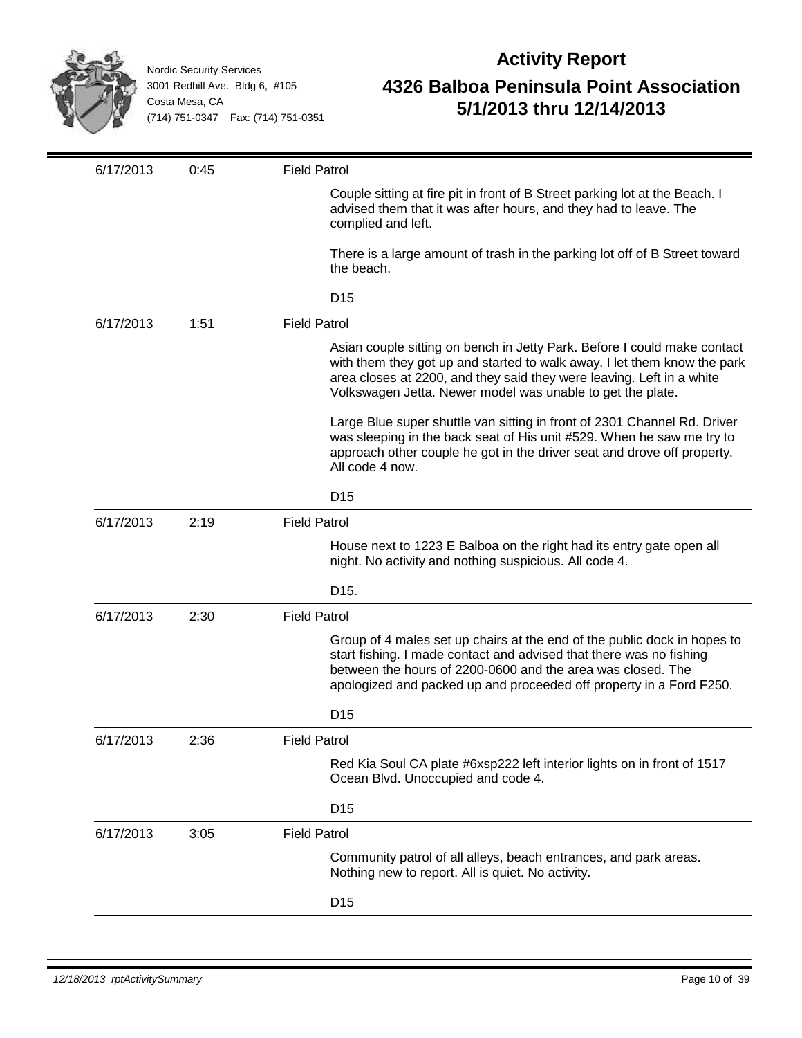

| 6/17/2013 | 0:45 | <b>Field Patrol</b>                                                                                                                                                                                                                                                                         |
|-----------|------|---------------------------------------------------------------------------------------------------------------------------------------------------------------------------------------------------------------------------------------------------------------------------------------------|
|           |      | Couple sitting at fire pit in front of B Street parking lot at the Beach. I<br>advised them that it was after hours, and they had to leave. The<br>complied and left.                                                                                                                       |
|           |      | There is a large amount of trash in the parking lot off of B Street toward<br>the beach.                                                                                                                                                                                                    |
|           |      | D <sub>15</sub>                                                                                                                                                                                                                                                                             |
| 6/17/2013 | 1:51 | <b>Field Patrol</b>                                                                                                                                                                                                                                                                         |
|           |      | Asian couple sitting on bench in Jetty Park. Before I could make contact<br>with them they got up and started to walk away. I let them know the park<br>area closes at 2200, and they said they were leaving. Left in a white<br>Volkswagen Jetta. Newer model was unable to get the plate. |
|           |      | Large Blue super shuttle van sitting in front of 2301 Channel Rd. Driver<br>was sleeping in the back seat of His unit #529. When he saw me try to<br>approach other couple he got in the driver seat and drove off property.<br>All code 4 now.                                             |
|           |      | D <sub>15</sub>                                                                                                                                                                                                                                                                             |
| 6/17/2013 | 2:19 | <b>Field Patrol</b>                                                                                                                                                                                                                                                                         |
|           |      | House next to 1223 E Balboa on the right had its entry gate open all<br>night. No activity and nothing suspicious. All code 4.                                                                                                                                                              |
|           |      | D <sub>15</sub> .                                                                                                                                                                                                                                                                           |
| 6/17/2013 | 2:30 | <b>Field Patrol</b>                                                                                                                                                                                                                                                                         |
|           |      | Group of 4 males set up chairs at the end of the public dock in hopes to<br>start fishing. I made contact and advised that there was no fishing<br>between the hours of 2200-0600 and the area was closed. The<br>apologized and packed up and proceeded off property in a Ford F250.       |
|           |      | D <sub>15</sub>                                                                                                                                                                                                                                                                             |
| 6/17/2013 | 2:36 | <b>Field Patrol</b>                                                                                                                                                                                                                                                                         |
|           |      | Red Kia Soul CA plate #6xsp222 left interior lights on in front of 1517<br>Ocean Blvd. Unoccupied and code 4.                                                                                                                                                                               |
|           |      | D <sub>15</sub>                                                                                                                                                                                                                                                                             |
| 6/17/2013 | 3:05 | <b>Field Patrol</b>                                                                                                                                                                                                                                                                         |
|           |      | Community patrol of all alleys, beach entrances, and park areas.<br>Nothing new to report. All is quiet. No activity.                                                                                                                                                                       |
|           |      | D <sub>15</sub>                                                                                                                                                                                                                                                                             |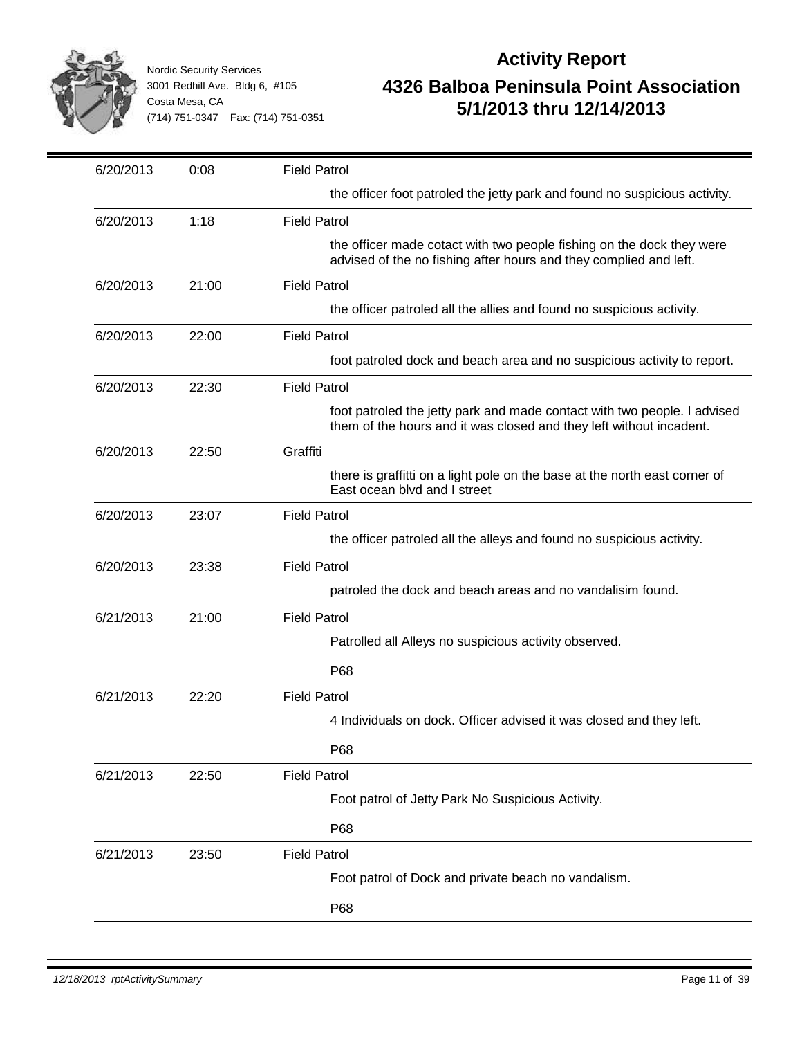

| 6/20/2013 | 0:08  | <b>Field Patrol</b>                                                                                                                             |
|-----------|-------|-------------------------------------------------------------------------------------------------------------------------------------------------|
|           |       | the officer foot patroled the jetty park and found no suspicious activity.                                                                      |
| 6/20/2013 | 1:18  | <b>Field Patrol</b>                                                                                                                             |
|           |       | the officer made cotact with two people fishing on the dock they were<br>advised of the no fishing after hours and they complied and left.      |
| 6/20/2013 | 21:00 | <b>Field Patrol</b>                                                                                                                             |
|           |       | the officer patroled all the allies and found no suspicious activity.                                                                           |
| 6/20/2013 | 22:00 | <b>Field Patrol</b>                                                                                                                             |
|           |       | foot patroled dock and beach area and no suspicious activity to report.                                                                         |
| 6/20/2013 | 22:30 | <b>Field Patrol</b>                                                                                                                             |
|           |       | foot patroled the jetty park and made contact with two people. I advised<br>them of the hours and it was closed and they left without incadent. |
| 6/20/2013 | 22:50 | Graffiti                                                                                                                                        |
|           |       | there is graffitti on a light pole on the base at the north east corner of<br>East ocean blvd and I street                                      |
| 6/20/2013 | 23:07 | <b>Field Patrol</b>                                                                                                                             |
|           |       | the officer patroled all the alleys and found no suspicious activity.                                                                           |
| 6/20/2013 | 23:38 | <b>Field Patrol</b>                                                                                                                             |
|           |       | patroled the dock and beach areas and no vandalisim found.                                                                                      |
| 6/21/2013 | 21:00 | <b>Field Patrol</b>                                                                                                                             |
|           |       | Patrolled all Alleys no suspicious activity observed.                                                                                           |
|           |       | P68                                                                                                                                             |
| 6/21/2013 | 22:20 | <b>Field Patrol</b>                                                                                                                             |
|           |       | 4 Individuals on dock. Officer advised it was closed and they left.                                                                             |
|           |       | P68                                                                                                                                             |
| 6/21/2013 | 22:50 | <b>Field Patrol</b>                                                                                                                             |
|           |       | Foot patrol of Jetty Park No Suspicious Activity.                                                                                               |
|           |       | P68                                                                                                                                             |
| 6/21/2013 | 23:50 | <b>Field Patrol</b>                                                                                                                             |
|           |       | Foot patrol of Dock and private beach no vandalism.                                                                                             |
|           |       | P68                                                                                                                                             |
|           |       |                                                                                                                                                 |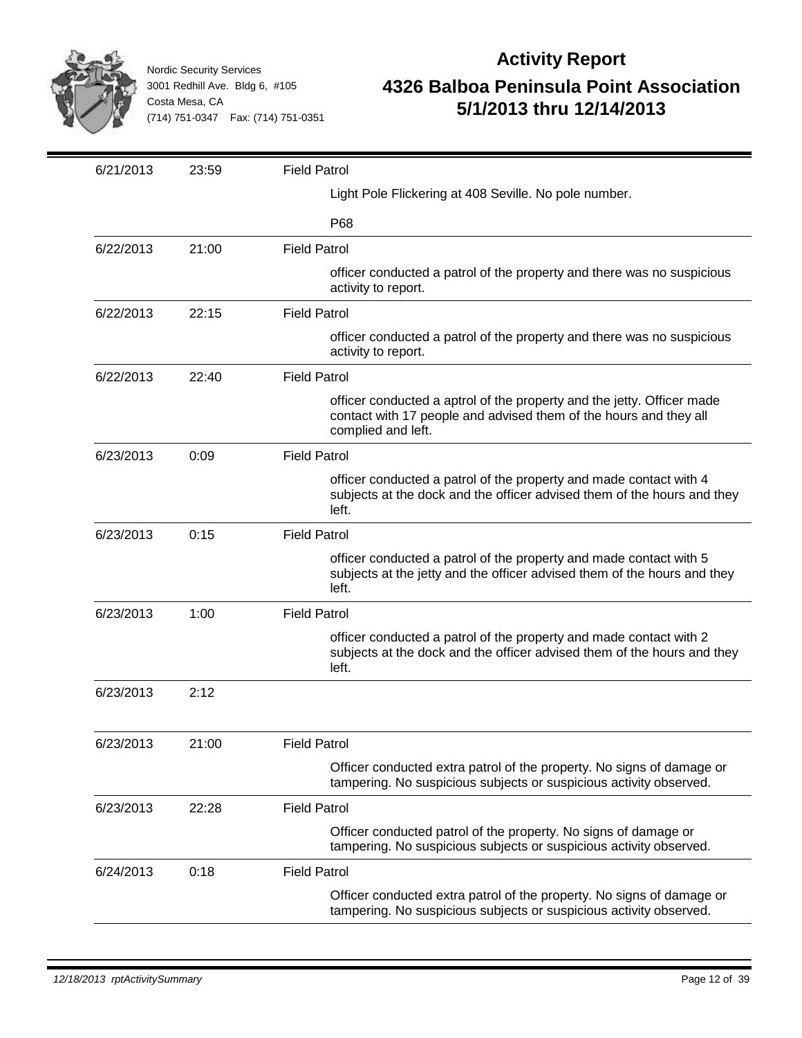

| 6/21/2013 | 23:59 | <b>Field Patrol</b>                                                                                                                                               |
|-----------|-------|-------------------------------------------------------------------------------------------------------------------------------------------------------------------|
|           |       | Light Pole Flickering at 408 Seville. No pole number.                                                                                                             |
|           |       | P68                                                                                                                                                               |
| 6/22/2013 | 21:00 | <b>Field Patrol</b>                                                                                                                                               |
|           |       | officer conducted a patrol of the property and there was no suspicious<br>activity to report.                                                                     |
| 6/22/2013 | 22:15 | <b>Field Patrol</b>                                                                                                                                               |
|           |       | officer conducted a patrol of the property and there was no suspicious<br>activity to report.                                                                     |
| 6/22/2013 | 22:40 | <b>Field Patrol</b>                                                                                                                                               |
|           |       | officer conducted a aptrol of the property and the jetty. Officer made<br>contact with 17 people and advised them of the hours and they all<br>complied and left. |
| 6/23/2013 | 0:09  | <b>Field Patrol</b>                                                                                                                                               |
|           |       | officer conducted a patrol of the property and made contact with 4<br>subjects at the dock and the officer advised them of the hours and they<br>left.            |
| 6/23/2013 | 0:15  | <b>Field Patrol</b>                                                                                                                                               |
|           |       | officer conducted a patrol of the property and made contact with 5<br>subjects at the jetty and the officer advised them of the hours and they<br>left.           |
| 6/23/2013 | 1:00  | <b>Field Patrol</b>                                                                                                                                               |
|           |       | officer conducted a patrol of the property and made contact with 2<br>subjects at the dock and the officer advised them of the hours and they<br>left.            |
| 6/23/2013 | 2:12  |                                                                                                                                                                   |
| 6/23/2013 | 21:00 | <b>Field Patrol</b>                                                                                                                                               |
|           |       | Officer conducted extra patrol of the property. No signs of damage or<br>tampering. No suspicious subjects or suspicious activity observed.                       |
| 6/23/2013 | 22:28 | <b>Field Patrol</b>                                                                                                                                               |
|           |       | Officer conducted patrol of the property. No signs of damage or<br>tampering. No suspicious subjects or suspicious activity observed.                             |
| 6/24/2013 | 0:18  | <b>Field Patrol</b>                                                                                                                                               |
|           |       | Officer conducted extra patrol of the property. No signs of damage or<br>tampering. No suspicious subjects or suspicious activity observed.                       |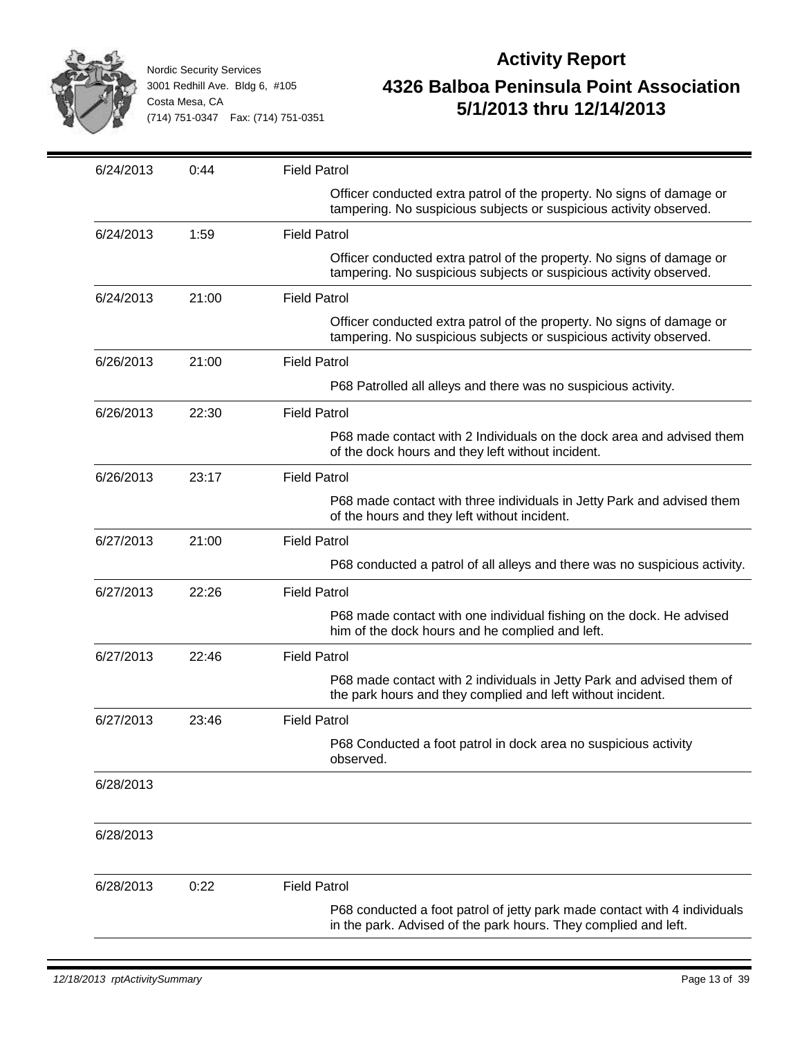

| 6/24/2013 | 0:44  | <b>Field Patrol</b>                                                                                                                          |
|-----------|-------|----------------------------------------------------------------------------------------------------------------------------------------------|
|           |       | Officer conducted extra patrol of the property. No signs of damage or<br>tampering. No suspicious subjects or suspicious activity observed.  |
| 6/24/2013 | 1:59  | <b>Field Patrol</b>                                                                                                                          |
|           |       | Officer conducted extra patrol of the property. No signs of damage or<br>tampering. No suspicious subjects or suspicious activity observed.  |
| 6/24/2013 | 21:00 | <b>Field Patrol</b>                                                                                                                          |
|           |       | Officer conducted extra patrol of the property. No signs of damage or<br>tampering. No suspicious subjects or suspicious activity observed.  |
| 6/26/2013 | 21:00 | <b>Field Patrol</b>                                                                                                                          |
|           |       | P68 Patrolled all alleys and there was no suspicious activity.                                                                               |
| 6/26/2013 | 22:30 | <b>Field Patrol</b>                                                                                                                          |
|           |       | P68 made contact with 2 Individuals on the dock area and advised them<br>of the dock hours and they left without incident.                   |
| 6/26/2013 | 23:17 | <b>Field Patrol</b>                                                                                                                          |
|           |       | P68 made contact with three individuals in Jetty Park and advised them<br>of the hours and they left without incident.                       |
| 6/27/2013 | 21:00 | <b>Field Patrol</b>                                                                                                                          |
|           |       | P68 conducted a patrol of all alleys and there was no suspicious activity.                                                                   |
| 6/27/2013 | 22:26 | <b>Field Patrol</b>                                                                                                                          |
|           |       | P68 made contact with one individual fishing on the dock. He advised<br>him of the dock hours and he complied and left.                      |
| 6/27/2013 | 22:46 | <b>Field Patrol</b>                                                                                                                          |
|           |       | P68 made contact with 2 individuals in Jetty Park and advised them of<br>the park hours and they complied and left without incident.         |
| 6/27/2013 | 23:46 | <b>Field Patrol</b>                                                                                                                          |
|           |       | P68 Conducted a foot patrol in dock area no suspicious activity<br>observed.                                                                 |
| 6/28/2013 |       |                                                                                                                                              |
|           |       |                                                                                                                                              |
| 6/28/2013 |       |                                                                                                                                              |
| 6/28/2013 | 0:22  | <b>Field Patrol</b>                                                                                                                          |
|           |       | P68 conducted a foot patrol of jetty park made contact with 4 individuals<br>in the park. Advised of the park hours. They complied and left. |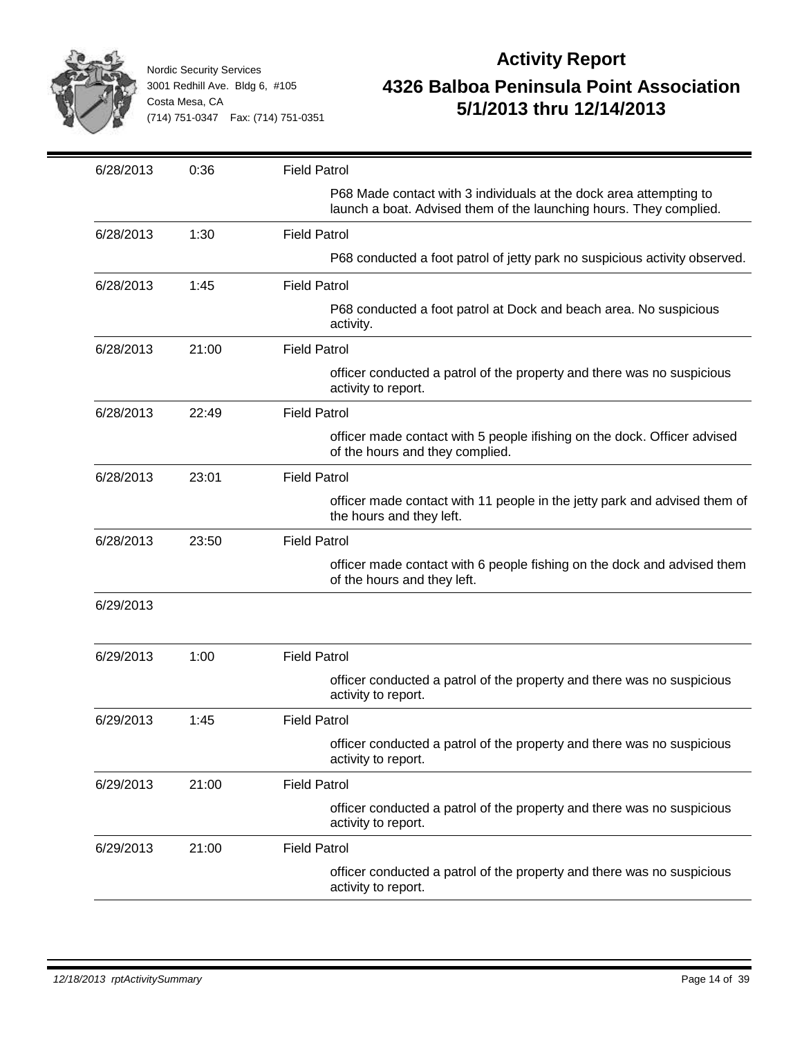

| 6/28/2013 | 0:36  | <b>Field Patrol</b>                                                                                                                      |
|-----------|-------|------------------------------------------------------------------------------------------------------------------------------------------|
|           |       | P68 Made contact with 3 individuals at the dock area attempting to<br>launch a boat. Advised them of the launching hours. They complied. |
| 6/28/2013 | 1:30  | <b>Field Patrol</b>                                                                                                                      |
|           |       | P68 conducted a foot patrol of jetty park no suspicious activity observed.                                                               |
| 6/28/2013 | 1:45  | <b>Field Patrol</b>                                                                                                                      |
|           |       | P68 conducted a foot patrol at Dock and beach area. No suspicious<br>activity.                                                           |
| 6/28/2013 | 21:00 | <b>Field Patrol</b>                                                                                                                      |
|           |       | officer conducted a patrol of the property and there was no suspicious<br>activity to report.                                            |
| 6/28/2013 | 22:49 | <b>Field Patrol</b>                                                                                                                      |
|           |       | officer made contact with 5 people ifishing on the dock. Officer advised<br>of the hours and they complied.                              |
| 6/28/2013 | 23:01 | <b>Field Patrol</b>                                                                                                                      |
|           |       | officer made contact with 11 people in the jetty park and advised them of<br>the hours and they left.                                    |
| 6/28/2013 | 23:50 | <b>Field Patrol</b>                                                                                                                      |
|           |       | officer made contact with 6 people fishing on the dock and advised them<br>of the hours and they left.                                   |
| 6/29/2013 |       |                                                                                                                                          |
| 6/29/2013 | 1:00  | <b>Field Patrol</b>                                                                                                                      |
|           |       | officer conducted a patrol of the property and there was no suspicious<br>activity to report.                                            |
| 6/29/2013 | 1:45  | <b>Field Patrol</b>                                                                                                                      |
|           |       | officer conducted a patrol of the property and there was no suspicious<br>activity to report.                                            |
| 6/29/2013 | 21:00 | <b>Field Patrol</b>                                                                                                                      |
|           |       | officer conducted a patrol of the property and there was no suspicious<br>activity to report.                                            |
| 6/29/2013 | 21:00 | <b>Field Patrol</b>                                                                                                                      |
|           |       | officer conducted a patrol of the property and there was no suspicious<br>activity to report.                                            |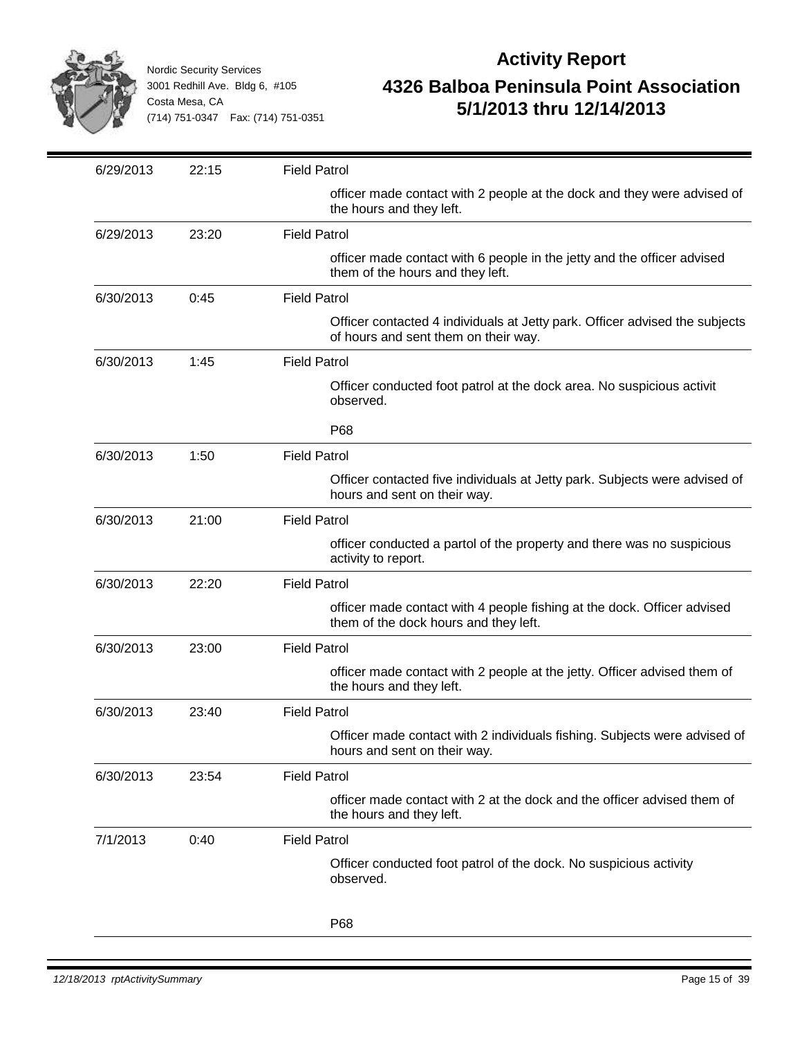

| 6/29/2013 | 22:15 | <b>Field Patrol</b>                                                                                                 |
|-----------|-------|---------------------------------------------------------------------------------------------------------------------|
|           |       | officer made contact with 2 people at the dock and they were advised of<br>the hours and they left.                 |
| 6/29/2013 | 23:20 | <b>Field Patrol</b>                                                                                                 |
|           |       | officer made contact with 6 people in the jetty and the officer advised<br>them of the hours and they left.         |
| 6/30/2013 | 0:45  | <b>Field Patrol</b>                                                                                                 |
|           |       | Officer contacted 4 individuals at Jetty park. Officer advised the subjects<br>of hours and sent them on their way. |
| 6/30/2013 | 1:45  | <b>Field Patrol</b>                                                                                                 |
|           |       | Officer conducted foot patrol at the dock area. No suspicious activit<br>observed.                                  |
|           |       | P68                                                                                                                 |
| 6/30/2013 | 1:50  | <b>Field Patrol</b>                                                                                                 |
|           |       | Officer contacted five individuals at Jetty park. Subjects were advised of<br>hours and sent on their way.          |
| 6/30/2013 | 21:00 | <b>Field Patrol</b>                                                                                                 |
|           |       | officer conducted a partol of the property and there was no suspicious<br>activity to report.                       |
| 6/30/2013 | 22:20 | <b>Field Patrol</b>                                                                                                 |
|           |       | officer made contact with 4 people fishing at the dock. Officer advised<br>them of the dock hours and they left.    |
| 6/30/2013 | 23:00 | <b>Field Patrol</b>                                                                                                 |
|           |       | officer made contact with 2 people at the jetty. Officer advised them of<br>the hours and they left.                |
| 6/30/2013 | 23:40 | <b>Field Patrol</b>                                                                                                 |
|           |       | Officer made contact with 2 individuals fishing. Subjects were advised of<br>hours and sent on their way.           |
| 6/30/2013 | 23:54 | <b>Field Patrol</b>                                                                                                 |
|           |       | officer made contact with 2 at the dock and the officer advised them of<br>the hours and they left.                 |
| 7/1/2013  | 0:40  | <b>Field Patrol</b>                                                                                                 |
|           |       | Officer conducted foot patrol of the dock. No suspicious activity<br>observed.                                      |
|           |       | P68                                                                                                                 |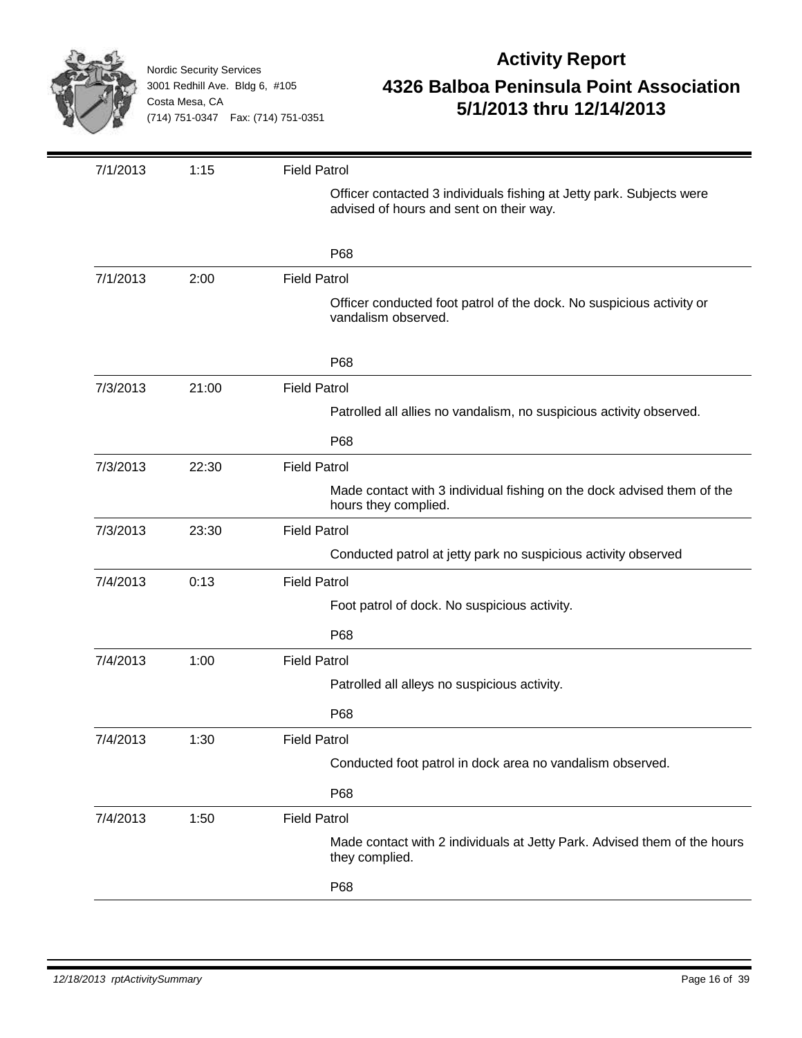

| 7/1/2013 | 1:15  | <b>Field Patrol</b>                                                                                             |
|----------|-------|-----------------------------------------------------------------------------------------------------------------|
|          |       | Officer contacted 3 individuals fishing at Jetty park. Subjects were<br>advised of hours and sent on their way. |
|          |       | P68                                                                                                             |
| 7/1/2013 | 2:00  | <b>Field Patrol</b>                                                                                             |
|          |       | Officer conducted foot patrol of the dock. No suspicious activity or<br>vandalism observed.                     |
|          |       | P68                                                                                                             |
| 7/3/2013 | 21:00 | <b>Field Patrol</b>                                                                                             |
|          |       | Patrolled all allies no vandalism, no suspicious activity observed.                                             |
|          |       | P68                                                                                                             |
| 7/3/2013 | 22:30 | <b>Field Patrol</b>                                                                                             |
|          |       | Made contact with 3 individual fishing on the dock advised them of the<br>hours they complied.                  |
| 7/3/2013 | 23:30 | <b>Field Patrol</b>                                                                                             |
|          |       | Conducted patrol at jetty park no suspicious activity observed                                                  |
| 7/4/2013 | 0:13  | <b>Field Patrol</b>                                                                                             |
|          |       | Foot patrol of dock. No suspicious activity.                                                                    |
|          |       | P68                                                                                                             |
| 7/4/2013 | 1:00  | <b>Field Patrol</b>                                                                                             |
|          |       | Patrolled all alleys no suspicious activity.                                                                    |
|          |       | P68                                                                                                             |
| 7/4/2013 | 1:30  | <b>Field Patrol</b>                                                                                             |
|          |       | Conducted foot patrol in dock area no vandalism observed.                                                       |
|          |       | P68                                                                                                             |
| 7/4/2013 | 1:50  | <b>Field Patrol</b>                                                                                             |
|          |       | Made contact with 2 individuals at Jetty Park. Advised them of the hours<br>they complied.                      |
|          |       | P68                                                                                                             |
|          |       |                                                                                                                 |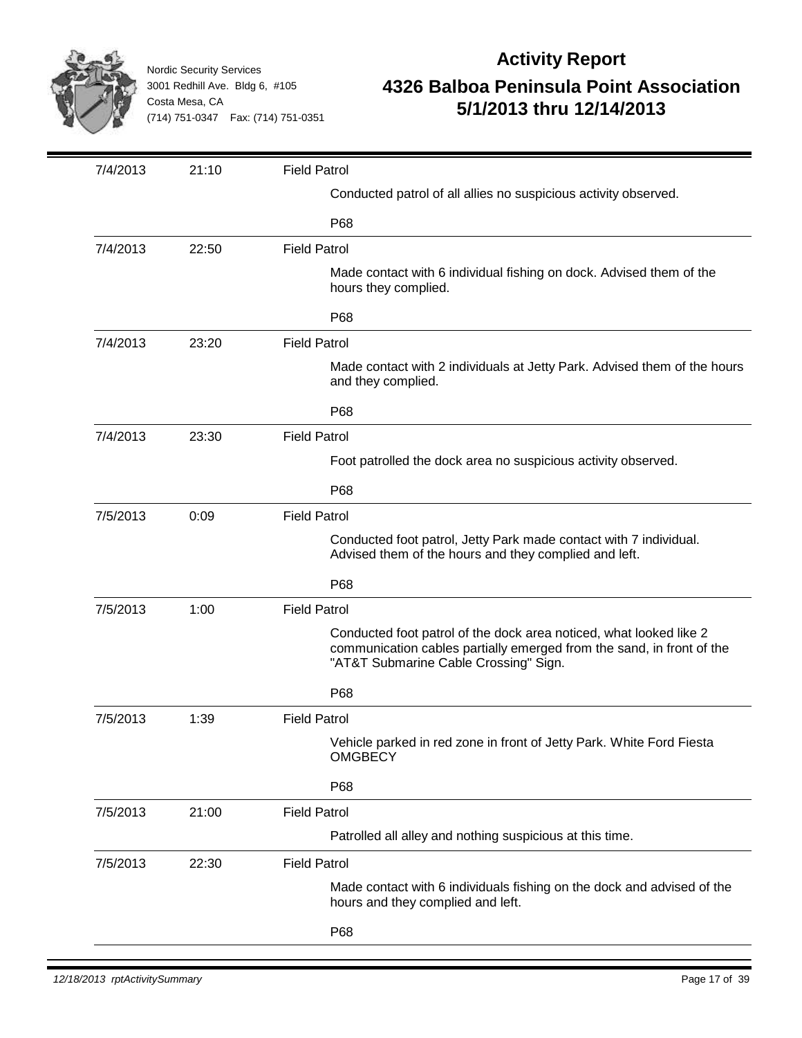

| Conducted patrol of all allies no suspicious activity observed.<br>P68<br><b>Field Patrol</b><br>7/4/2013<br>22:50<br>Made contact with 6 individual fishing on dock. Advised them of the<br>hours they complied.<br>P68<br>23:20<br><b>Field Patrol</b><br>7/4/2013<br>Made contact with 2 individuals at Jetty Park. Advised them of the hours<br>and they complied.<br>P68<br>23:30<br><b>Field Patrol</b><br>7/4/2013<br>Foot patrolled the dock area no suspicious activity observed.<br>P68<br>0:09<br><b>Field Patrol</b><br>7/5/2013<br>Conducted foot patrol, Jetty Park made contact with 7 individual.<br>Advised them of the hours and they complied and left.<br>P68<br><b>Field Patrol</b><br>7/5/2013<br>1:00<br>Conducted foot patrol of the dock area noticed, what looked like 2<br>communication cables partially emerged from the sand, in front of the<br>"AT&T Submarine Cable Crossing" Sign.<br>P68<br><b>Field Patrol</b><br>7/5/2013<br>1:39<br>Vehicle parked in red zone in front of Jetty Park. White Ford Fiesta<br><b>OMGBECY</b><br>P68<br><b>Field Patrol</b><br>7/5/2013<br>21:00<br>Patrolled all alley and nothing suspicious at this time.<br>7/5/2013<br>22:30<br><b>Field Patrol</b><br>Made contact with 6 individuals fishing on the dock and advised of the<br>hours and they complied and left. | 7/4/2013 | 21:10 | <b>Field Patrol</b> |
|--------------------------------------------------------------------------------------------------------------------------------------------------------------------------------------------------------------------------------------------------------------------------------------------------------------------------------------------------------------------------------------------------------------------------------------------------------------------------------------------------------------------------------------------------------------------------------------------------------------------------------------------------------------------------------------------------------------------------------------------------------------------------------------------------------------------------------------------------------------------------------------------------------------------------------------------------------------------------------------------------------------------------------------------------------------------------------------------------------------------------------------------------------------------------------------------------------------------------------------------------------------------------------------------------------------------------------------------|----------|-------|---------------------|
|                                                                                                                                                                                                                                                                                                                                                                                                                                                                                                                                                                                                                                                                                                                                                                                                                                                                                                                                                                                                                                                                                                                                                                                                                                                                                                                                            |          |       |                     |
|                                                                                                                                                                                                                                                                                                                                                                                                                                                                                                                                                                                                                                                                                                                                                                                                                                                                                                                                                                                                                                                                                                                                                                                                                                                                                                                                            |          |       |                     |
|                                                                                                                                                                                                                                                                                                                                                                                                                                                                                                                                                                                                                                                                                                                                                                                                                                                                                                                                                                                                                                                                                                                                                                                                                                                                                                                                            |          |       |                     |
|                                                                                                                                                                                                                                                                                                                                                                                                                                                                                                                                                                                                                                                                                                                                                                                                                                                                                                                                                                                                                                                                                                                                                                                                                                                                                                                                            |          |       |                     |
|                                                                                                                                                                                                                                                                                                                                                                                                                                                                                                                                                                                                                                                                                                                                                                                                                                                                                                                                                                                                                                                                                                                                                                                                                                                                                                                                            |          |       |                     |
|                                                                                                                                                                                                                                                                                                                                                                                                                                                                                                                                                                                                                                                                                                                                                                                                                                                                                                                                                                                                                                                                                                                                                                                                                                                                                                                                            |          |       |                     |
|                                                                                                                                                                                                                                                                                                                                                                                                                                                                                                                                                                                                                                                                                                                                                                                                                                                                                                                                                                                                                                                                                                                                                                                                                                                                                                                                            |          |       |                     |
|                                                                                                                                                                                                                                                                                                                                                                                                                                                                                                                                                                                                                                                                                                                                                                                                                                                                                                                                                                                                                                                                                                                                                                                                                                                                                                                                            |          |       |                     |
|                                                                                                                                                                                                                                                                                                                                                                                                                                                                                                                                                                                                                                                                                                                                                                                                                                                                                                                                                                                                                                                                                                                                                                                                                                                                                                                                            |          |       |                     |
|                                                                                                                                                                                                                                                                                                                                                                                                                                                                                                                                                                                                                                                                                                                                                                                                                                                                                                                                                                                                                                                                                                                                                                                                                                                                                                                                            |          |       |                     |
|                                                                                                                                                                                                                                                                                                                                                                                                                                                                                                                                                                                                                                                                                                                                                                                                                                                                                                                                                                                                                                                                                                                                                                                                                                                                                                                                            |          |       |                     |
|                                                                                                                                                                                                                                                                                                                                                                                                                                                                                                                                                                                                                                                                                                                                                                                                                                                                                                                                                                                                                                                                                                                                                                                                                                                                                                                                            |          |       |                     |
|                                                                                                                                                                                                                                                                                                                                                                                                                                                                                                                                                                                                                                                                                                                                                                                                                                                                                                                                                                                                                                                                                                                                                                                                                                                                                                                                            |          |       |                     |
|                                                                                                                                                                                                                                                                                                                                                                                                                                                                                                                                                                                                                                                                                                                                                                                                                                                                                                                                                                                                                                                                                                                                                                                                                                                                                                                                            |          |       |                     |
|                                                                                                                                                                                                                                                                                                                                                                                                                                                                                                                                                                                                                                                                                                                                                                                                                                                                                                                                                                                                                                                                                                                                                                                                                                                                                                                                            |          |       |                     |
|                                                                                                                                                                                                                                                                                                                                                                                                                                                                                                                                                                                                                                                                                                                                                                                                                                                                                                                                                                                                                                                                                                                                                                                                                                                                                                                                            |          |       |                     |
|                                                                                                                                                                                                                                                                                                                                                                                                                                                                                                                                                                                                                                                                                                                                                                                                                                                                                                                                                                                                                                                                                                                                                                                                                                                                                                                                            |          |       |                     |
|                                                                                                                                                                                                                                                                                                                                                                                                                                                                                                                                                                                                                                                                                                                                                                                                                                                                                                                                                                                                                                                                                                                                                                                                                                                                                                                                            |          |       |                     |
|                                                                                                                                                                                                                                                                                                                                                                                                                                                                                                                                                                                                                                                                                                                                                                                                                                                                                                                                                                                                                                                                                                                                                                                                                                                                                                                                            |          |       |                     |
|                                                                                                                                                                                                                                                                                                                                                                                                                                                                                                                                                                                                                                                                                                                                                                                                                                                                                                                                                                                                                                                                                                                                                                                                                                                                                                                                            |          |       |                     |
|                                                                                                                                                                                                                                                                                                                                                                                                                                                                                                                                                                                                                                                                                                                                                                                                                                                                                                                                                                                                                                                                                                                                                                                                                                                                                                                                            |          |       |                     |
|                                                                                                                                                                                                                                                                                                                                                                                                                                                                                                                                                                                                                                                                                                                                                                                                                                                                                                                                                                                                                                                                                                                                                                                                                                                                                                                                            |          |       |                     |
|                                                                                                                                                                                                                                                                                                                                                                                                                                                                                                                                                                                                                                                                                                                                                                                                                                                                                                                                                                                                                                                                                                                                                                                                                                                                                                                                            |          |       |                     |
|                                                                                                                                                                                                                                                                                                                                                                                                                                                                                                                                                                                                                                                                                                                                                                                                                                                                                                                                                                                                                                                                                                                                                                                                                                                                                                                                            |          |       |                     |
|                                                                                                                                                                                                                                                                                                                                                                                                                                                                                                                                                                                                                                                                                                                                                                                                                                                                                                                                                                                                                                                                                                                                                                                                                                                                                                                                            |          |       | P68                 |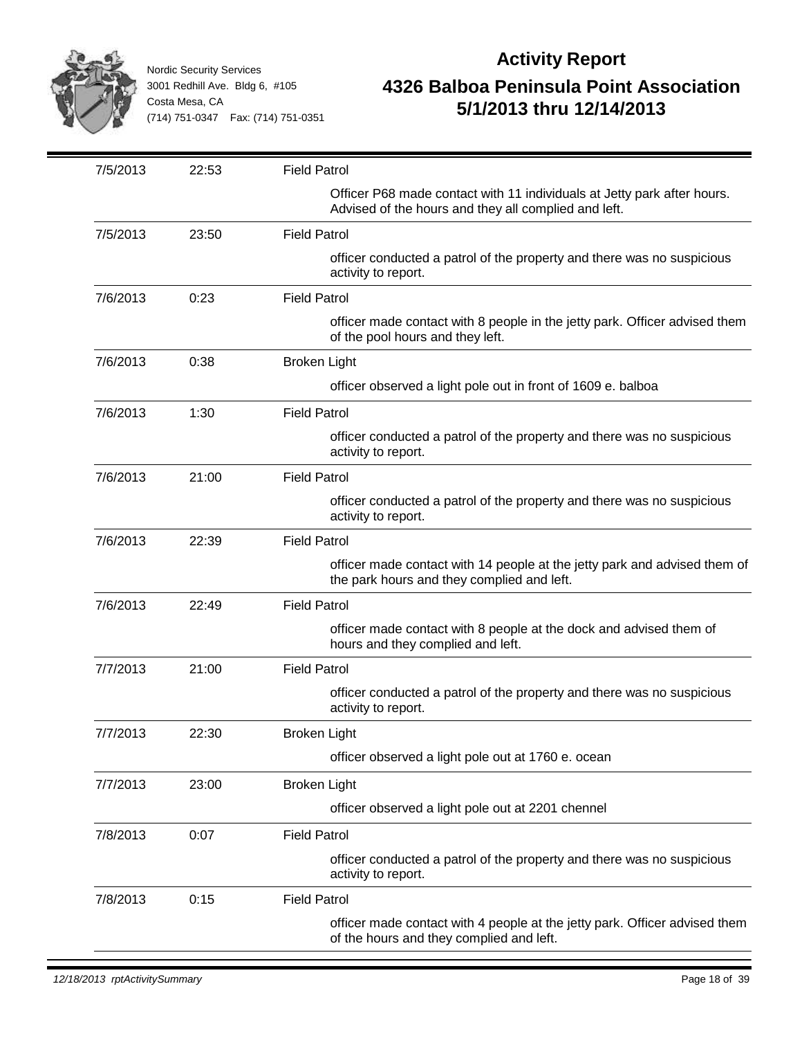

| 7/5/2013 | 22:53 | <b>Field Patrol</b>                                                                                                             |
|----------|-------|---------------------------------------------------------------------------------------------------------------------------------|
|          |       | Officer P68 made contact with 11 individuals at Jetty park after hours.<br>Advised of the hours and they all complied and left. |
| 7/5/2013 | 23:50 | <b>Field Patrol</b>                                                                                                             |
|          |       | officer conducted a patrol of the property and there was no suspicious<br>activity to report.                                   |
| 7/6/2013 | 0:23  | <b>Field Patrol</b>                                                                                                             |
|          |       | officer made contact with 8 people in the jetty park. Officer advised them<br>of the pool hours and they left.                  |
| 7/6/2013 | 0:38  | <b>Broken Light</b>                                                                                                             |
|          |       | officer observed a light pole out in front of 1609 e. balboa                                                                    |
| 7/6/2013 | 1:30  | <b>Field Patrol</b>                                                                                                             |
|          |       | officer conducted a patrol of the property and there was no suspicious<br>activity to report.                                   |
| 7/6/2013 | 21:00 | <b>Field Patrol</b>                                                                                                             |
|          |       | officer conducted a patrol of the property and there was no suspicious<br>activity to report.                                   |
| 7/6/2013 | 22:39 | <b>Field Patrol</b>                                                                                                             |
|          |       | officer made contact with 14 people at the jetty park and advised them of<br>the park hours and they complied and left.         |
| 7/6/2013 | 22:49 | <b>Field Patrol</b>                                                                                                             |
|          |       | officer made contact with 8 people at the dock and advised them of<br>hours and they complied and left.                         |
| 7/7/2013 | 21:00 | <b>Field Patrol</b>                                                                                                             |
|          |       | officer conducted a patrol of the property and there was no suspicious<br>activity to report.                                   |
| 7/7/2013 | 22:30 | <b>Broken Light</b>                                                                                                             |
|          |       | officer observed a light pole out at 1760 e. ocean                                                                              |
| 7/7/2013 | 23:00 | <b>Broken Light</b>                                                                                                             |
|          |       | officer observed a light pole out at 2201 chennel                                                                               |
| 7/8/2013 | 0:07  | <b>Field Patrol</b>                                                                                                             |
|          |       | officer conducted a patrol of the property and there was no suspicious<br>activity to report.                                   |
| 7/8/2013 | 0:15  | <b>Field Patrol</b>                                                                                                             |
|          |       | officer made contact with 4 people at the jetty park. Officer advised them<br>of the hours and they complied and left.          |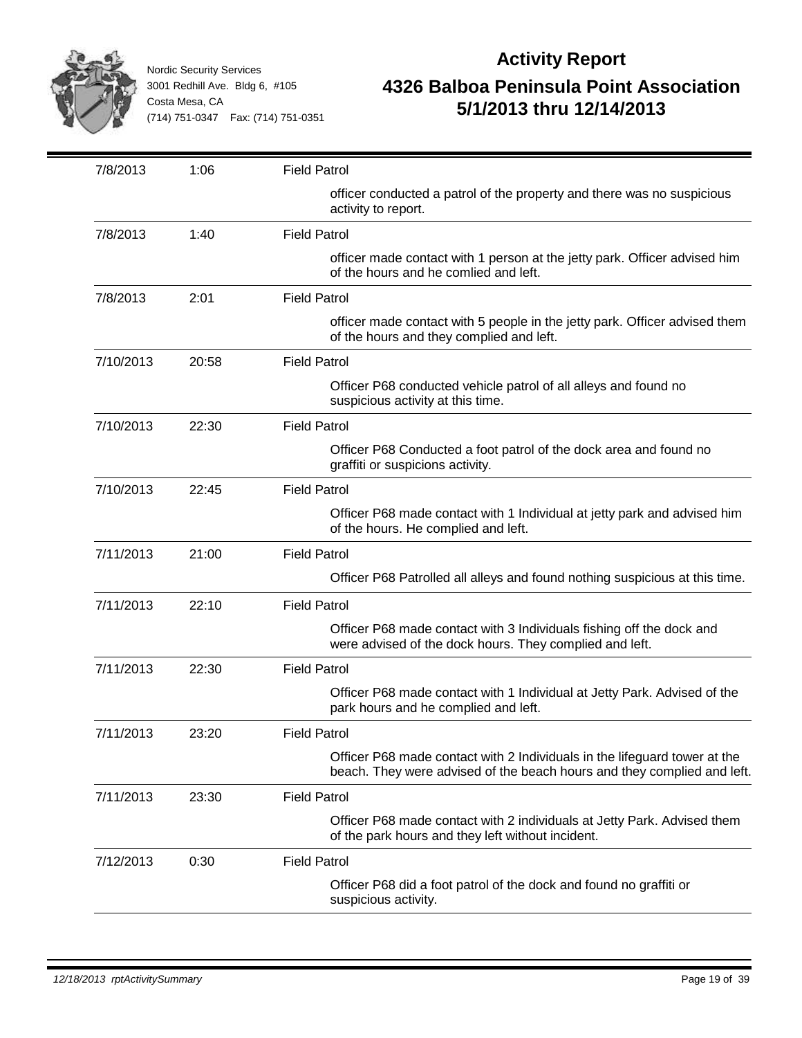

| 7/8/2013  | 1:06  | <b>Field Patrol</b>                                                                                                                                  |
|-----------|-------|------------------------------------------------------------------------------------------------------------------------------------------------------|
|           |       | officer conducted a patrol of the property and there was no suspicious<br>activity to report.                                                        |
| 7/8/2013  | 1:40  | <b>Field Patrol</b>                                                                                                                                  |
|           |       | officer made contact with 1 person at the jetty park. Officer advised him<br>of the hours and he comlied and left.                                   |
| 7/8/2013  | 2:01  | <b>Field Patrol</b>                                                                                                                                  |
|           |       | officer made contact with 5 people in the jetty park. Officer advised them<br>of the hours and they complied and left.                               |
| 7/10/2013 | 20:58 | <b>Field Patrol</b>                                                                                                                                  |
|           |       | Officer P68 conducted vehicle patrol of all alleys and found no<br>suspicious activity at this time.                                                 |
| 7/10/2013 | 22:30 | <b>Field Patrol</b>                                                                                                                                  |
|           |       | Officer P68 Conducted a foot patrol of the dock area and found no<br>graffiti or suspicions activity.                                                |
| 7/10/2013 | 22:45 | <b>Field Patrol</b>                                                                                                                                  |
|           |       | Officer P68 made contact with 1 Individual at jetty park and advised him<br>of the hours. He complied and left.                                      |
| 7/11/2013 | 21:00 | <b>Field Patrol</b>                                                                                                                                  |
|           |       | Officer P68 Patrolled all alleys and found nothing suspicious at this time.                                                                          |
| 7/11/2013 | 22:10 | <b>Field Patrol</b>                                                                                                                                  |
|           |       | Officer P68 made contact with 3 Individuals fishing off the dock and<br>were advised of the dock hours. They complied and left.                      |
| 7/11/2013 | 22:30 | <b>Field Patrol</b>                                                                                                                                  |
|           |       | Officer P68 made contact with 1 Individual at Jetty Park. Advised of the<br>park hours and he complied and left.                                     |
| 7/11/2013 | 23:20 | <b>Field Patrol</b>                                                                                                                                  |
|           |       | Officer P68 made contact with 2 Individuals in the lifeguard tower at the<br>beach. They were advised of the beach hours and they complied and left. |
| 7/11/2013 | 23:30 | <b>Field Patrol</b>                                                                                                                                  |
|           |       | Officer P68 made contact with 2 individuals at Jetty Park. Advised them<br>of the park hours and they left without incident.                         |
| 7/12/2013 | 0:30  | <b>Field Patrol</b>                                                                                                                                  |
|           |       | Officer P68 did a foot patrol of the dock and found no graffiti or<br>suspicious activity.                                                           |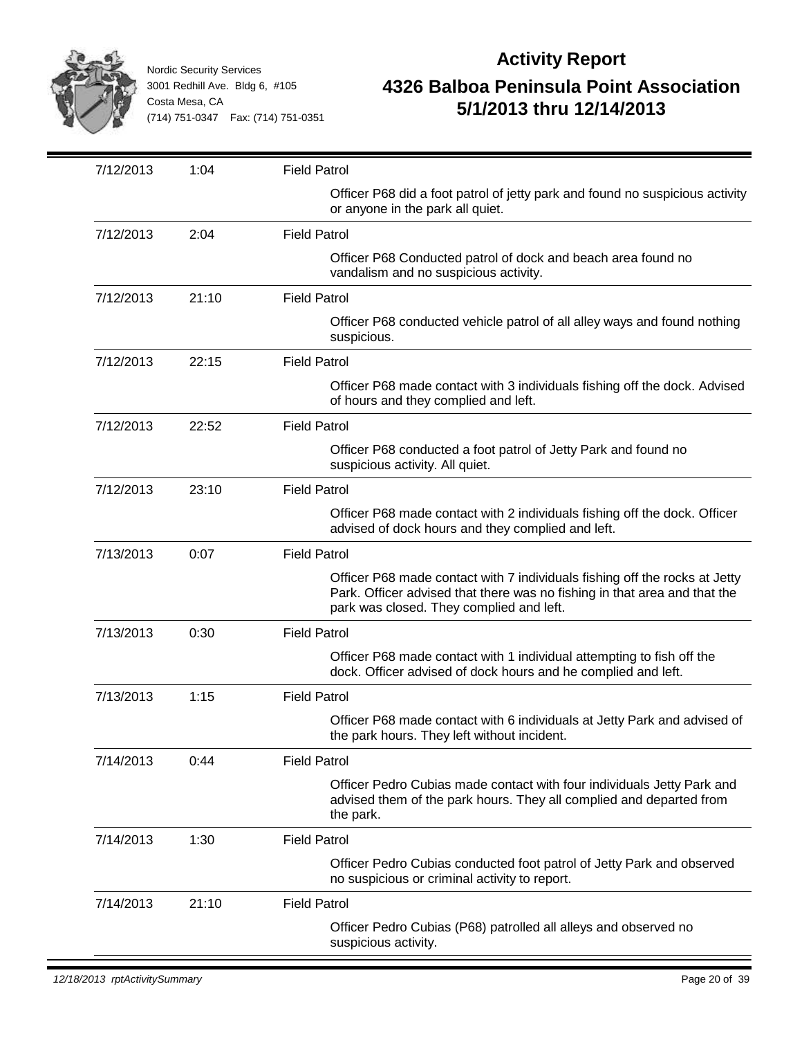

| 7/12/2013 | 1:04  | <b>Field Patrol</b>                                                                                                                                                                                 |
|-----------|-------|-----------------------------------------------------------------------------------------------------------------------------------------------------------------------------------------------------|
|           |       | Officer P68 did a foot patrol of jetty park and found no suspicious activity<br>or anyone in the park all quiet.                                                                                    |
| 7/12/2013 | 2:04  | <b>Field Patrol</b>                                                                                                                                                                                 |
|           |       | Officer P68 Conducted patrol of dock and beach area found no<br>vandalism and no suspicious activity.                                                                                               |
| 7/12/2013 | 21:10 | <b>Field Patrol</b>                                                                                                                                                                                 |
|           |       | Officer P68 conducted vehicle patrol of all alley ways and found nothing<br>suspicious.                                                                                                             |
| 7/12/2013 | 22:15 | <b>Field Patrol</b>                                                                                                                                                                                 |
|           |       | Officer P68 made contact with 3 individuals fishing off the dock. Advised<br>of hours and they complied and left.                                                                                   |
| 7/12/2013 | 22:52 | <b>Field Patrol</b>                                                                                                                                                                                 |
|           |       | Officer P68 conducted a foot patrol of Jetty Park and found no<br>suspicious activity. All quiet.                                                                                                   |
| 7/12/2013 | 23:10 | <b>Field Patrol</b>                                                                                                                                                                                 |
|           |       | Officer P68 made contact with 2 individuals fishing off the dock. Officer<br>advised of dock hours and they complied and left.                                                                      |
| 7/13/2013 | 0:07  | <b>Field Patrol</b>                                                                                                                                                                                 |
|           |       | Officer P68 made contact with 7 individuals fishing off the rocks at Jetty<br>Park. Officer advised that there was no fishing in that area and that the<br>park was closed. They complied and left. |
| 7/13/2013 | 0:30  | <b>Field Patrol</b>                                                                                                                                                                                 |
|           |       | Officer P68 made contact with 1 individual attempting to fish off the<br>dock. Officer advised of dock hours and he complied and left.                                                              |
| 7/13/2013 | 1:15  | <b>Field Patrol</b>                                                                                                                                                                                 |
|           |       | Officer P68 made contact with 6 individuals at Jetty Park and advised of<br>the park hours. They left without incident.                                                                             |
| 7/14/2013 | 0:44  | <b>Field Patrol</b>                                                                                                                                                                                 |
|           |       | Officer Pedro Cubias made contact with four individuals Jetty Park and<br>advised them of the park hours. They all complied and departed from<br>the park.                                          |
| 7/14/2013 | 1:30  | <b>Field Patrol</b>                                                                                                                                                                                 |
|           |       | Officer Pedro Cubias conducted foot patrol of Jetty Park and observed<br>no suspicious or criminal activity to report.                                                                              |
| 7/14/2013 | 21:10 | <b>Field Patrol</b>                                                                                                                                                                                 |
|           |       | Officer Pedro Cubias (P68) patrolled all alleys and observed no<br>suspicious activity.                                                                                                             |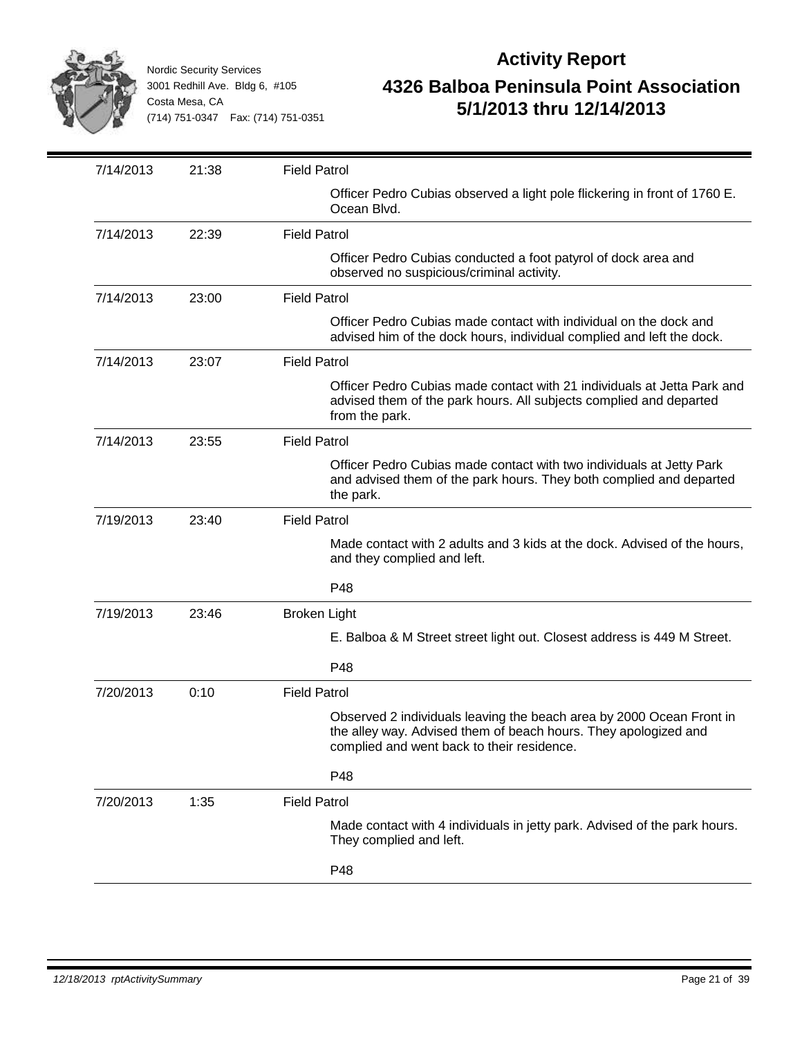

|                    |                     | <b>Field Patrol</b>                                                                                                                                                                   |
|--------------------|---------------------|---------------------------------------------------------------------------------------------------------------------------------------------------------------------------------------|
|                    |                     | Officer Pedro Cubias observed a light pole flickering in front of 1760 E.<br>Ocean Blvd.                                                                                              |
| 22:39<br>7/14/2013 | <b>Field Patrol</b> |                                                                                                                                                                                       |
|                    |                     | Officer Pedro Cubias conducted a foot patyrol of dock area and<br>observed no suspicious/criminal activity.                                                                           |
| 7/14/2013<br>23:00 | <b>Field Patrol</b> |                                                                                                                                                                                       |
|                    |                     | Officer Pedro Cubias made contact with individual on the dock and<br>advised him of the dock hours, individual complied and left the dock.                                            |
| 7/14/2013<br>23:07 | <b>Field Patrol</b> |                                                                                                                                                                                       |
|                    |                     | Officer Pedro Cubias made contact with 21 individuals at Jetta Park and<br>advised them of the park hours. All subjects complied and departed<br>from the park.                       |
| 7/14/2013<br>23:55 | <b>Field Patrol</b> |                                                                                                                                                                                       |
|                    |                     | Officer Pedro Cubias made contact with two individuals at Jetty Park<br>and advised them of the park hours. They both complied and departed<br>the park.                              |
| 7/19/2013<br>23:40 | <b>Field Patrol</b> |                                                                                                                                                                                       |
|                    |                     | Made contact with 2 adults and 3 kids at the dock. Advised of the hours,<br>and they complied and left.                                                                               |
|                    |                     | P48                                                                                                                                                                                   |
| 7/19/2013<br>23:46 | <b>Broken Light</b> |                                                                                                                                                                                       |
|                    |                     | E. Balboa & M Street street light out. Closest address is 449 M Street.                                                                                                               |
|                    |                     | P48                                                                                                                                                                                   |
| 7/20/2013<br>0:10  | <b>Field Patrol</b> |                                                                                                                                                                                       |
|                    |                     | Observed 2 individuals leaving the beach area by 2000 Ocean Front in<br>the alley way. Advised them of beach hours. They apologized and<br>complied and went back to their residence. |
|                    |                     | P48                                                                                                                                                                                   |
| 7/20/2013<br>1:35  | <b>Field Patrol</b> |                                                                                                                                                                                       |
|                    |                     | Made contact with 4 individuals in jetty park. Advised of the park hours.<br>They complied and left.                                                                                  |
|                    |                     | P48                                                                                                                                                                                   |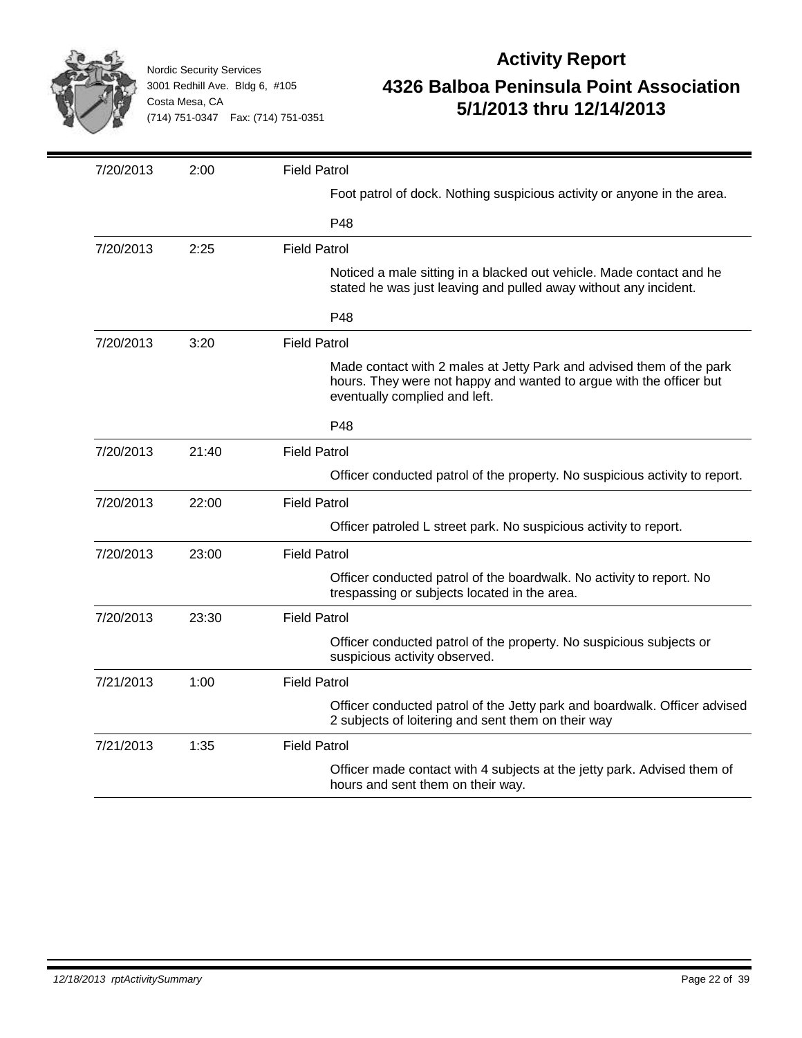

| 7/20/2013 | 2:00  | <b>Field Patrol</b>                                                                                                                                                          |
|-----------|-------|------------------------------------------------------------------------------------------------------------------------------------------------------------------------------|
|           |       | Foot patrol of dock. Nothing suspicious activity or anyone in the area.                                                                                                      |
|           |       | P48                                                                                                                                                                          |
| 7/20/2013 | 2:25  | <b>Field Patrol</b>                                                                                                                                                          |
|           |       | Noticed a male sitting in a blacked out vehicle. Made contact and he<br>stated he was just leaving and pulled away without any incident.                                     |
|           |       | P48                                                                                                                                                                          |
| 7/20/2013 | 3:20  | <b>Field Patrol</b>                                                                                                                                                          |
|           |       | Made contact with 2 males at Jetty Park and advised them of the park<br>hours. They were not happy and wanted to argue with the officer but<br>eventually complied and left. |
|           |       | P48                                                                                                                                                                          |
| 7/20/2013 | 21:40 | <b>Field Patrol</b>                                                                                                                                                          |
|           |       | Officer conducted patrol of the property. No suspicious activity to report.                                                                                                  |
| 7/20/2013 | 22:00 | <b>Field Patrol</b>                                                                                                                                                          |
|           |       | Officer patroled L street park. No suspicious activity to report.                                                                                                            |
| 7/20/2013 | 23:00 | <b>Field Patrol</b>                                                                                                                                                          |
|           |       | Officer conducted patrol of the boardwalk. No activity to report. No<br>trespassing or subjects located in the area.                                                         |
| 7/20/2013 | 23:30 | <b>Field Patrol</b>                                                                                                                                                          |
|           |       | Officer conducted patrol of the property. No suspicious subjects or<br>suspicious activity observed.                                                                         |
| 7/21/2013 | 1:00  | <b>Field Patrol</b>                                                                                                                                                          |
|           |       | Officer conducted patrol of the Jetty park and boardwalk. Officer advised<br>2 subjects of loitering and sent them on their way                                              |
| 7/21/2013 | 1:35  | <b>Field Patrol</b>                                                                                                                                                          |
|           |       | Officer made contact with 4 subjects at the jetty park. Advised them of<br>hours and sent them on their way.                                                                 |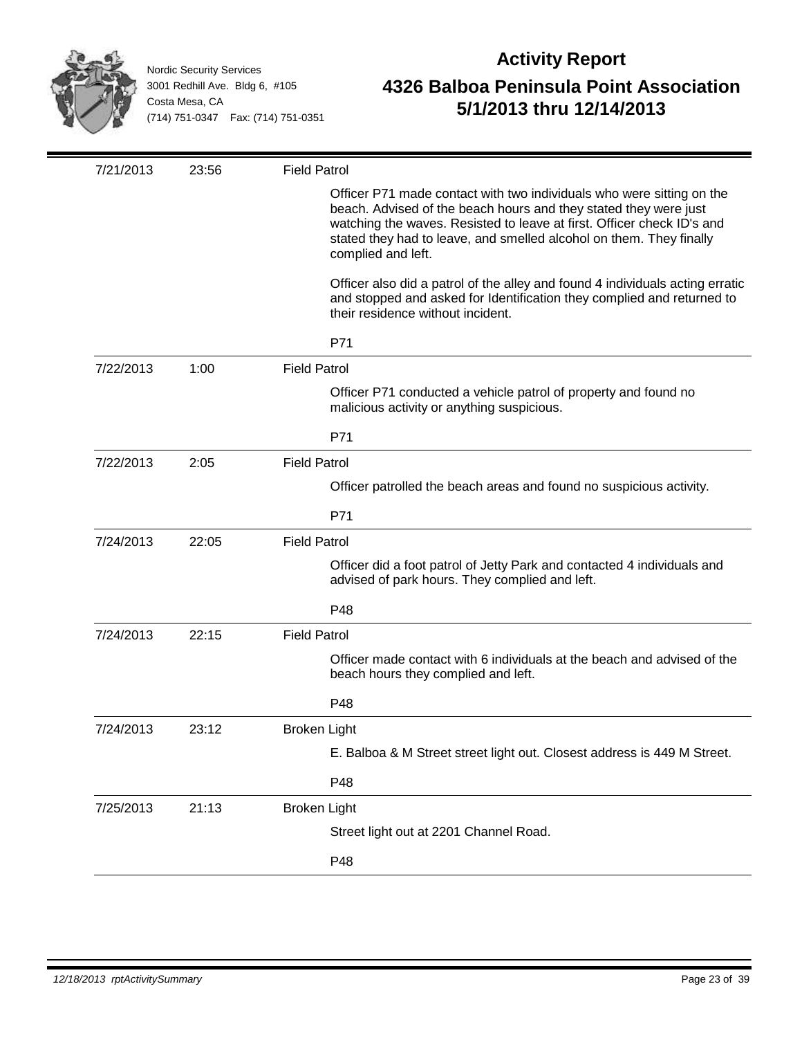

| 7/21/2013 | 23:56 | <b>Field Patrol</b>                                                                                                                                                                                                                                                                                              |
|-----------|-------|------------------------------------------------------------------------------------------------------------------------------------------------------------------------------------------------------------------------------------------------------------------------------------------------------------------|
|           |       | Officer P71 made contact with two individuals who were sitting on the<br>beach. Advised of the beach hours and they stated they were just<br>watching the waves. Resisted to leave at first. Officer check ID's and<br>stated they had to leave, and smelled alcohol on them. They finally<br>complied and left. |
|           |       | Officer also did a patrol of the alley and found 4 individuals acting erratic<br>and stopped and asked for Identification they complied and returned to<br>their residence without incident.                                                                                                                     |
|           |       | P71                                                                                                                                                                                                                                                                                                              |
| 7/22/2013 | 1:00  | <b>Field Patrol</b>                                                                                                                                                                                                                                                                                              |
|           |       | Officer P71 conducted a vehicle patrol of property and found no<br>malicious activity or anything suspicious.                                                                                                                                                                                                    |
|           |       | P71                                                                                                                                                                                                                                                                                                              |
| 7/22/2013 | 2:05  | <b>Field Patrol</b>                                                                                                                                                                                                                                                                                              |
|           |       | Officer patrolled the beach areas and found no suspicious activity.                                                                                                                                                                                                                                              |
|           |       | P71                                                                                                                                                                                                                                                                                                              |
| 7/24/2013 | 22:05 | <b>Field Patrol</b>                                                                                                                                                                                                                                                                                              |
|           |       | Officer did a foot patrol of Jetty Park and contacted 4 individuals and<br>advised of park hours. They complied and left.                                                                                                                                                                                        |
|           |       | P48                                                                                                                                                                                                                                                                                                              |
| 7/24/2013 | 22:15 | <b>Field Patrol</b>                                                                                                                                                                                                                                                                                              |
|           |       | Officer made contact with 6 individuals at the beach and advised of the<br>beach hours they complied and left.                                                                                                                                                                                                   |
|           |       | P48                                                                                                                                                                                                                                                                                                              |
| 7/24/2013 | 23:12 | <b>Broken Light</b>                                                                                                                                                                                                                                                                                              |
|           |       | E. Balboa & M Street street light out. Closest address is 449 M Street.                                                                                                                                                                                                                                          |
|           |       | P48                                                                                                                                                                                                                                                                                                              |
| 7/25/2013 | 21:13 | <b>Broken Light</b>                                                                                                                                                                                                                                                                                              |
|           |       | Street light out at 2201 Channel Road.                                                                                                                                                                                                                                                                           |
|           |       | P48                                                                                                                                                                                                                                                                                                              |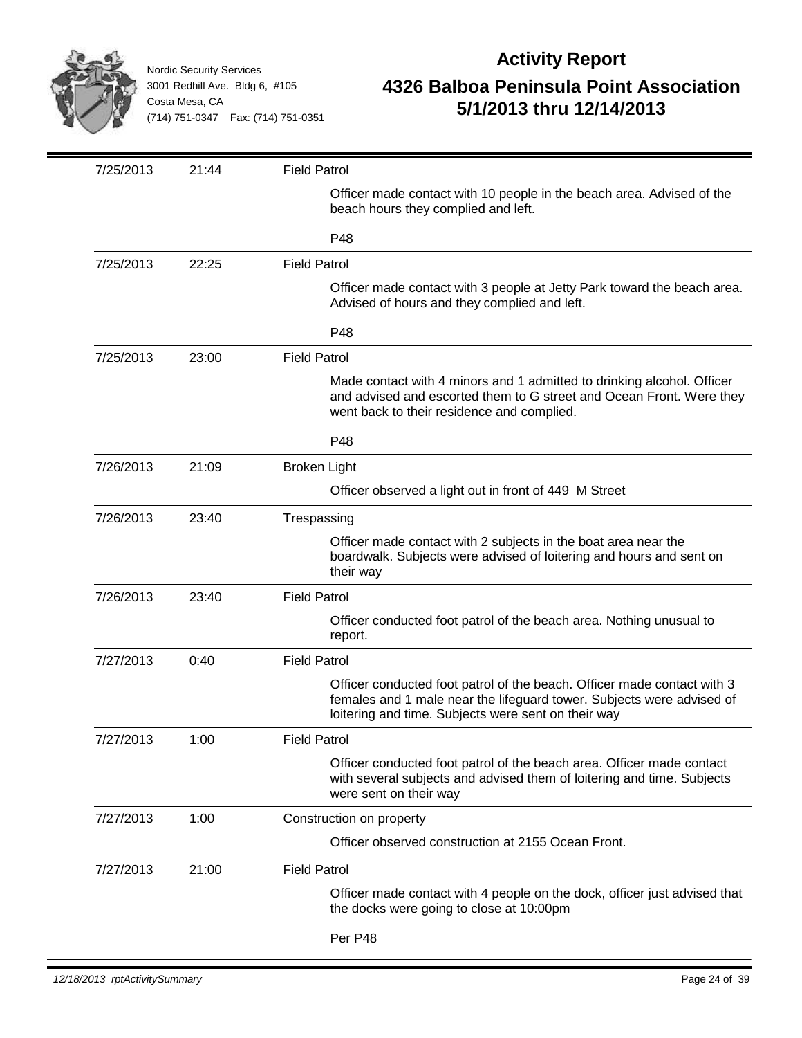

| 7/25/2013 | 21:44 | <b>Field Patrol</b>                                                                                                                                                                                     |
|-----------|-------|---------------------------------------------------------------------------------------------------------------------------------------------------------------------------------------------------------|
|           |       | Officer made contact with 10 people in the beach area. Advised of the<br>beach hours they complied and left.                                                                                            |
|           |       | P48                                                                                                                                                                                                     |
| 7/25/2013 | 22:25 | <b>Field Patrol</b>                                                                                                                                                                                     |
|           |       | Officer made contact with 3 people at Jetty Park toward the beach area.<br>Advised of hours and they complied and left.                                                                                 |
|           |       | P48                                                                                                                                                                                                     |
| 7/25/2013 | 23:00 | <b>Field Patrol</b>                                                                                                                                                                                     |
|           |       | Made contact with 4 minors and 1 admitted to drinking alcohol. Officer<br>and advised and escorted them to G street and Ocean Front. Were they<br>went back to their residence and complied.            |
|           |       | P48                                                                                                                                                                                                     |
| 7/26/2013 | 21:09 | <b>Broken Light</b>                                                                                                                                                                                     |
|           |       | Officer observed a light out in front of 449 M Street                                                                                                                                                   |
| 7/26/2013 | 23:40 | Trespassing                                                                                                                                                                                             |
|           |       | Officer made contact with 2 subjects in the boat area near the<br>boardwalk. Subjects were advised of loitering and hours and sent on<br>their way                                                      |
| 7/26/2013 | 23:40 | <b>Field Patrol</b>                                                                                                                                                                                     |
|           |       | Officer conducted foot patrol of the beach area. Nothing unusual to<br>report.                                                                                                                          |
| 7/27/2013 | 0:40  | <b>Field Patrol</b>                                                                                                                                                                                     |
|           |       | Officer conducted foot patrol of the beach. Officer made contact with 3<br>females and 1 male near the lifeguard tower. Subjects were advised of<br>loitering and time. Subjects were sent on their way |
| 7/27/2013 | 1:00  | <b>Field Patrol</b>                                                                                                                                                                                     |
|           |       | Officer conducted foot patrol of the beach area. Officer made contact<br>with several subjects and advised them of loitering and time. Subjects<br>were sent on their way                               |
| 7/27/2013 | 1:00  | Construction on property                                                                                                                                                                                |
|           |       | Officer observed construction at 2155 Ocean Front.                                                                                                                                                      |
| 7/27/2013 | 21:00 | <b>Field Patrol</b>                                                                                                                                                                                     |
|           |       | Officer made contact with 4 people on the dock, officer just advised that<br>the docks were going to close at 10:00pm                                                                                   |
|           |       | Per P48                                                                                                                                                                                                 |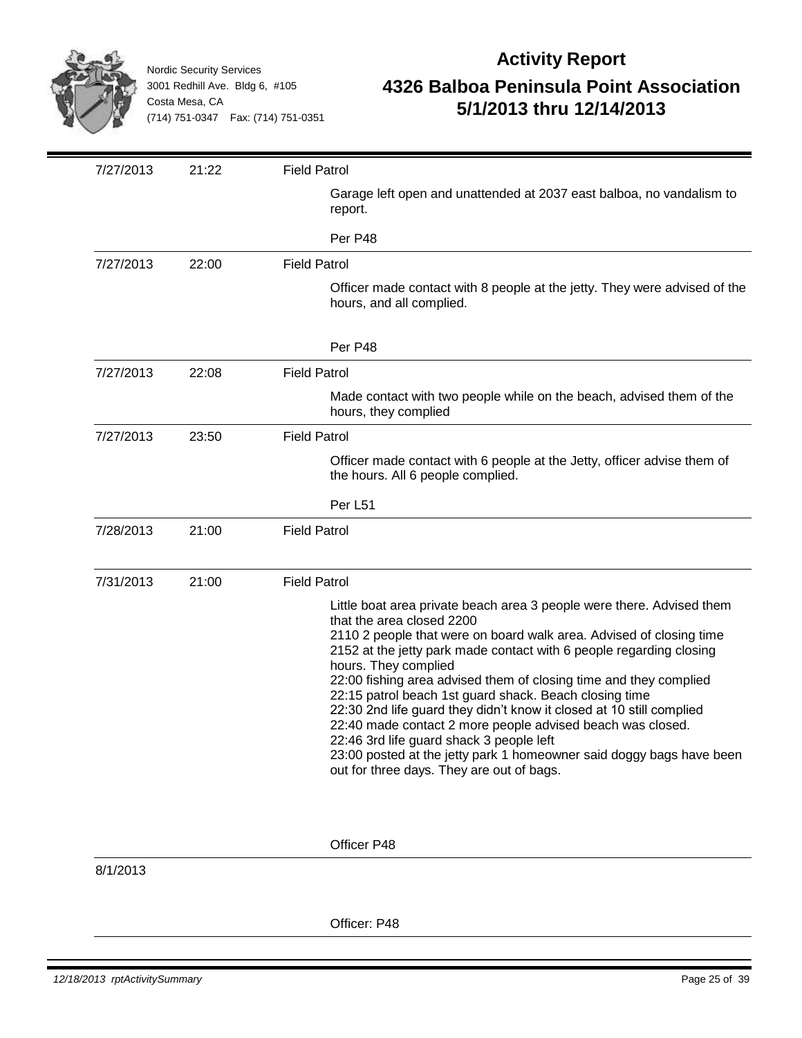

| 7/27/2013 | 21:22 | <b>Field Patrol</b>                                                                                                                                                                                                                                                                                                                                                                                                                                                                                                                                                                                                                                                                                            |
|-----------|-------|----------------------------------------------------------------------------------------------------------------------------------------------------------------------------------------------------------------------------------------------------------------------------------------------------------------------------------------------------------------------------------------------------------------------------------------------------------------------------------------------------------------------------------------------------------------------------------------------------------------------------------------------------------------------------------------------------------------|
|           |       | Garage left open and unattended at 2037 east balboa, no vandalism to<br>report.                                                                                                                                                                                                                                                                                                                                                                                                                                                                                                                                                                                                                                |
|           |       | Per P48                                                                                                                                                                                                                                                                                                                                                                                                                                                                                                                                                                                                                                                                                                        |
| 7/27/2013 | 22:00 | <b>Field Patrol</b>                                                                                                                                                                                                                                                                                                                                                                                                                                                                                                                                                                                                                                                                                            |
|           |       | Officer made contact with 8 people at the jetty. They were advised of the<br>hours, and all complied.                                                                                                                                                                                                                                                                                                                                                                                                                                                                                                                                                                                                          |
|           |       | Per P48                                                                                                                                                                                                                                                                                                                                                                                                                                                                                                                                                                                                                                                                                                        |
| 7/27/2013 | 22:08 | <b>Field Patrol</b>                                                                                                                                                                                                                                                                                                                                                                                                                                                                                                                                                                                                                                                                                            |
|           |       | Made contact with two people while on the beach, advised them of the<br>hours, they complied                                                                                                                                                                                                                                                                                                                                                                                                                                                                                                                                                                                                                   |
| 7/27/2013 | 23:50 | <b>Field Patrol</b>                                                                                                                                                                                                                                                                                                                                                                                                                                                                                                                                                                                                                                                                                            |
|           |       | Officer made contact with 6 people at the Jetty, officer advise them of<br>the hours. All 6 people complied.                                                                                                                                                                                                                                                                                                                                                                                                                                                                                                                                                                                                   |
|           |       | Per L51                                                                                                                                                                                                                                                                                                                                                                                                                                                                                                                                                                                                                                                                                                        |
| 7/28/2013 | 21:00 | <b>Field Patrol</b>                                                                                                                                                                                                                                                                                                                                                                                                                                                                                                                                                                                                                                                                                            |
| 7/31/2013 | 21:00 | <b>Field Patrol</b>                                                                                                                                                                                                                                                                                                                                                                                                                                                                                                                                                                                                                                                                                            |
|           |       | Little boat area private beach area 3 people were there. Advised them<br>that the area closed 2200<br>2110 2 people that were on board walk area. Advised of closing time<br>2152 at the jetty park made contact with 6 people regarding closing<br>hours. They complied<br>22:00 fishing area advised them of closing time and they complied<br>22:15 patrol beach 1st guard shack. Beach closing time<br>22:30 2nd life guard they didn't know it closed at 10 still complied<br>22:40 made contact 2 more people advised beach was closed.<br>22:46 3rd life guard shack 3 people left<br>23:00 posted at the jetty park 1 homeowner said doggy bags have been<br>out for three days. They are out of bags. |
| 8/1/2013  |       | Officer P48                                                                                                                                                                                                                                                                                                                                                                                                                                                                                                                                                                                                                                                                                                    |
|           |       | Officer: P48                                                                                                                                                                                                                                                                                                                                                                                                                                                                                                                                                                                                                                                                                                   |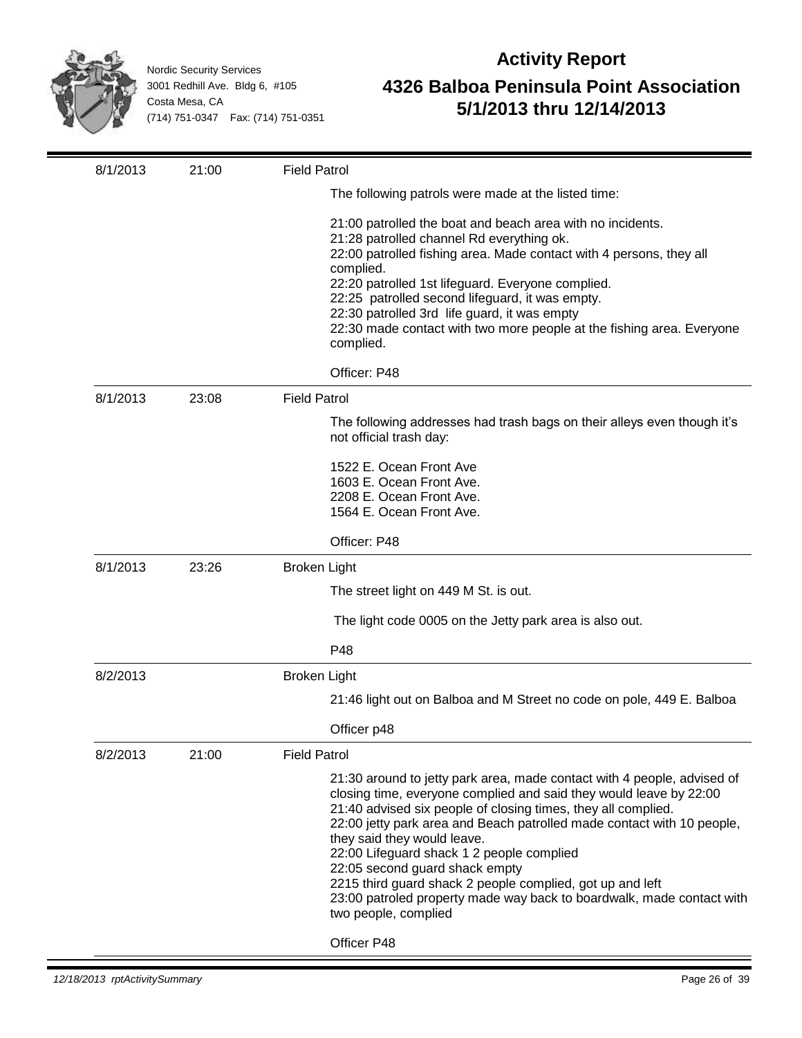

| 8/1/2013 | 21:00 | <b>Field Patrol</b>                                                                                                                                                                                                                                                                                                                                                                                                                                                                                                                                                  |
|----------|-------|----------------------------------------------------------------------------------------------------------------------------------------------------------------------------------------------------------------------------------------------------------------------------------------------------------------------------------------------------------------------------------------------------------------------------------------------------------------------------------------------------------------------------------------------------------------------|
|          |       | The following patrols were made at the listed time:                                                                                                                                                                                                                                                                                                                                                                                                                                                                                                                  |
|          |       | 21:00 patrolled the boat and beach area with no incidents.<br>21:28 patrolled channel Rd everything ok.<br>22:00 patrolled fishing area. Made contact with 4 persons, they all<br>complied.<br>22:20 patrolled 1st lifeguard. Everyone complied.<br>22:25 patrolled second lifeguard, it was empty.<br>22:30 patrolled 3rd life guard, it was empty<br>22:30 made contact with two more people at the fishing area. Everyone<br>complied.                                                                                                                            |
|          |       | Officer: P48                                                                                                                                                                                                                                                                                                                                                                                                                                                                                                                                                         |
| 8/1/2013 | 23:08 | <b>Field Patrol</b>                                                                                                                                                                                                                                                                                                                                                                                                                                                                                                                                                  |
|          |       | The following addresses had trash bags on their alleys even though it's<br>not official trash day:                                                                                                                                                                                                                                                                                                                                                                                                                                                                   |
|          |       | 1522 E. Ocean Front Ave<br>1603 E. Ocean Front Ave.<br>2208 E. Ocean Front Ave.<br>1564 E. Ocean Front Ave.                                                                                                                                                                                                                                                                                                                                                                                                                                                          |
|          |       | Officer: P48                                                                                                                                                                                                                                                                                                                                                                                                                                                                                                                                                         |
| 8/1/2013 | 23:26 | <b>Broken Light</b>                                                                                                                                                                                                                                                                                                                                                                                                                                                                                                                                                  |
|          |       | The street light on 449 M St. is out.                                                                                                                                                                                                                                                                                                                                                                                                                                                                                                                                |
|          |       | The light code 0005 on the Jetty park area is also out.                                                                                                                                                                                                                                                                                                                                                                                                                                                                                                              |
|          |       | P48                                                                                                                                                                                                                                                                                                                                                                                                                                                                                                                                                                  |
| 8/2/2013 |       | <b>Broken Light</b>                                                                                                                                                                                                                                                                                                                                                                                                                                                                                                                                                  |
|          |       | 21:46 light out on Balboa and M Street no code on pole, 449 E. Balboa                                                                                                                                                                                                                                                                                                                                                                                                                                                                                                |
|          |       | Officer p48                                                                                                                                                                                                                                                                                                                                                                                                                                                                                                                                                          |
| 8/2/2013 | 21:00 | <b>Field Patrol</b>                                                                                                                                                                                                                                                                                                                                                                                                                                                                                                                                                  |
|          |       | 21:30 around to jetty park area, made contact with 4 people, advised of<br>closing time, everyone complied and said they would leave by 22:00<br>21:40 advised six people of closing times, they all complied.<br>22:00 jetty park area and Beach patrolled made contact with 10 people,<br>they said they would leave.<br>22:00 Lifeguard shack 1 2 people complied<br>22:05 second guard shack empty<br>2215 third guard shack 2 people complied, got up and left<br>23:00 patroled property made way back to boardwalk, made contact with<br>two people, complied |
|          |       | Officer P48                                                                                                                                                                                                                                                                                                                                                                                                                                                                                                                                                          |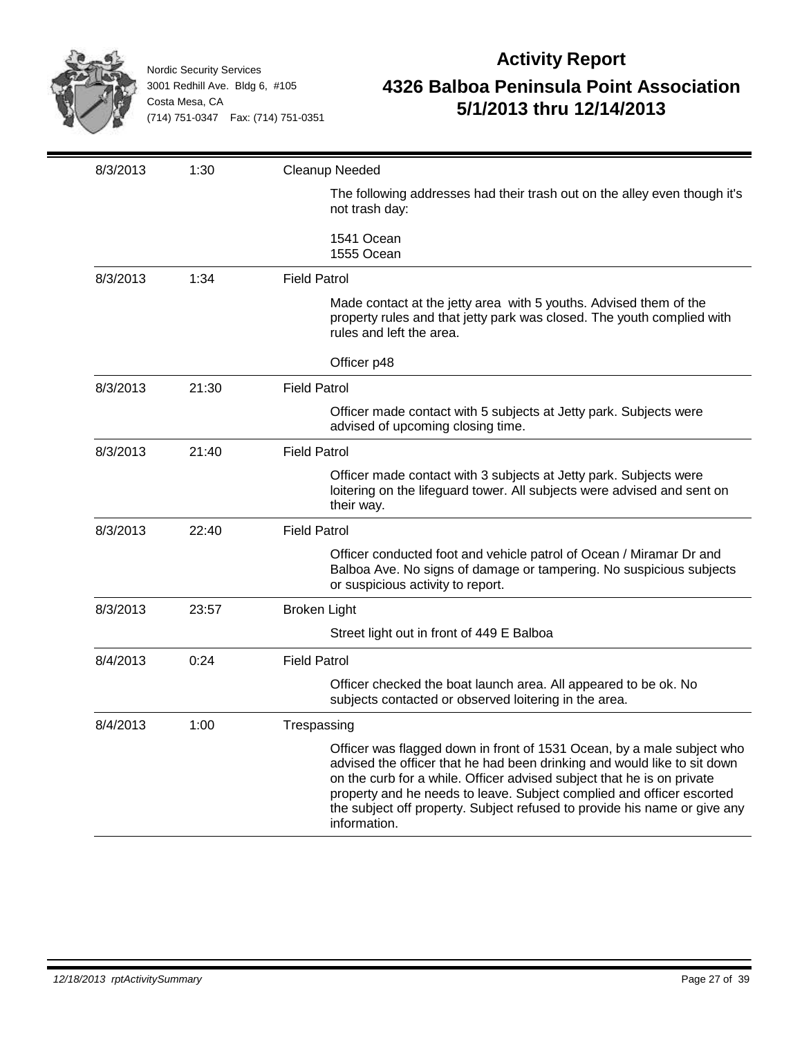

| 8/3/2013 | 1:30  | Cleanup Needed                                                                                                                                                                                                                                                                                                                                                                                     |
|----------|-------|----------------------------------------------------------------------------------------------------------------------------------------------------------------------------------------------------------------------------------------------------------------------------------------------------------------------------------------------------------------------------------------------------|
|          |       | The following addresses had their trash out on the alley even though it's<br>not trash day:                                                                                                                                                                                                                                                                                                        |
|          |       | 1541 Ocean<br>1555 Ocean                                                                                                                                                                                                                                                                                                                                                                           |
| 8/3/2013 | 1:34  | <b>Field Patrol</b>                                                                                                                                                                                                                                                                                                                                                                                |
|          |       | Made contact at the jetty area with 5 youths. Advised them of the<br>property rules and that jetty park was closed. The youth complied with<br>rules and left the area.                                                                                                                                                                                                                            |
|          |       | Officer p48                                                                                                                                                                                                                                                                                                                                                                                        |
| 8/3/2013 | 21:30 | <b>Field Patrol</b>                                                                                                                                                                                                                                                                                                                                                                                |
|          |       | Officer made contact with 5 subjects at Jetty park. Subjects were<br>advised of upcoming closing time.                                                                                                                                                                                                                                                                                             |
| 8/3/2013 | 21:40 | <b>Field Patrol</b>                                                                                                                                                                                                                                                                                                                                                                                |
|          |       | Officer made contact with 3 subjects at Jetty park. Subjects were<br>loitering on the lifeguard tower. All subjects were advised and sent on<br>their way.                                                                                                                                                                                                                                         |
| 8/3/2013 | 22:40 | <b>Field Patrol</b>                                                                                                                                                                                                                                                                                                                                                                                |
|          |       | Officer conducted foot and vehicle patrol of Ocean / Miramar Dr and<br>Balboa Ave. No signs of damage or tampering. No suspicious subjects<br>or suspicious activity to report.                                                                                                                                                                                                                    |
| 8/3/2013 | 23:57 | <b>Broken Light</b>                                                                                                                                                                                                                                                                                                                                                                                |
|          |       | Street light out in front of 449 E Balboa                                                                                                                                                                                                                                                                                                                                                          |
| 8/4/2013 | 0:24  | <b>Field Patrol</b>                                                                                                                                                                                                                                                                                                                                                                                |
|          |       | Officer checked the boat launch area. All appeared to be ok. No<br>subjects contacted or observed loitering in the area.                                                                                                                                                                                                                                                                           |
| 8/4/2013 | 1:00  | Trespassing                                                                                                                                                                                                                                                                                                                                                                                        |
|          |       | Officer was flagged down in front of 1531 Ocean, by a male subject who<br>advised the officer that he had been drinking and would like to sit down<br>on the curb for a while. Officer advised subject that he is on private<br>property and he needs to leave. Subject complied and officer escorted<br>the subject off property. Subject refused to provide his name or give any<br>information. |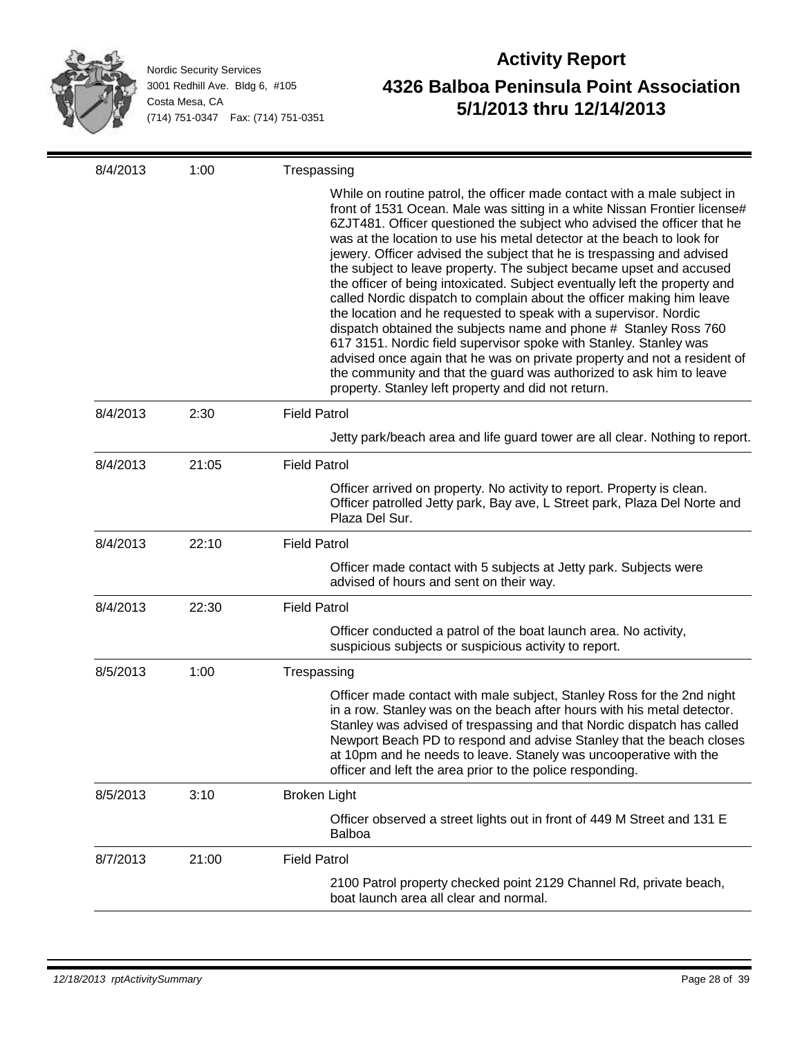

| 8/4/2013 | 1:00  | Trespassing                                                                                                                                                                                                                                                                                                                                                                                                                                                                                                                                                                                                                                                                                                                                                                                                                                                                                                                                                                                                                               |
|----------|-------|-------------------------------------------------------------------------------------------------------------------------------------------------------------------------------------------------------------------------------------------------------------------------------------------------------------------------------------------------------------------------------------------------------------------------------------------------------------------------------------------------------------------------------------------------------------------------------------------------------------------------------------------------------------------------------------------------------------------------------------------------------------------------------------------------------------------------------------------------------------------------------------------------------------------------------------------------------------------------------------------------------------------------------------------|
|          |       | While on routine patrol, the officer made contact with a male subject in<br>front of 1531 Ocean. Male was sitting in a white Nissan Frontier license#<br>6ZJT481. Officer questioned the subject who advised the officer that he<br>was at the location to use his metal detector at the beach to look for<br>jewery. Officer advised the subject that he is trespassing and advised<br>the subject to leave property. The subject became upset and accused<br>the officer of being intoxicated. Subject eventually left the property and<br>called Nordic dispatch to complain about the officer making him leave<br>the location and he requested to speak with a supervisor. Nordic<br>dispatch obtained the subjects name and phone # Stanley Ross 760<br>617 3151. Nordic field supervisor spoke with Stanley. Stanley was<br>advised once again that he was on private property and not a resident of<br>the community and that the guard was authorized to ask him to leave<br>property. Stanley left property and did not return. |
| 8/4/2013 | 2:30  | <b>Field Patrol</b>                                                                                                                                                                                                                                                                                                                                                                                                                                                                                                                                                                                                                                                                                                                                                                                                                                                                                                                                                                                                                       |
|          |       | Jetty park/beach area and life guard tower are all clear. Nothing to report.                                                                                                                                                                                                                                                                                                                                                                                                                                                                                                                                                                                                                                                                                                                                                                                                                                                                                                                                                              |
| 8/4/2013 | 21:05 | <b>Field Patrol</b>                                                                                                                                                                                                                                                                                                                                                                                                                                                                                                                                                                                                                                                                                                                                                                                                                                                                                                                                                                                                                       |
|          |       | Officer arrived on property. No activity to report. Property is clean.<br>Officer patrolled Jetty park, Bay ave, L Street park, Plaza Del Norte and<br>Plaza Del Sur.                                                                                                                                                                                                                                                                                                                                                                                                                                                                                                                                                                                                                                                                                                                                                                                                                                                                     |
| 8/4/2013 | 22:10 | <b>Field Patrol</b>                                                                                                                                                                                                                                                                                                                                                                                                                                                                                                                                                                                                                                                                                                                                                                                                                                                                                                                                                                                                                       |
|          |       | Officer made contact with 5 subjects at Jetty park. Subjects were<br>advised of hours and sent on their way.                                                                                                                                                                                                                                                                                                                                                                                                                                                                                                                                                                                                                                                                                                                                                                                                                                                                                                                              |
| 8/4/2013 | 22:30 | <b>Field Patrol</b>                                                                                                                                                                                                                                                                                                                                                                                                                                                                                                                                                                                                                                                                                                                                                                                                                                                                                                                                                                                                                       |
|          |       | Officer conducted a patrol of the boat launch area. No activity,<br>suspicious subjects or suspicious activity to report.                                                                                                                                                                                                                                                                                                                                                                                                                                                                                                                                                                                                                                                                                                                                                                                                                                                                                                                 |
| 8/5/2013 | 1:00  | Trespassing                                                                                                                                                                                                                                                                                                                                                                                                                                                                                                                                                                                                                                                                                                                                                                                                                                                                                                                                                                                                                               |
|          |       | Officer made contact with male subject, Stanley Ross for the 2nd night<br>in a row. Stanley was on the beach after hours with his metal detector.<br>Stanley was advised of trespassing and that Nordic dispatch has called<br>Newport Beach PD to respond and advise Stanley that the beach closes<br>at 10pm and he needs to leave. Stanely was uncooperative with the<br>officer and left the area prior to the police responding.                                                                                                                                                                                                                                                                                                                                                                                                                                                                                                                                                                                                     |
| 8/5/2013 | 3:10  | <b>Broken Light</b>                                                                                                                                                                                                                                                                                                                                                                                                                                                                                                                                                                                                                                                                                                                                                                                                                                                                                                                                                                                                                       |
|          |       | Officer observed a street lights out in front of 449 M Street and 131 E<br><b>Balboa</b>                                                                                                                                                                                                                                                                                                                                                                                                                                                                                                                                                                                                                                                                                                                                                                                                                                                                                                                                                  |
| 8/7/2013 | 21:00 | <b>Field Patrol</b>                                                                                                                                                                                                                                                                                                                                                                                                                                                                                                                                                                                                                                                                                                                                                                                                                                                                                                                                                                                                                       |
|          |       | 2100 Patrol property checked point 2129 Channel Rd, private beach,<br>boat launch area all clear and normal.                                                                                                                                                                                                                                                                                                                                                                                                                                                                                                                                                                                                                                                                                                                                                                                                                                                                                                                              |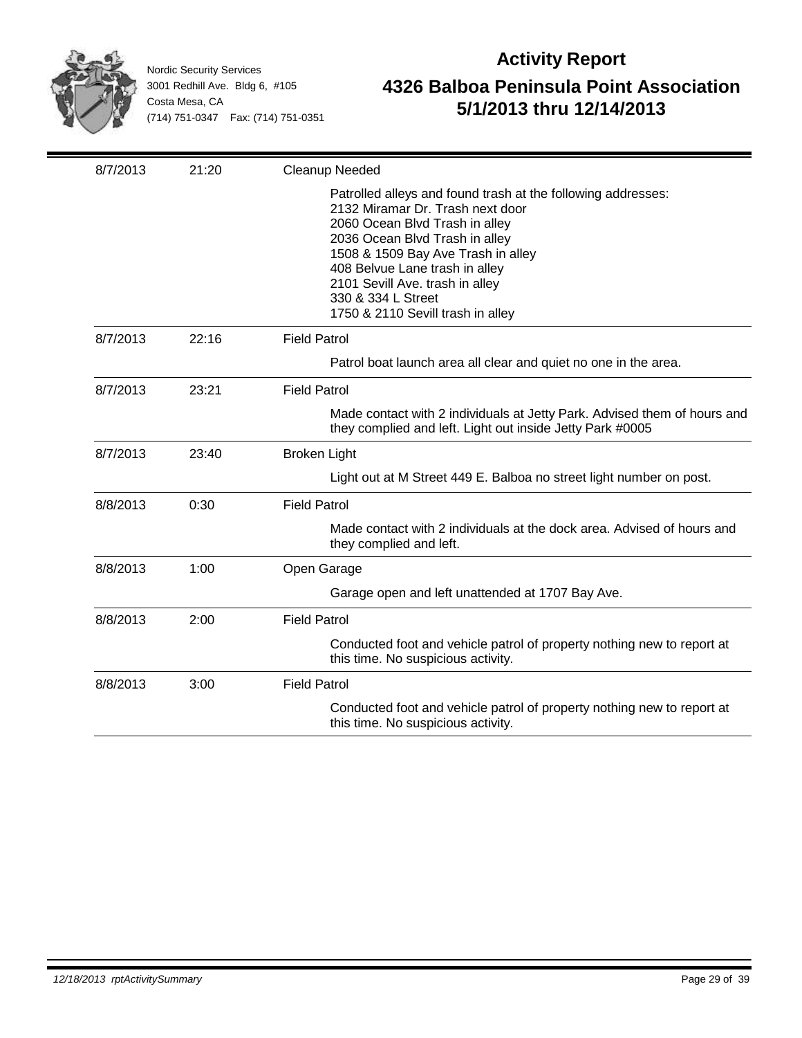

| 8/7/2013 | 21:20 | Cleanup Needed                                                                                                                                                                                                                                                                                                                             |
|----------|-------|--------------------------------------------------------------------------------------------------------------------------------------------------------------------------------------------------------------------------------------------------------------------------------------------------------------------------------------------|
|          |       | Patrolled alleys and found trash at the following addresses:<br>2132 Miramar Dr. Trash next door<br>2060 Ocean Blvd Trash in alley<br>2036 Ocean Blvd Trash in alley<br>1508 & 1509 Bay Ave Trash in alley<br>408 Belvue Lane trash in alley<br>2101 Sevill Ave. trash in alley<br>330 & 334 L Street<br>1750 & 2110 Sevill trash in alley |
| 8/7/2013 | 22:16 | <b>Field Patrol</b>                                                                                                                                                                                                                                                                                                                        |
|          |       | Patrol boat launch area all clear and quiet no one in the area.                                                                                                                                                                                                                                                                            |
| 8/7/2013 | 23:21 | <b>Field Patrol</b>                                                                                                                                                                                                                                                                                                                        |
|          |       | Made contact with 2 individuals at Jetty Park. Advised them of hours and<br>they complied and left. Light out inside Jetty Park #0005                                                                                                                                                                                                      |
| 8/7/2013 | 23:40 | <b>Broken Light</b>                                                                                                                                                                                                                                                                                                                        |
|          |       | Light out at M Street 449 E. Balboa no street light number on post.                                                                                                                                                                                                                                                                        |
| 8/8/2013 | 0:30  | <b>Field Patrol</b>                                                                                                                                                                                                                                                                                                                        |
|          |       | Made contact with 2 individuals at the dock area. Advised of hours and<br>they complied and left.                                                                                                                                                                                                                                          |
| 8/8/2013 | 1:00  | Open Garage                                                                                                                                                                                                                                                                                                                                |
|          |       | Garage open and left unattended at 1707 Bay Ave.                                                                                                                                                                                                                                                                                           |
| 8/8/2013 | 2:00  | <b>Field Patrol</b>                                                                                                                                                                                                                                                                                                                        |
|          |       | Conducted foot and vehicle patrol of property nothing new to report at<br>this time. No suspicious activity.                                                                                                                                                                                                                               |
| 8/8/2013 | 3:00  | <b>Field Patrol</b>                                                                                                                                                                                                                                                                                                                        |
|          |       | Conducted foot and vehicle patrol of property nothing new to report at<br>this time. No suspicious activity.                                                                                                                                                                                                                               |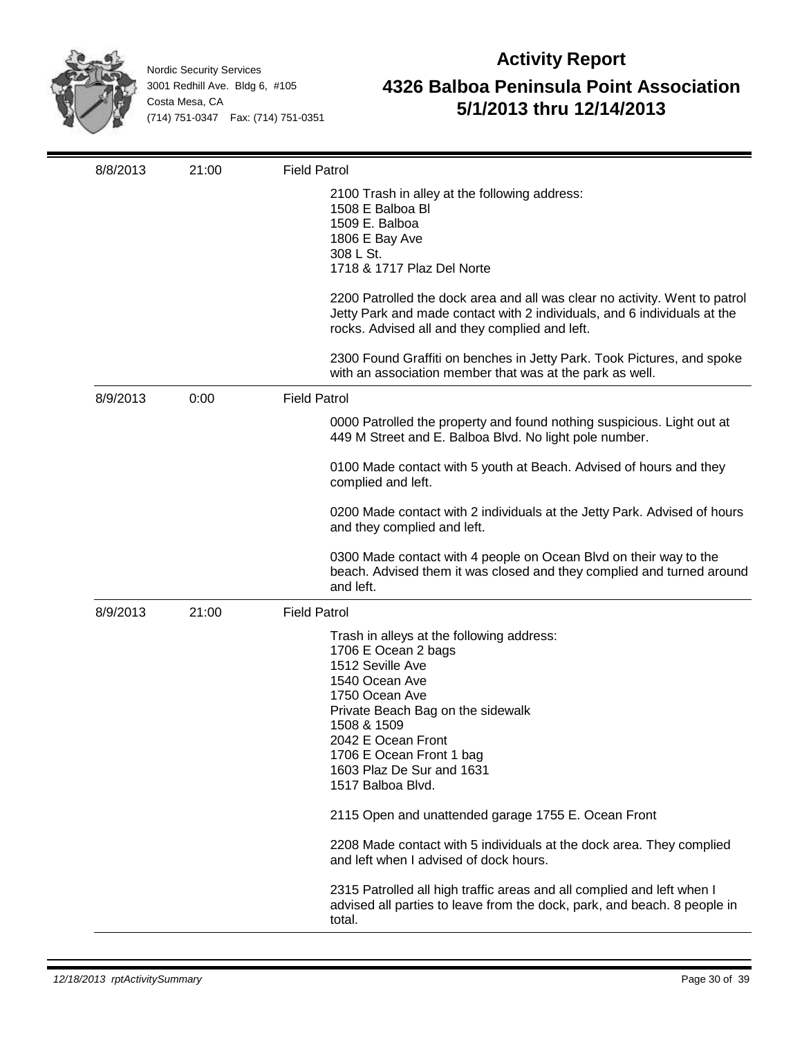

| 8/8/2013 | 21:00 | <b>Field Patrol</b>                                                                                                                                                                                                                                                              |
|----------|-------|----------------------------------------------------------------------------------------------------------------------------------------------------------------------------------------------------------------------------------------------------------------------------------|
|          |       | 2100 Trash in alley at the following address:<br>1508 E Balboa Bl<br>1509 E. Balboa<br>1806 E Bay Ave<br>308 L St.<br>1718 & 1717 Plaz Del Norte                                                                                                                                 |
|          |       | 2200 Patrolled the dock area and all was clear no activity. Went to patrol<br>Jetty Park and made contact with 2 individuals, and 6 individuals at the<br>rocks. Advised all and they complied and left.                                                                         |
|          |       | 2300 Found Graffiti on benches in Jetty Park. Took Pictures, and spoke<br>with an association member that was at the park as well.                                                                                                                                               |
| 8/9/2013 | 0:00  | <b>Field Patrol</b>                                                                                                                                                                                                                                                              |
|          |       | 0000 Patrolled the property and found nothing suspicious. Light out at<br>449 M Street and E. Balboa Blvd. No light pole number.                                                                                                                                                 |
|          |       | 0100 Made contact with 5 youth at Beach. Advised of hours and they<br>complied and left.                                                                                                                                                                                         |
|          |       | 0200 Made contact with 2 individuals at the Jetty Park. Advised of hours<br>and they complied and left.                                                                                                                                                                          |
|          |       | 0300 Made contact with 4 people on Ocean Blvd on their way to the<br>beach. Advised them it was closed and they complied and turned around<br>and left.                                                                                                                          |
| 8/9/2013 | 21:00 | <b>Field Patrol</b>                                                                                                                                                                                                                                                              |
|          |       | Trash in alleys at the following address:<br>1706 E Ocean 2 bags<br>1512 Seville Ave<br>1540 Ocean Ave<br>1750 Ocean Ave<br>Private Beach Bag on the sidewalk<br>1508 & 1509<br>2042 E Ocean Front<br>1706 E Ocean Front 1 bag<br>1603 Plaz De Sur and 1631<br>1517 Balboa Blvd. |
|          |       | 2115 Open and unattended garage 1755 E. Ocean Front                                                                                                                                                                                                                              |
|          |       | 2208 Made contact with 5 individuals at the dock area. They complied<br>and left when I advised of dock hours.                                                                                                                                                                   |
|          |       | 2315 Patrolled all high traffic areas and all complied and left when I<br>advised all parties to leave from the dock, park, and beach. 8 people in<br>total.                                                                                                                     |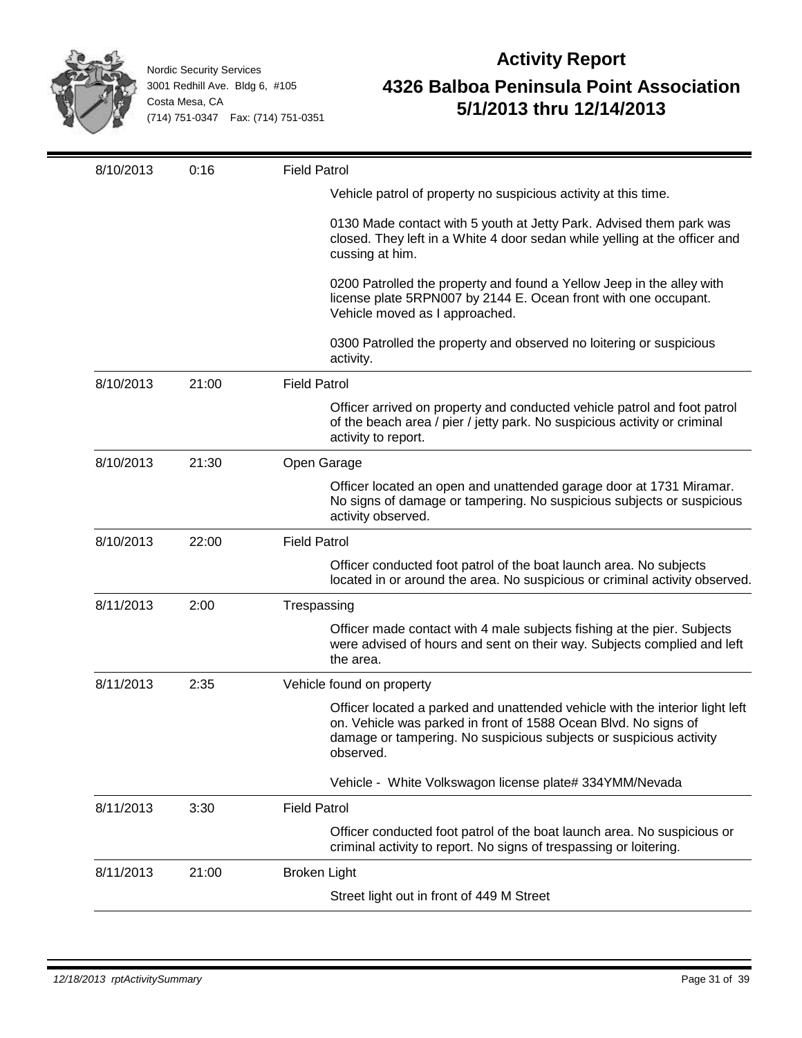

| 8/10/2013 | 0:16  | <b>Field Patrol</b>                                                                                                                                                                                                                |
|-----------|-------|------------------------------------------------------------------------------------------------------------------------------------------------------------------------------------------------------------------------------------|
|           |       | Vehicle patrol of property no suspicious activity at this time.                                                                                                                                                                    |
|           |       | 0130 Made contact with 5 youth at Jetty Park. Advised them park was<br>closed. They left in a White 4 door sedan while yelling at the officer and<br>cussing at him.                                                               |
|           |       | 0200 Patrolled the property and found a Yellow Jeep in the alley with<br>license plate 5RPN007 by 2144 E. Ocean front with one occupant.<br>Vehicle moved as I approached.                                                         |
|           |       | 0300 Patrolled the property and observed no loitering or suspicious<br>activity.                                                                                                                                                   |
| 8/10/2013 | 21:00 | <b>Field Patrol</b>                                                                                                                                                                                                                |
|           |       | Officer arrived on property and conducted vehicle patrol and foot patrol<br>of the beach area / pier / jetty park. No suspicious activity or criminal<br>activity to report.                                                       |
| 8/10/2013 | 21:30 | Open Garage                                                                                                                                                                                                                        |
|           |       | Officer located an open and unattended garage door at 1731 Miramar.<br>No signs of damage or tampering. No suspicious subjects or suspicious<br>activity observed.                                                                 |
| 8/10/2013 | 22:00 | <b>Field Patrol</b>                                                                                                                                                                                                                |
|           |       | Officer conducted foot patrol of the boat launch area. No subjects<br>located in or around the area. No suspicious or criminal activity observed.                                                                                  |
| 8/11/2013 | 2:00  | Trespassing                                                                                                                                                                                                                        |
|           |       | Officer made contact with 4 male subjects fishing at the pier. Subjects<br>were advised of hours and sent on their way. Subjects complied and left<br>the area.                                                                    |
| 8/11/2013 | 2:35  | Vehicle found on property                                                                                                                                                                                                          |
|           |       | Officer located a parked and unattended vehicle with the interior light left<br>on. Vehicle was parked in front of 1588 Ocean Blvd. No signs of<br>damage or tampering. No suspicious subjects or suspicious activity<br>observed. |
|           |       | Vehicle - White Volkswagon license plate# 334YMM/Nevada                                                                                                                                                                            |
| 8/11/2013 | 3:30  | <b>Field Patrol</b>                                                                                                                                                                                                                |
|           |       | Officer conducted foot patrol of the boat launch area. No suspicious or<br>criminal activity to report. No signs of trespassing or loitering.                                                                                      |
| 8/11/2013 | 21:00 | <b>Broken Light</b>                                                                                                                                                                                                                |
|           |       | Street light out in front of 449 M Street                                                                                                                                                                                          |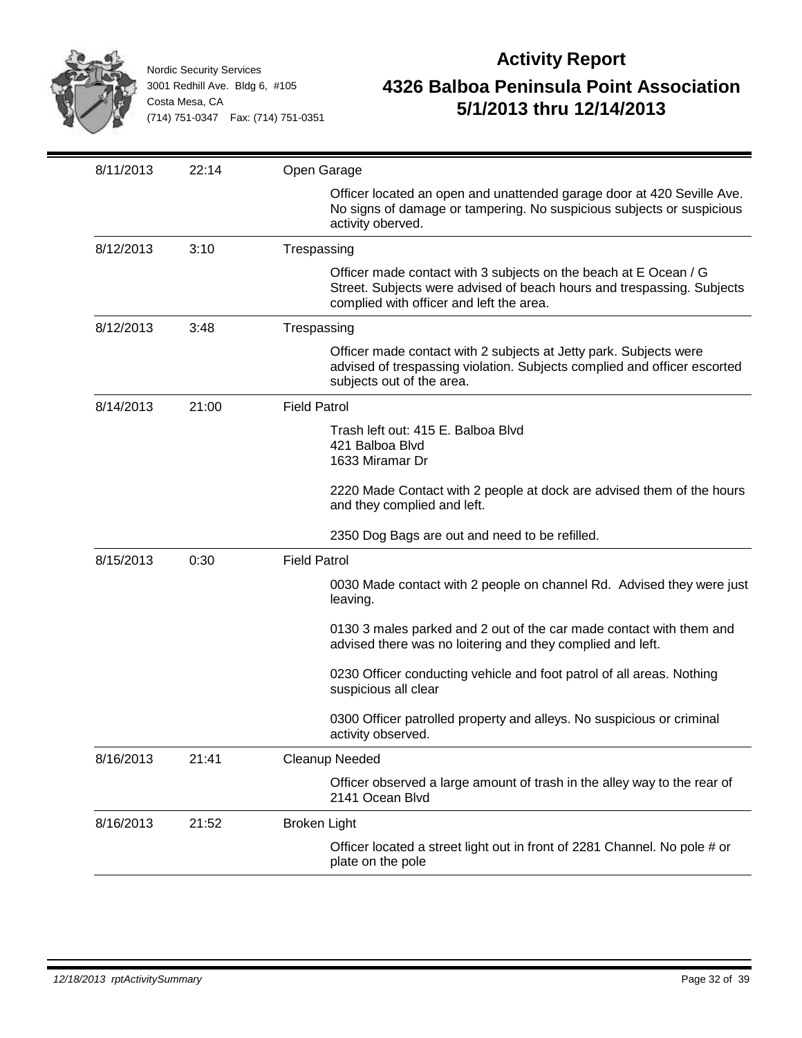

| 8/11/2013 | 22:14 | Open Garage                                                                                                                                                                            |
|-----------|-------|----------------------------------------------------------------------------------------------------------------------------------------------------------------------------------------|
|           |       | Officer located an open and unattended garage door at 420 Seville Ave.<br>No signs of damage or tampering. No suspicious subjects or suspicious<br>activity oberved.                   |
| 8/12/2013 | 3:10  | Trespassing                                                                                                                                                                            |
|           |       | Officer made contact with 3 subjects on the beach at E Ocean / G<br>Street. Subjects were advised of beach hours and trespassing. Subjects<br>complied with officer and left the area. |
| 8/12/2013 | 3:48  | Trespassing                                                                                                                                                                            |
|           |       | Officer made contact with 2 subjects at Jetty park. Subjects were<br>advised of trespassing violation. Subjects complied and officer escorted<br>subjects out of the area.             |
| 8/14/2013 | 21:00 | <b>Field Patrol</b>                                                                                                                                                                    |
|           |       | Trash left out: 415 E. Balboa Blvd<br>421 Balboa Blvd<br>1633 Miramar Dr                                                                                                               |
|           |       | 2220 Made Contact with 2 people at dock are advised them of the hours<br>and they complied and left.                                                                                   |
|           |       | 2350 Dog Bags are out and need to be refilled.                                                                                                                                         |
| 8/15/2013 | 0:30  | <b>Field Patrol</b>                                                                                                                                                                    |
|           |       | 0030 Made contact with 2 people on channel Rd. Advised they were just<br>leaving.                                                                                                      |
|           |       | 0130 3 males parked and 2 out of the car made contact with them and<br>advised there was no loitering and they complied and left.                                                      |
|           |       | 0230 Officer conducting vehicle and foot patrol of all areas. Nothing<br>suspicious all clear                                                                                          |
|           |       | 0300 Officer patrolled property and alleys. No suspicious or criminal<br>activity observed.                                                                                            |
| 8/16/2013 | 21:41 | Cleanup Needed                                                                                                                                                                         |
|           |       | Officer observed a large amount of trash in the alley way to the rear of<br>2141 Ocean Blvd                                                                                            |
| 8/16/2013 | 21:52 | <b>Broken Light</b>                                                                                                                                                                    |
|           |       | Officer located a street light out in front of 2281 Channel. No pole # or<br>plate on the pole                                                                                         |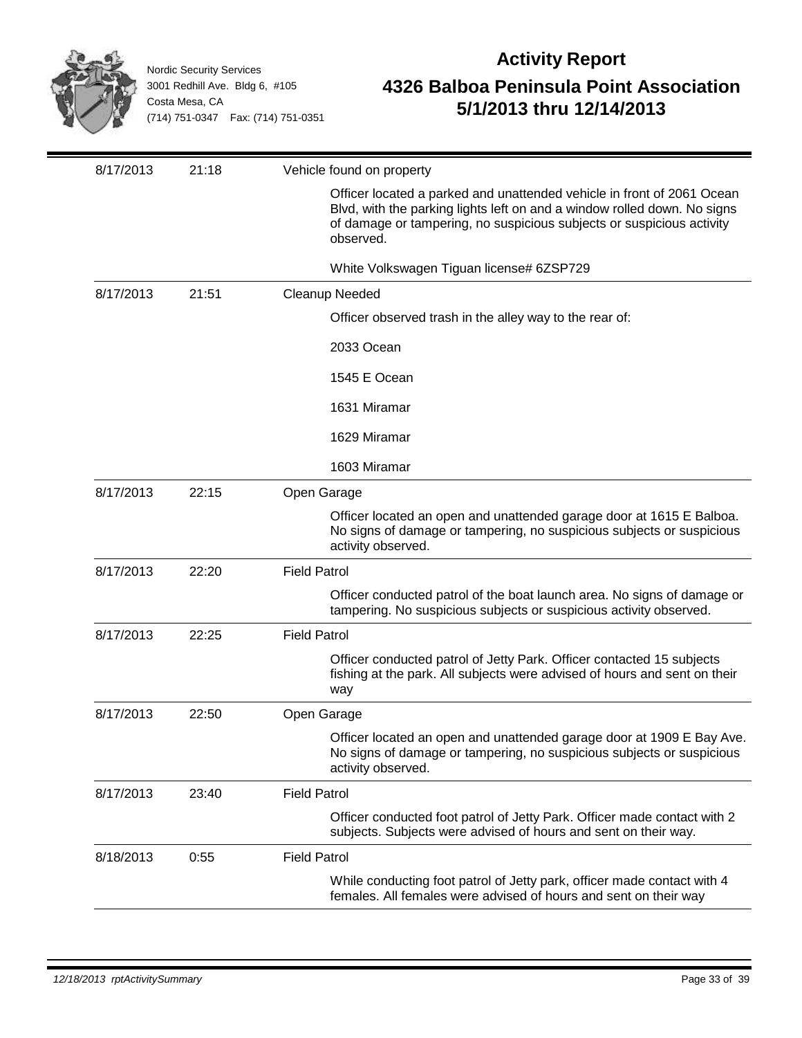

| 8/17/2013 | 21:18 | Vehicle found on property                                                                                                                                                                                                                |
|-----------|-------|------------------------------------------------------------------------------------------------------------------------------------------------------------------------------------------------------------------------------------------|
|           |       | Officer located a parked and unattended vehicle in front of 2061 Ocean<br>Blvd, with the parking lights left on and a window rolled down. No signs<br>of damage or tampering, no suspicious subjects or suspicious activity<br>observed. |
|           |       | White Volkswagen Tiguan license# 6ZSP729                                                                                                                                                                                                 |
| 8/17/2013 | 21:51 | <b>Cleanup Needed</b>                                                                                                                                                                                                                    |
|           |       | Officer observed trash in the alley way to the rear of:                                                                                                                                                                                  |
|           |       | 2033 Ocean                                                                                                                                                                                                                               |
|           |       | 1545 E Ocean                                                                                                                                                                                                                             |
|           |       | 1631 Miramar                                                                                                                                                                                                                             |
|           |       | 1629 Miramar                                                                                                                                                                                                                             |
|           |       | 1603 Miramar                                                                                                                                                                                                                             |
| 8/17/2013 | 22:15 | Open Garage                                                                                                                                                                                                                              |
|           |       | Officer located an open and unattended garage door at 1615 E Balboa.<br>No signs of damage or tampering, no suspicious subjects or suspicious<br>activity observed.                                                                      |
| 8/17/2013 | 22:20 | <b>Field Patrol</b>                                                                                                                                                                                                                      |
|           |       | Officer conducted patrol of the boat launch area. No signs of damage or<br>tampering. No suspicious subjects or suspicious activity observed.                                                                                            |
| 8/17/2013 | 22:25 | <b>Field Patrol</b>                                                                                                                                                                                                                      |
|           |       | Officer conducted patrol of Jetty Park. Officer contacted 15 subjects<br>fishing at the park. All subjects were advised of hours and sent on their<br>way                                                                                |
| 8/17/2013 | 22:50 | Open Garage                                                                                                                                                                                                                              |
|           |       | Officer located an open and unattended garage door at 1909 E Bay Ave.<br>No signs of damage or tampering, no suspicious subjects or suspicious<br>activity observed.                                                                     |
| 8/17/2013 | 23:40 | <b>Field Patrol</b>                                                                                                                                                                                                                      |
|           |       | Officer conducted foot patrol of Jetty Park. Officer made contact with 2<br>subjects. Subjects were advised of hours and sent on their way.                                                                                              |
| 8/18/2013 | 0:55  | <b>Field Patrol</b>                                                                                                                                                                                                                      |
|           |       | While conducting foot patrol of Jetty park, officer made contact with 4<br>females. All females were advised of hours and sent on their way                                                                                              |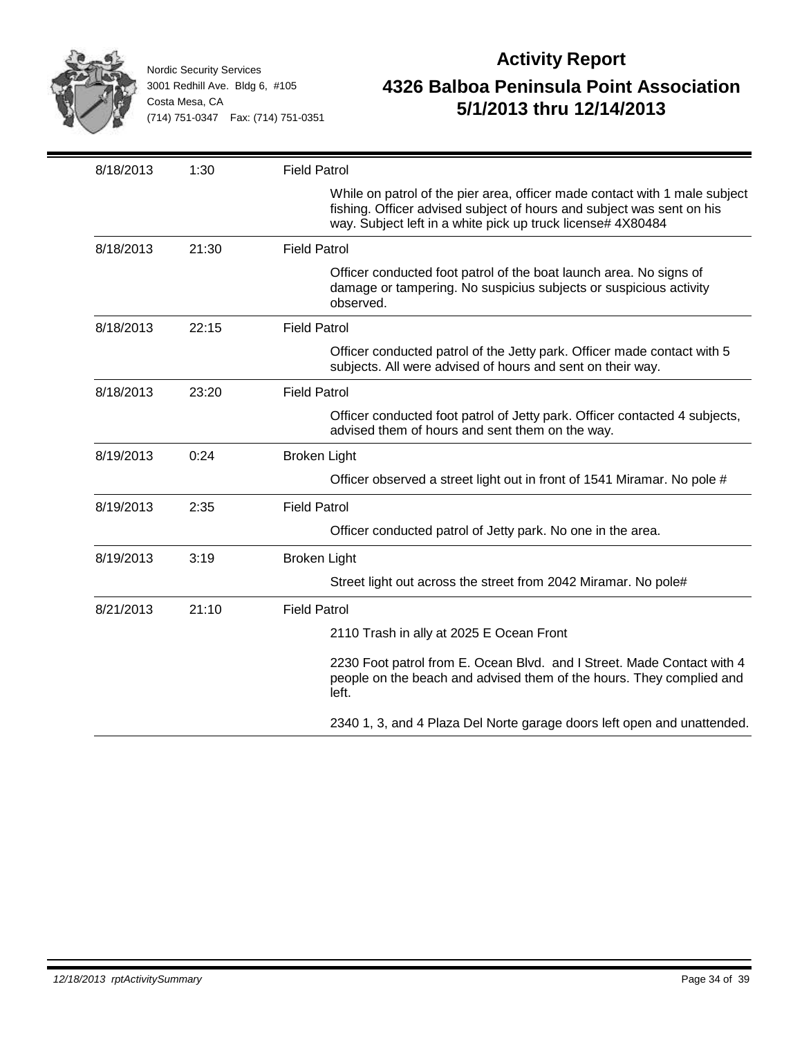

| 8/18/2013 | 1:30  | <b>Field Patrol</b>                                                                                                                                                                                                |
|-----------|-------|--------------------------------------------------------------------------------------------------------------------------------------------------------------------------------------------------------------------|
|           |       | While on patrol of the pier area, officer made contact with 1 male subject<br>fishing. Officer advised subject of hours and subject was sent on his<br>way. Subject left in a white pick up truck license# 4X80484 |
| 8/18/2013 | 21:30 | <b>Field Patrol</b>                                                                                                                                                                                                |
|           |       | Officer conducted foot patrol of the boat launch area. No signs of<br>damage or tampering. No suspicius subjects or suspicious activity<br>observed.                                                               |
| 8/18/2013 | 22:15 | <b>Field Patrol</b>                                                                                                                                                                                                |
|           |       | Officer conducted patrol of the Jetty park. Officer made contact with 5<br>subjects. All were advised of hours and sent on their way.                                                                              |
| 8/18/2013 | 23:20 | <b>Field Patrol</b>                                                                                                                                                                                                |
|           |       | Officer conducted foot patrol of Jetty park. Officer contacted 4 subjects,<br>advised them of hours and sent them on the way.                                                                                      |
| 8/19/2013 | 0:24  | Broken Light                                                                                                                                                                                                       |
|           |       | Officer observed a street light out in front of 1541 Miramar. No pole #                                                                                                                                            |
| 8/19/2013 | 2:35  | <b>Field Patrol</b>                                                                                                                                                                                                |
|           |       | Officer conducted patrol of Jetty park. No one in the area.                                                                                                                                                        |
| 8/19/2013 | 3:19  | <b>Broken Light</b>                                                                                                                                                                                                |
|           |       | Street light out across the street from 2042 Miramar. No pole#                                                                                                                                                     |
| 8/21/2013 | 21:10 | <b>Field Patrol</b>                                                                                                                                                                                                |
|           |       | 2110 Trash in ally at 2025 E Ocean Front                                                                                                                                                                           |
|           |       | 2230 Foot patrol from E. Ocean Blvd. and I Street. Made Contact with 4<br>people on the beach and advised them of the hours. They complied and<br>left.                                                            |
|           |       | 2340 1, 3, and 4 Plaza Del Norte garage doors left open and unattended.                                                                                                                                            |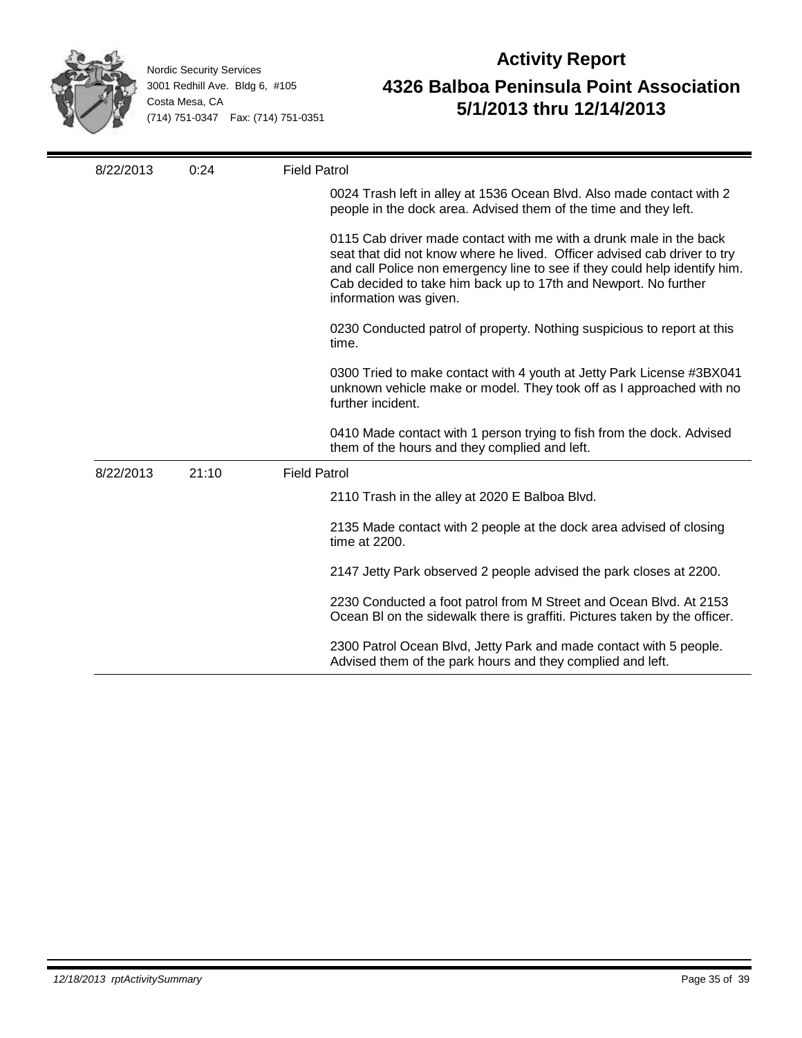

| 8/22/2013 | 0:24  | <b>Field Patrol</b>                                                                                                                                                                                                                                                                                                       |
|-----------|-------|---------------------------------------------------------------------------------------------------------------------------------------------------------------------------------------------------------------------------------------------------------------------------------------------------------------------------|
|           |       | 0024 Trash left in alley at 1536 Ocean Blvd. Also made contact with 2<br>people in the dock area. Advised them of the time and they left.                                                                                                                                                                                 |
|           |       | 0115 Cab driver made contact with me with a drunk male in the back<br>seat that did not know where he lived. Officer advised cab driver to try<br>and call Police non emergency line to see if they could help identify him.<br>Cab decided to take him back up to 17th and Newport. No further<br>information was given. |
|           |       | 0230 Conducted patrol of property. Nothing suspicious to report at this<br>time.                                                                                                                                                                                                                                          |
|           |       | 0300 Tried to make contact with 4 youth at Jetty Park License #3BX041<br>unknown vehicle make or model. They took off as I approached with no<br>further incident.                                                                                                                                                        |
|           |       | 0410 Made contact with 1 person trying to fish from the dock. Advised<br>them of the hours and they complied and left.                                                                                                                                                                                                    |
| 8/22/2013 | 21:10 | <b>Field Patrol</b>                                                                                                                                                                                                                                                                                                       |
|           |       | 2110 Trash in the alley at 2020 E Balboa Blvd.                                                                                                                                                                                                                                                                            |
|           |       | 2135 Made contact with 2 people at the dock area advised of closing<br>time at 2200.                                                                                                                                                                                                                                      |
|           |       | 2147 Jetty Park observed 2 people advised the park closes at 2200.                                                                                                                                                                                                                                                        |
|           |       | 2230 Conducted a foot patrol from M Street and Ocean Blvd. At 2153<br>Ocean BI on the sidewalk there is graffiti. Pictures taken by the officer.                                                                                                                                                                          |
|           |       | 2300 Patrol Ocean Blvd, Jetty Park and made contact with 5 people.<br>Advised them of the park hours and they complied and left.                                                                                                                                                                                          |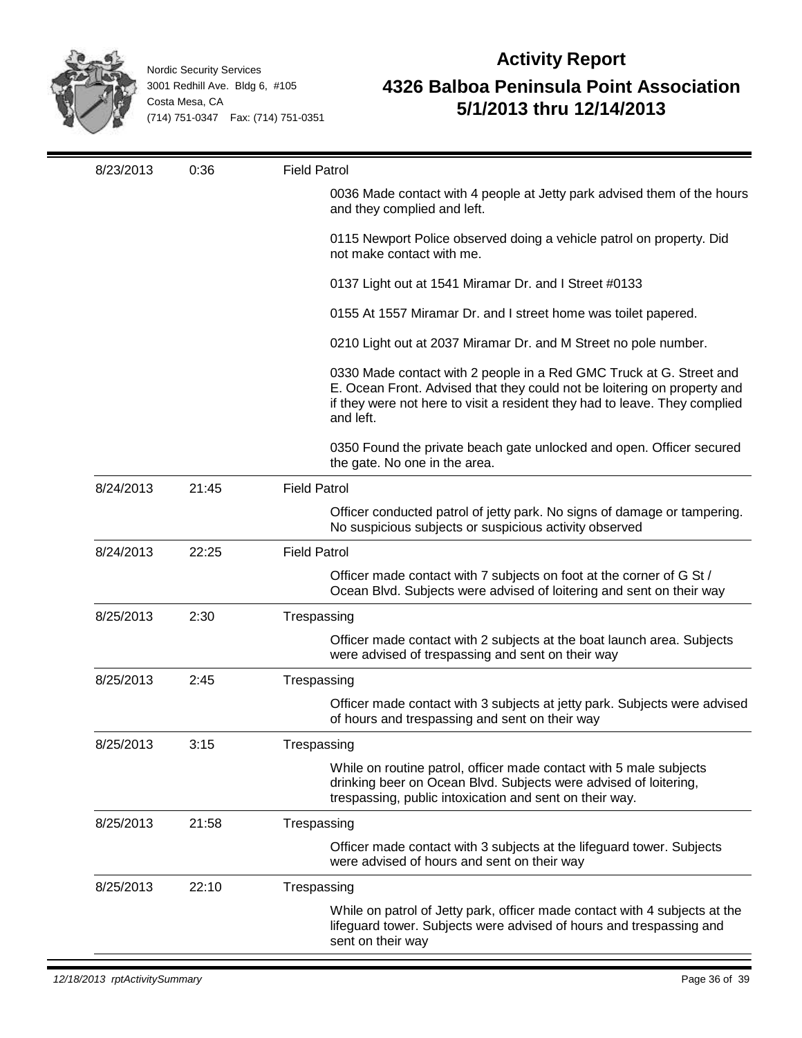

| 8/23/2013 | 0:36  | <b>Field Patrol</b>                                                                                                                                                                                                                        |
|-----------|-------|--------------------------------------------------------------------------------------------------------------------------------------------------------------------------------------------------------------------------------------------|
|           |       | 0036 Made contact with 4 people at Jetty park advised them of the hours<br>and they complied and left.                                                                                                                                     |
|           |       | 0115 Newport Police observed doing a vehicle patrol on property. Did<br>not make contact with me.                                                                                                                                          |
|           |       | 0137 Light out at 1541 Miramar Dr. and I Street #0133                                                                                                                                                                                      |
|           |       | 0155 At 1557 Miramar Dr. and I street home was toilet papered.                                                                                                                                                                             |
|           |       | 0210 Light out at 2037 Miramar Dr. and M Street no pole number.                                                                                                                                                                            |
|           |       | 0330 Made contact with 2 people in a Red GMC Truck at G. Street and<br>E. Ocean Front. Advised that they could not be loitering on property and<br>if they were not here to visit a resident they had to leave. They complied<br>and left. |
|           |       | 0350 Found the private beach gate unlocked and open. Officer secured<br>the gate. No one in the area.                                                                                                                                      |
| 8/24/2013 | 21:45 | <b>Field Patrol</b>                                                                                                                                                                                                                        |
|           |       | Officer conducted patrol of jetty park. No signs of damage or tampering.<br>No suspicious subjects or suspicious activity observed                                                                                                         |
| 8/24/2013 | 22:25 | <b>Field Patrol</b>                                                                                                                                                                                                                        |
|           |       | Officer made contact with 7 subjects on foot at the corner of G St /<br>Ocean Blvd. Subjects were advised of loitering and sent on their way                                                                                               |
| 8/25/2013 | 2:30  | Trespassing                                                                                                                                                                                                                                |
|           |       | Officer made contact with 2 subjects at the boat launch area. Subjects<br>were advised of trespassing and sent on their way                                                                                                                |
| 8/25/2013 | 2:45  | Trespassing                                                                                                                                                                                                                                |
|           |       | Officer made contact with 3 subjects at jetty park. Subjects were advised<br>of hours and trespassing and sent on their way                                                                                                                |
| 8/25/2013 | 3:15  | Trespassing                                                                                                                                                                                                                                |
|           |       | While on routine patrol, officer made contact with 5 male subjects<br>drinking beer on Ocean Blvd. Subjects were advised of loitering,<br>trespassing, public intoxication and sent on their way.                                          |
| 8/25/2013 | 21:58 | Trespassing                                                                                                                                                                                                                                |
|           |       | Officer made contact with 3 subjects at the lifeguard tower. Subjects<br>were advised of hours and sent on their way                                                                                                                       |
| 8/25/2013 | 22:10 | Trespassing                                                                                                                                                                                                                                |
|           |       | While on patrol of Jetty park, officer made contact with 4 subjects at the<br>lifeguard tower. Subjects were advised of hours and trespassing and<br>sent on their way                                                                     |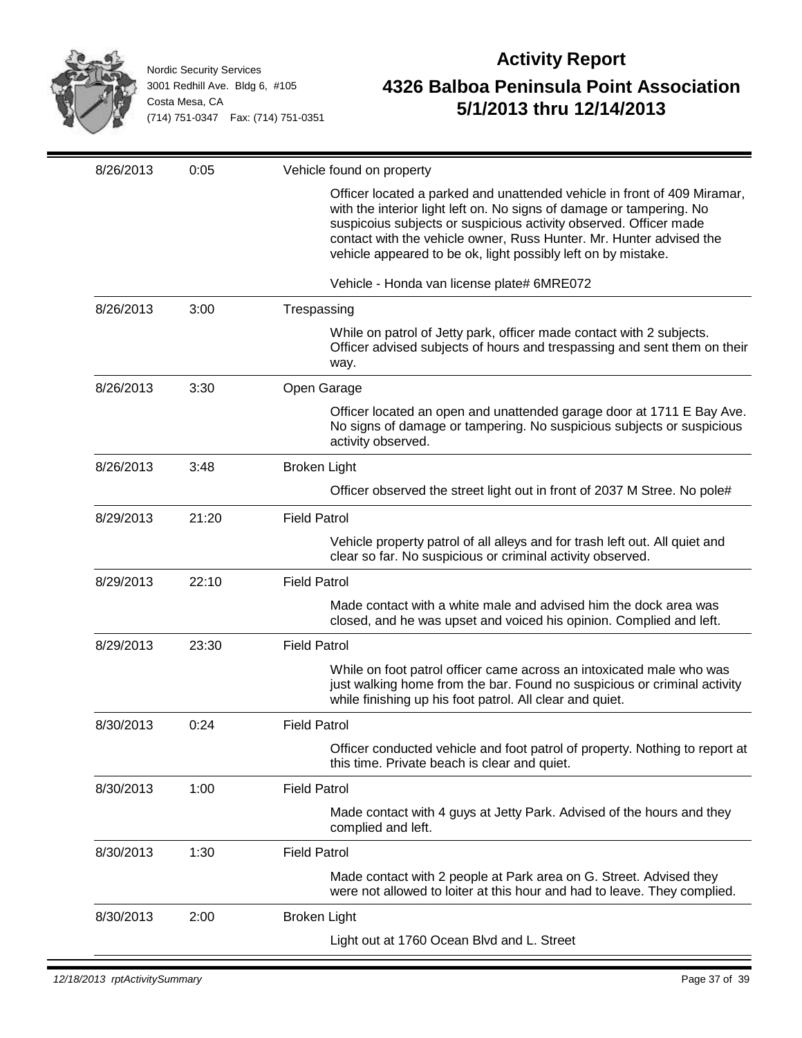

| 8/26/2013 | 0:05  | Vehicle found on property                                                                                                                                                                                                                                                                                                                                     |
|-----------|-------|---------------------------------------------------------------------------------------------------------------------------------------------------------------------------------------------------------------------------------------------------------------------------------------------------------------------------------------------------------------|
|           |       | Officer located a parked and unattended vehicle in front of 409 Miramar,<br>with the interior light left on. No signs of damage or tampering. No<br>suspicoius subjects or suspicious activity observed. Officer made<br>contact with the vehicle owner, Russ Hunter. Mr. Hunter advised the<br>vehicle appeared to be ok, light possibly left on by mistake. |
|           |       | Vehicle - Honda van license plate# 6MRE072                                                                                                                                                                                                                                                                                                                    |
| 8/26/2013 | 3:00  | Trespassing                                                                                                                                                                                                                                                                                                                                                   |
|           |       | While on patrol of Jetty park, officer made contact with 2 subjects.<br>Officer advised subjects of hours and trespassing and sent them on their<br>way.                                                                                                                                                                                                      |
| 8/26/2013 | 3:30  | Open Garage                                                                                                                                                                                                                                                                                                                                                   |
|           |       | Officer located an open and unattended garage door at 1711 E Bay Ave.<br>No signs of damage or tampering. No suspicious subjects or suspicious<br>activity observed.                                                                                                                                                                                          |
| 8/26/2013 | 3:48  | <b>Broken Light</b>                                                                                                                                                                                                                                                                                                                                           |
|           |       | Officer observed the street light out in front of 2037 M Stree. No pole#                                                                                                                                                                                                                                                                                      |
| 8/29/2013 | 21:20 | <b>Field Patrol</b>                                                                                                                                                                                                                                                                                                                                           |
|           |       | Vehicle property patrol of all alleys and for trash left out. All quiet and<br>clear so far. No suspicious or criminal activity observed.                                                                                                                                                                                                                     |
| 8/29/2013 | 22:10 | <b>Field Patrol</b>                                                                                                                                                                                                                                                                                                                                           |
|           |       | Made contact with a white male and advised him the dock area was<br>closed, and he was upset and voiced his opinion. Complied and left.                                                                                                                                                                                                                       |
| 8/29/2013 | 23:30 | <b>Field Patrol</b>                                                                                                                                                                                                                                                                                                                                           |
|           |       | While on foot patrol officer came across an intoxicated male who was<br>just walking home from the bar. Found no suspicious or criminal activity<br>while finishing up his foot patrol. All clear and quiet.                                                                                                                                                  |
| 8/30/2013 | 0:24  | <b>Field Patrol</b>                                                                                                                                                                                                                                                                                                                                           |
|           |       | Officer conducted vehicle and foot patrol of property. Nothing to report at<br>this time. Private beach is clear and quiet.                                                                                                                                                                                                                                   |
| 8/30/2013 | 1:00  | <b>Field Patrol</b>                                                                                                                                                                                                                                                                                                                                           |
|           |       | Made contact with 4 guys at Jetty Park. Advised of the hours and they<br>complied and left.                                                                                                                                                                                                                                                                   |
| 8/30/2013 | 1:30  | <b>Field Patrol</b>                                                                                                                                                                                                                                                                                                                                           |
|           |       | Made contact with 2 people at Park area on G. Street. Advised they<br>were not allowed to loiter at this hour and had to leave. They complied.                                                                                                                                                                                                                |
| 8/30/2013 | 2:00  | <b>Broken Light</b>                                                                                                                                                                                                                                                                                                                                           |
|           |       | Light out at 1760 Ocean Blvd and L. Street                                                                                                                                                                                                                                                                                                                    |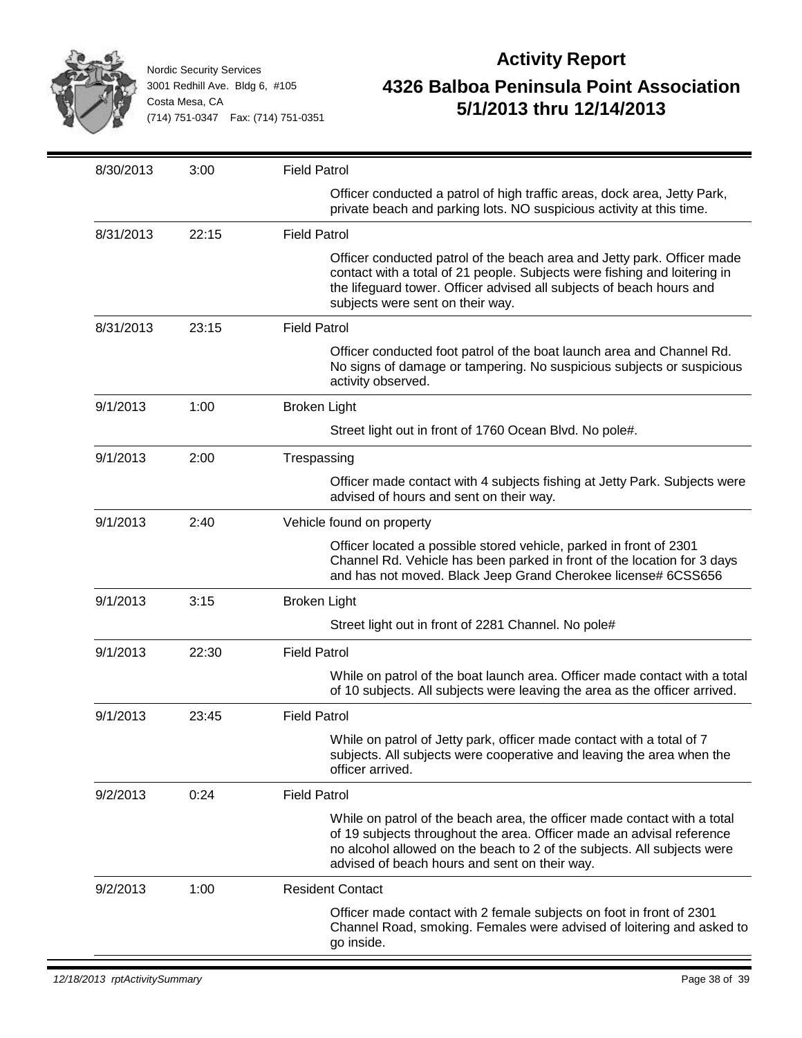

| 8/30/2013 | 3:00  | <b>Field Patrol</b>                                                                                                                                                                                                                                                           |
|-----------|-------|-------------------------------------------------------------------------------------------------------------------------------------------------------------------------------------------------------------------------------------------------------------------------------|
|           |       | Officer conducted a patrol of high traffic areas, dock area, Jetty Park,<br>private beach and parking lots. NO suspicious activity at this time.                                                                                                                              |
| 8/31/2013 | 22:15 | <b>Field Patrol</b>                                                                                                                                                                                                                                                           |
|           |       | Officer conducted patrol of the beach area and Jetty park. Officer made<br>contact with a total of 21 people. Subjects were fishing and loitering in<br>the lifeguard tower. Officer advised all subjects of beach hours and<br>subjects were sent on their way.              |
| 8/31/2013 | 23:15 | <b>Field Patrol</b>                                                                                                                                                                                                                                                           |
|           |       | Officer conducted foot patrol of the boat launch area and Channel Rd.<br>No signs of damage or tampering. No suspicious subjects or suspicious<br>activity observed.                                                                                                          |
| 9/1/2013  | 1:00  | <b>Broken Light</b>                                                                                                                                                                                                                                                           |
|           |       | Street light out in front of 1760 Ocean Blvd. No pole#.                                                                                                                                                                                                                       |
| 9/1/2013  | 2:00  | Trespassing                                                                                                                                                                                                                                                                   |
|           |       | Officer made contact with 4 subjects fishing at Jetty Park. Subjects were<br>advised of hours and sent on their way.                                                                                                                                                          |
| 9/1/2013  | 2:40  | Vehicle found on property                                                                                                                                                                                                                                                     |
|           |       | Officer located a possible stored vehicle, parked in front of 2301<br>Channel Rd. Vehicle has been parked in front of the location for 3 days<br>and has not moved. Black Jeep Grand Cherokee license# 6CSS656                                                                |
| 9/1/2013  | 3:15  | <b>Broken Light</b>                                                                                                                                                                                                                                                           |
|           |       | Street light out in front of 2281 Channel. No pole#                                                                                                                                                                                                                           |
| 9/1/2013  | 22:30 | <b>Field Patrol</b>                                                                                                                                                                                                                                                           |
|           |       | While on patrol of the boat launch area. Officer made contact with a total<br>of 10 subjects. All subjects were leaving the area as the officer arrived.                                                                                                                      |
| 9/1/2013  | 23:45 | <b>Field Patrol</b>                                                                                                                                                                                                                                                           |
|           |       | While on patrol of Jetty park, officer made contact with a total of 7<br>subjects. All subjects were cooperative and leaving the area when the<br>officer arrived.                                                                                                            |
| 9/2/2013  | 0:24  | <b>Field Patrol</b>                                                                                                                                                                                                                                                           |
|           |       | While on patrol of the beach area, the officer made contact with a total<br>of 19 subjects throughout the area. Officer made an advisal reference<br>no alcohol allowed on the beach to 2 of the subjects. All subjects were<br>advised of beach hours and sent on their way. |
| 9/2/2013  | 1:00  | <b>Resident Contact</b>                                                                                                                                                                                                                                                       |
|           |       | Officer made contact with 2 female subjects on foot in front of 2301<br>Channel Road, smoking. Females were advised of loitering and asked to<br>go inside.                                                                                                                   |